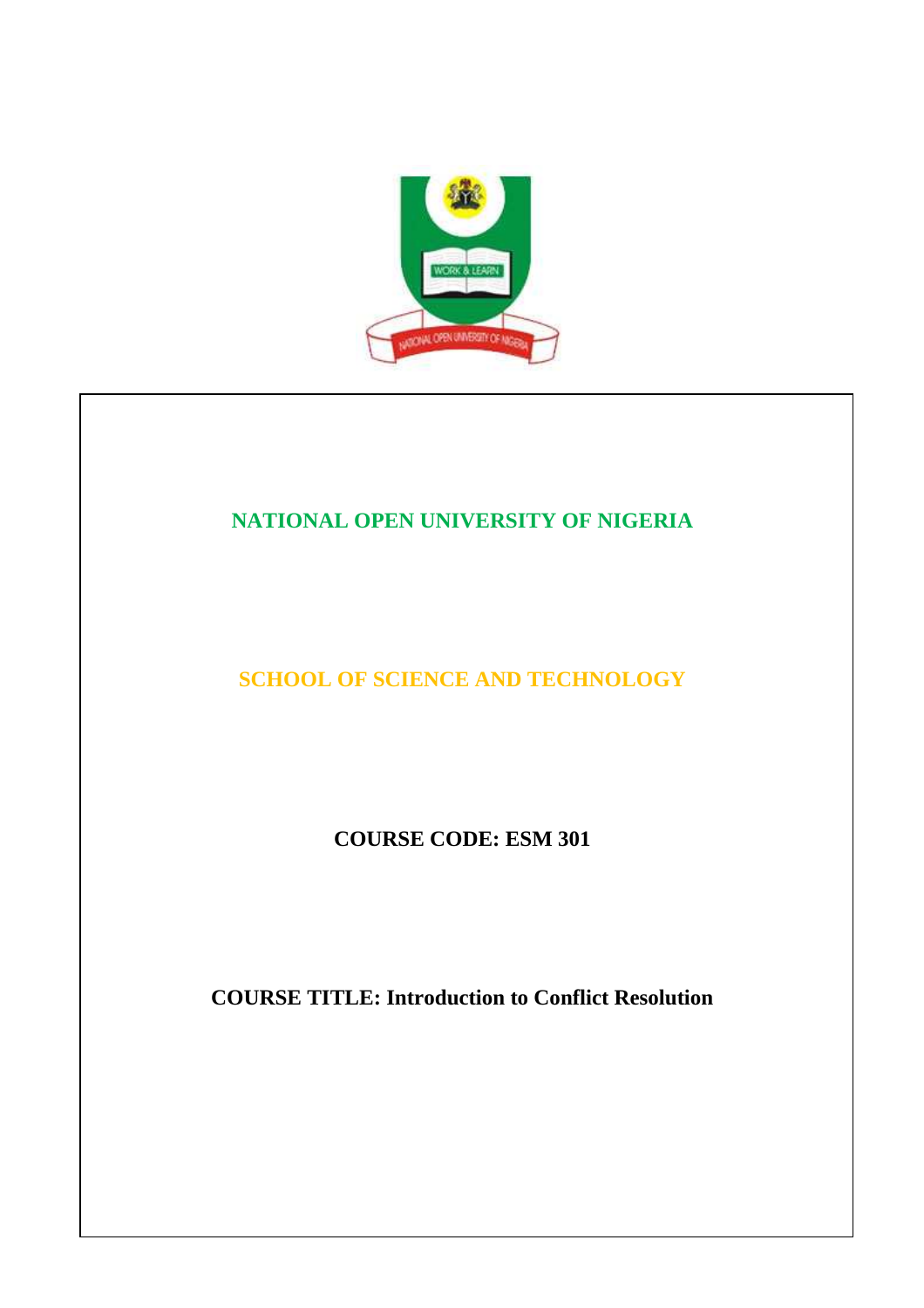

# **NATIONAL OPEN UNIVERSITY OF NIGERIA**

# **SCHOOL OF SCIENCE AND TECHNOLOGY**

**COURSE CODE: ESM 301** 

**COURSE TITLE: Introduction to Conflict Resolution**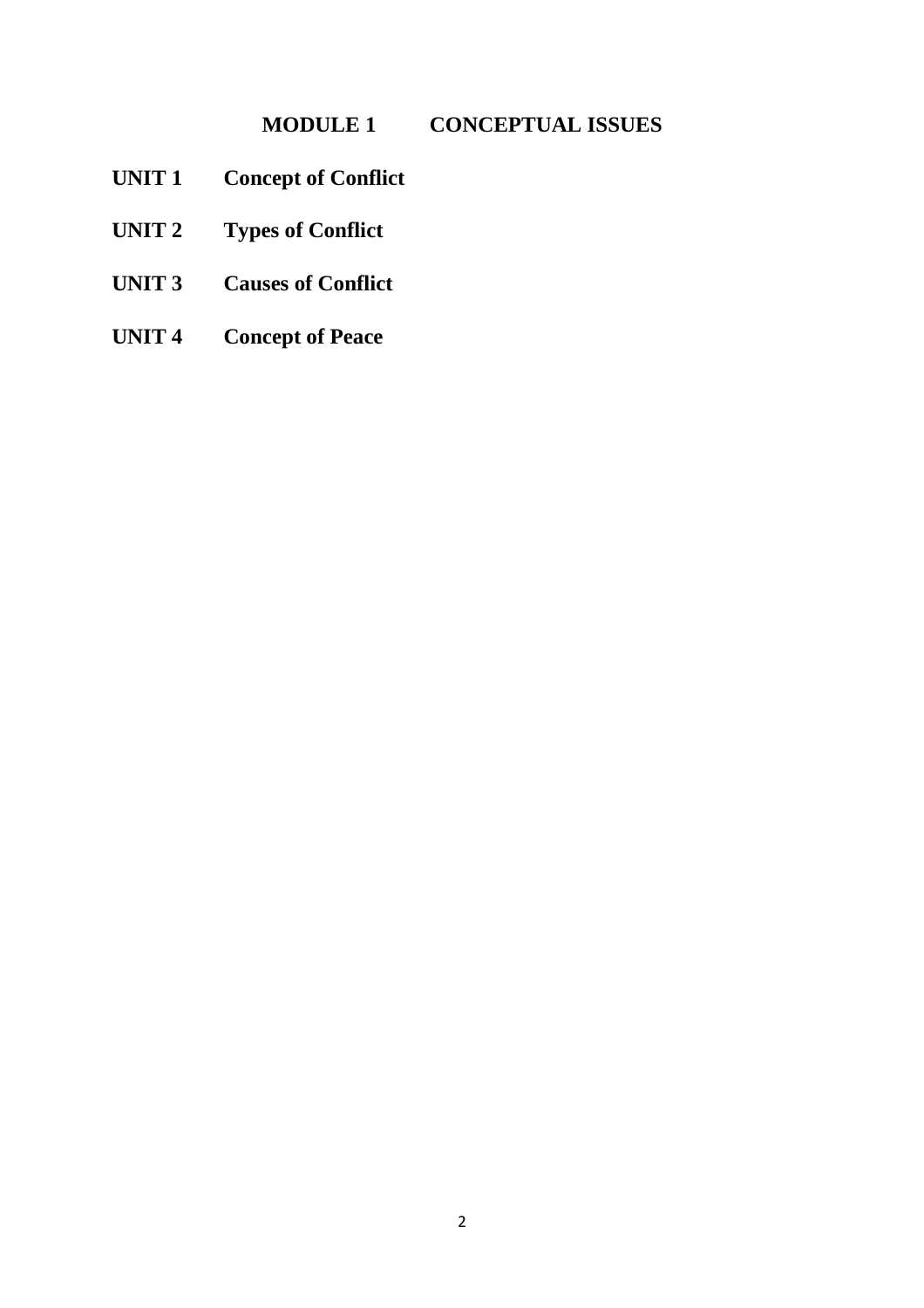# **MODULE 1 CONCEPTUAL ISSUES**

- **UNIT 1 Concept of Conflict**
- **UNIT 2 Types of Conflict**
- **UNIT 3 Causes of Conflict**
- **UNIT 4 Concept of Peace**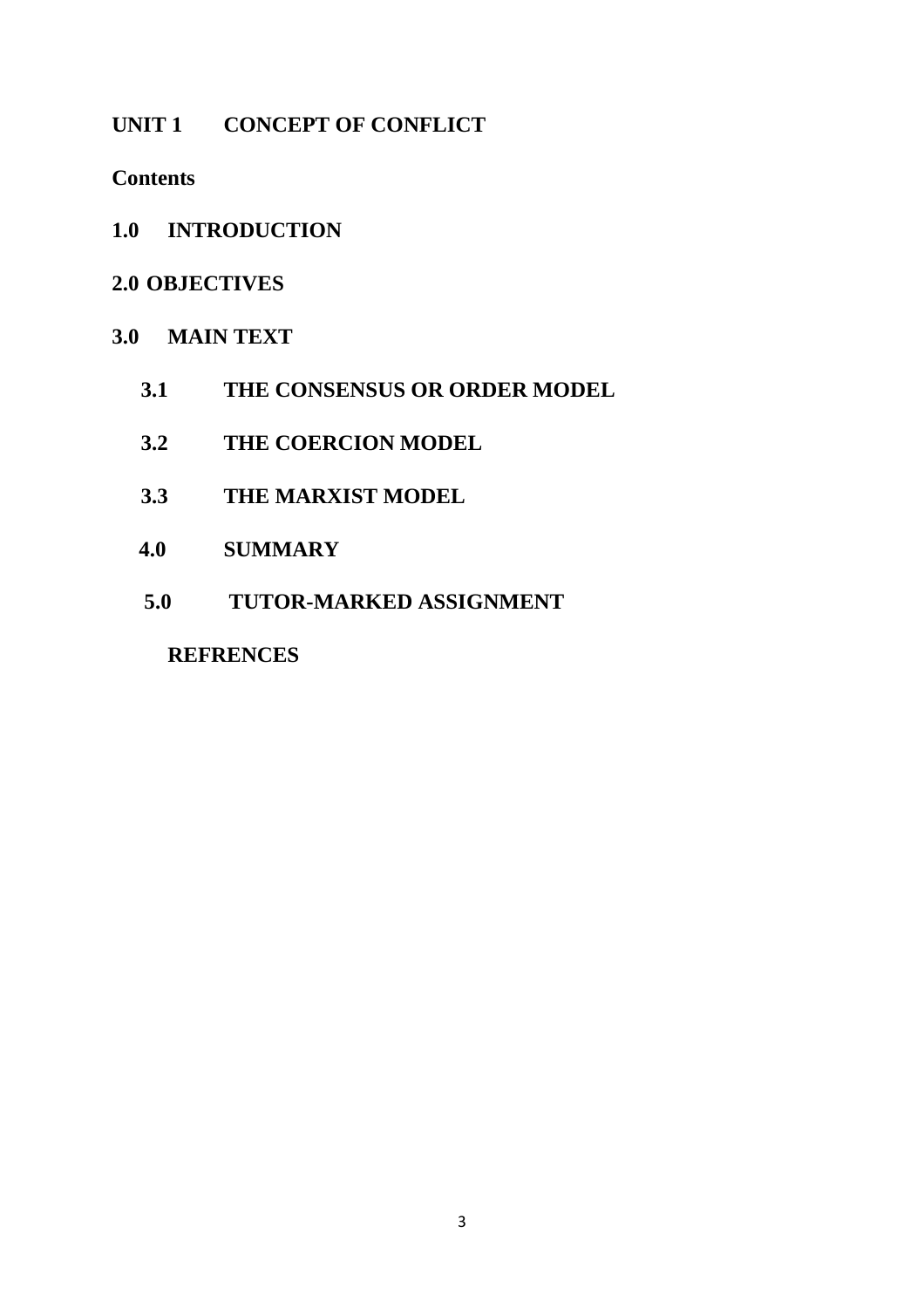# UNIT 1 CONCEPT OF CONFLICT

## **Contents**

**1.0 INTRODUCTION** 

# **2.0 OBJECTIVES**

# **3.0 MAIN TEXT**

- **3.1 THE CONSENSUS OR ORDER MODEL**
- **3.2 THE COERCION MODEL**
- **3.3 THE MARXIST MODEL**
- **4.0 SUMMARY**
- **5.0 TUTOR-MARKED ASSIGNMENT**

## **REFRENCES**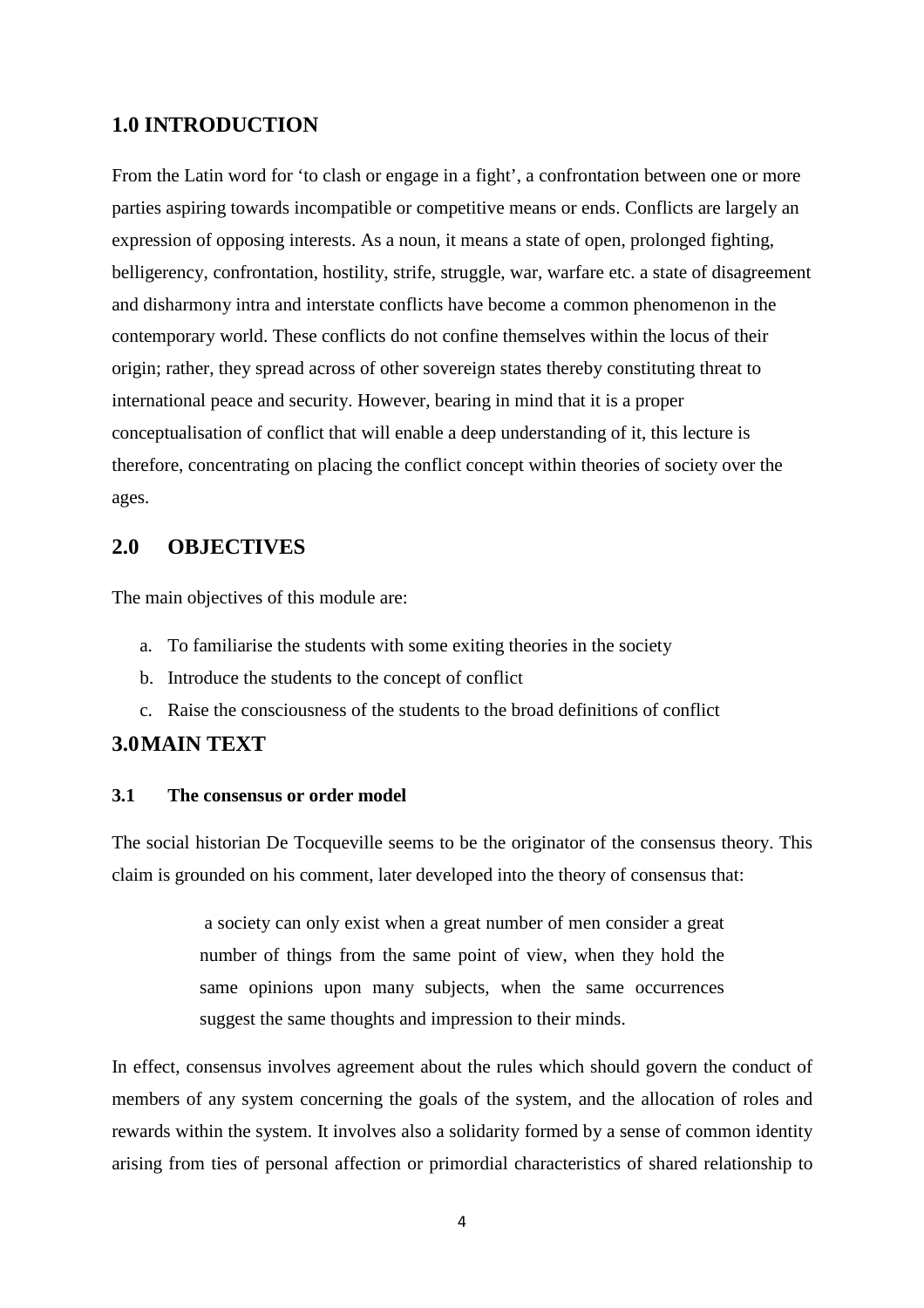### **1.0 INTRODUCTION**

From the Latin word for 'to clash or engage in a fight', a confrontation between one or more parties aspiring towards incompatible or competitive means or ends. Conflicts are largely an expression of opposing interests. As a noun, it means a state of open, prolonged fighting, belligerency, confrontation, hostility, strife, struggle, war, warfare etc. a state of disagreement and disharmony intra and interstate conflicts have become a common phenomenon in the contemporary world. These conflicts do not confine themselves within the locus of their origin; rather, they spread across of other sovereign states thereby constituting threat to international peace and security. However, bearing in mind that it is a proper conceptualisation of conflict that will enable a deep understanding of it, this lecture is therefore, concentrating on placing the conflict concept within theories of society over the ages.

### **2.0 OBJECTIVES**

The main objectives of this module are:

- a. To familiarise the students with some exiting theories in the society
- b. Introduce the students to the concept of conflict
- c. Raise the consciousness of the students to the broad definitions of conflict

## **3.0MAIN TEXT**

#### **3.1 The consensus or order model**

The social historian De Tocqueville seems to be the originator of the consensus theory. This claim is grounded on his comment, later developed into the theory of consensus that:

> a society can only exist when a great number of men consider a great number of things from the same point of view, when they hold the same opinions upon many subjects, when the same occurrences suggest the same thoughts and impression to their minds.

In effect, consensus involves agreement about the rules which should govern the conduct of members of any system concerning the goals of the system, and the allocation of roles and rewards within the system. It involves also a solidarity formed by a sense of common identity arising from ties of personal affection or primordial characteristics of shared relationship to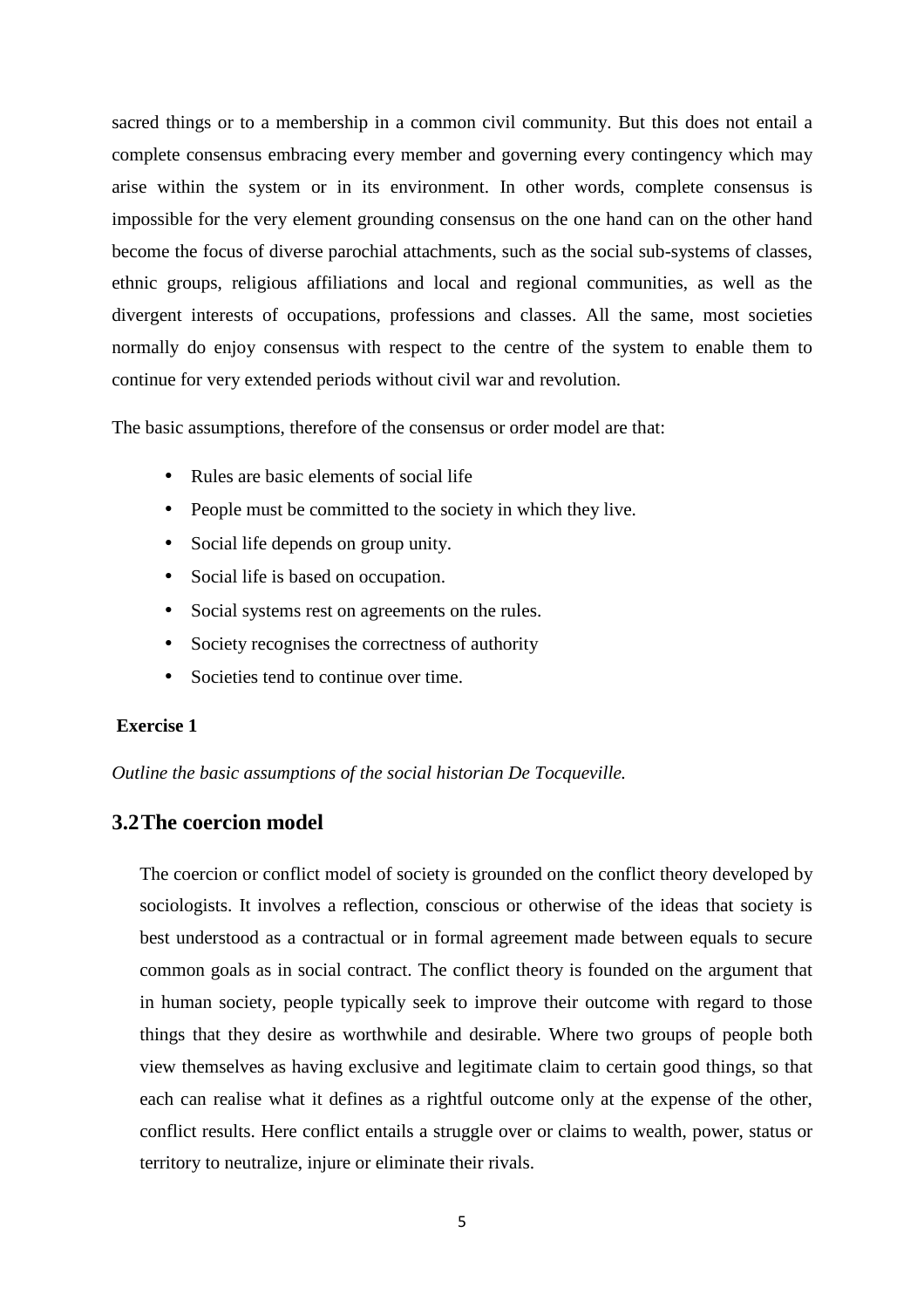sacred things or to a membership in a common civil community. But this does not entail a complete consensus embracing every member and governing every contingency which may arise within the system or in its environment. In other words, complete consensus is impossible for the very element grounding consensus on the one hand can on the other hand become the focus of diverse parochial attachments, such as the social sub-systems of classes, ethnic groups, religious affiliations and local and regional communities, as well as the divergent interests of occupations, professions and classes. All the same, most societies normally do enjoy consensus with respect to the centre of the system to enable them to continue for very extended periods without civil war and revolution.

The basic assumptions, therefore of the consensus or order model are that:

- Rules are basic elements of social life
- People must be committed to the society in which they live.
- Social life depends on group unity.
- Social life is based on occupation.
- Social systems rest on agreements on the rules.
- Society recognises the correctness of authority
- Societies tend to continue over time.

### **Exercise 1**

*Outline the basic assumptions of the social historian De Tocqueville.* 

### **3.2The coercion model**

The coercion or conflict model of society is grounded on the conflict theory developed by sociologists. It involves a reflection, conscious or otherwise of the ideas that society is best understood as a contractual or in formal agreement made between equals to secure common goals as in social contract. The conflict theory is founded on the argument that in human society, people typically seek to improve their outcome with regard to those things that they desire as worthwhile and desirable. Where two groups of people both view themselves as having exclusive and legitimate claim to certain good things, so that each can realise what it defines as a rightful outcome only at the expense of the other, conflict results. Here conflict entails a struggle over or claims to wealth, power, status or territory to neutralize, injure or eliminate their rivals.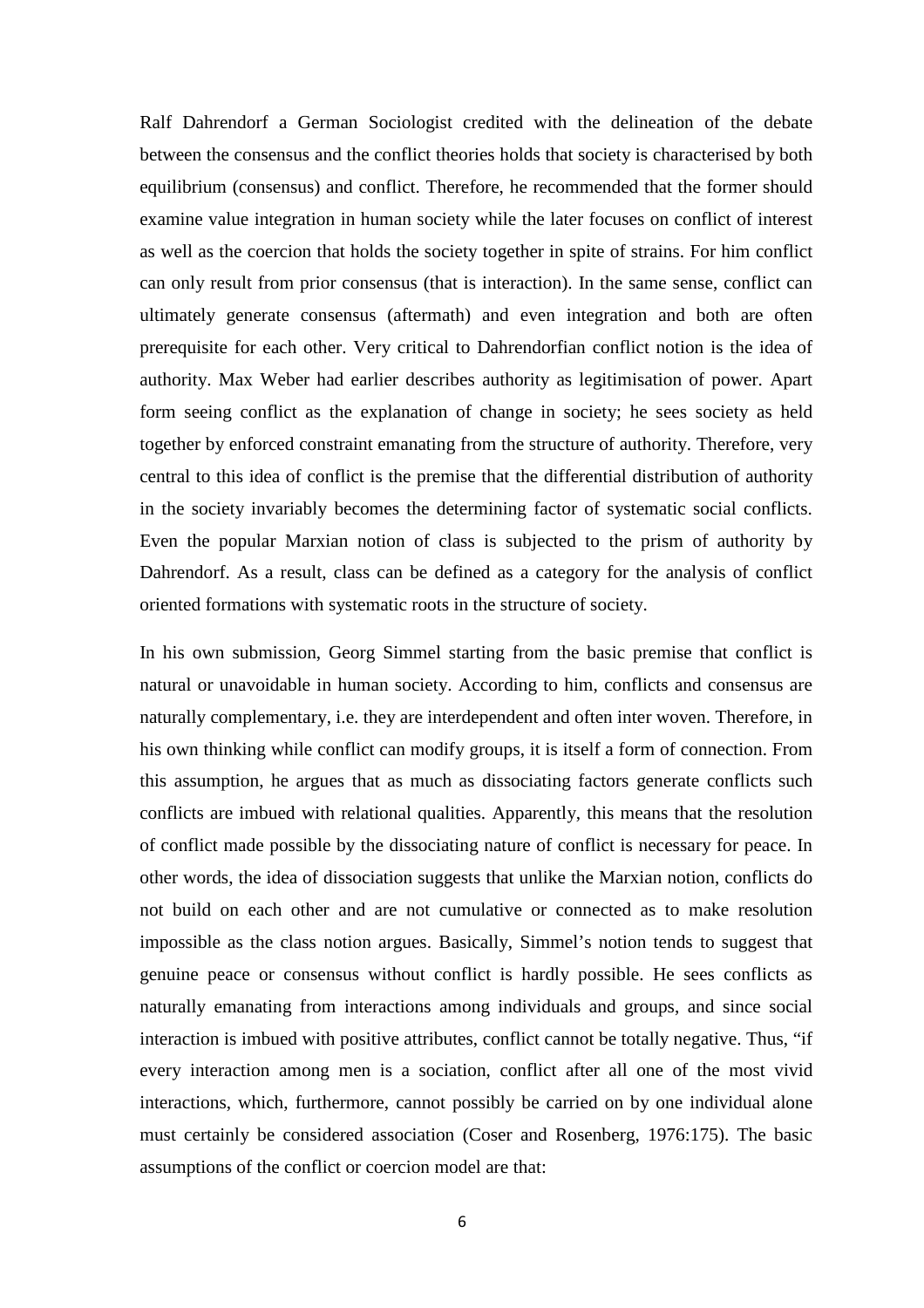Ralf Dahrendorf a German Sociologist credited with the delineation of the debate between the consensus and the conflict theories holds that society is characterised by both equilibrium (consensus) and conflict. Therefore, he recommended that the former should examine value integration in human society while the later focuses on conflict of interest as well as the coercion that holds the society together in spite of strains. For him conflict can only result from prior consensus (that is interaction). In the same sense, conflict can ultimately generate consensus (aftermath) and even integration and both are often prerequisite for each other. Very critical to Dahrendorfian conflict notion is the idea of authority. Max Weber had earlier describes authority as legitimisation of power. Apart form seeing conflict as the explanation of change in society; he sees society as held together by enforced constraint emanating from the structure of authority. Therefore, very central to this idea of conflict is the premise that the differential distribution of authority in the society invariably becomes the determining factor of systematic social conflicts. Even the popular Marxian notion of class is subjected to the prism of authority by Dahrendorf. As a result, class can be defined as a category for the analysis of conflict oriented formations with systematic roots in the structure of society.

In his own submission, Georg Simmel starting from the basic premise that conflict is natural or unavoidable in human society. According to him, conflicts and consensus are naturally complementary, i.e. they are interdependent and often inter woven. Therefore, in his own thinking while conflict can modify groups, it is itself a form of connection. From this assumption, he argues that as much as dissociating factors generate conflicts such conflicts are imbued with relational qualities. Apparently, this means that the resolution of conflict made possible by the dissociating nature of conflict is necessary for peace. In other words, the idea of dissociation suggests that unlike the Marxian notion, conflicts do not build on each other and are not cumulative or connected as to make resolution impossible as the class notion argues. Basically, Simmel's notion tends to suggest that genuine peace or consensus without conflict is hardly possible. He sees conflicts as naturally emanating from interactions among individuals and groups, and since social interaction is imbued with positive attributes, conflict cannot be totally negative. Thus, "if every interaction among men is a sociation, conflict after all one of the most vivid interactions, which, furthermore, cannot possibly be carried on by one individual alone must certainly be considered association (Coser and Rosenberg, 1976:175). The basic assumptions of the conflict or coercion model are that: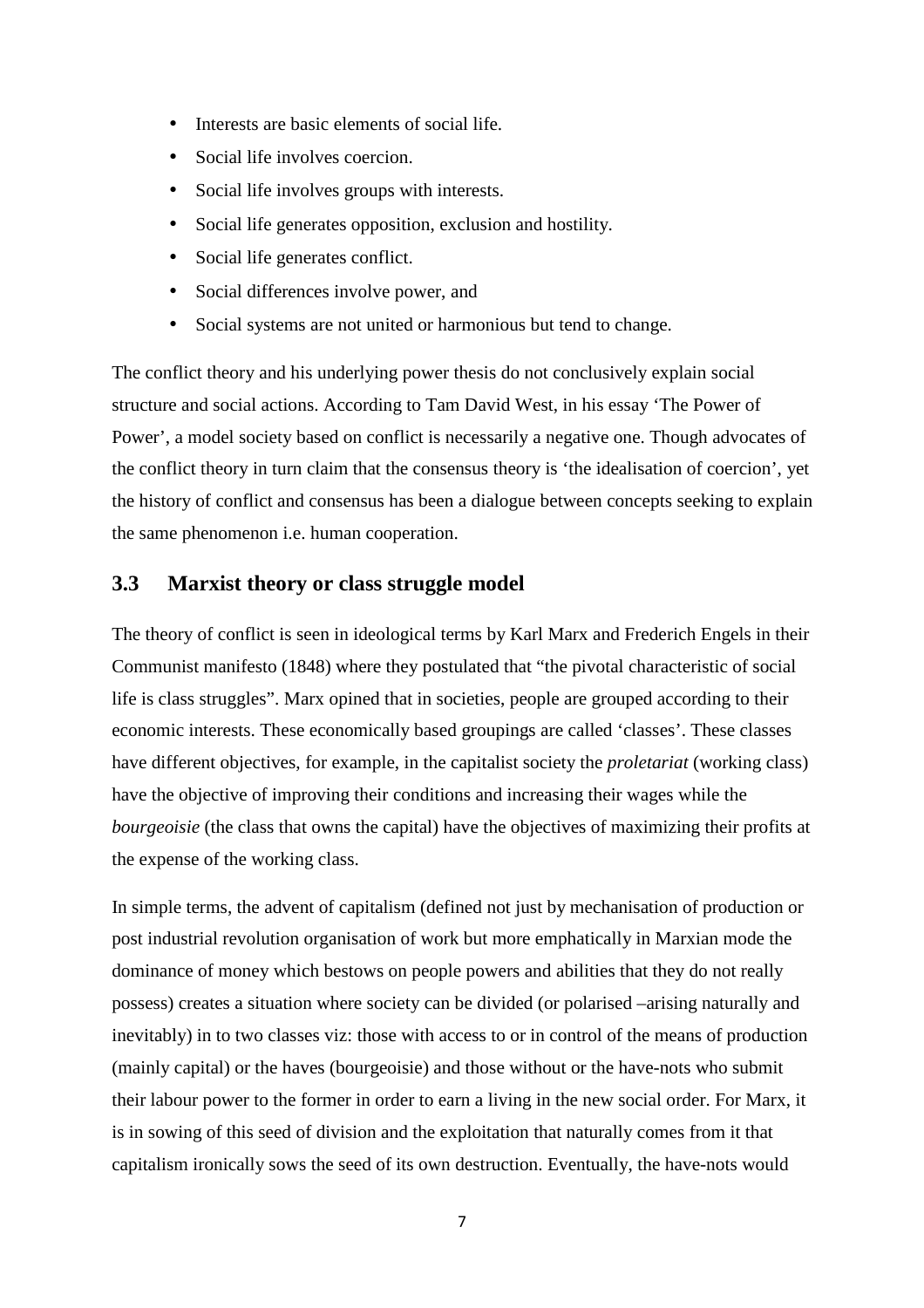- Interests are basic elements of social life.
- Social life involves coercion.
- Social life involves groups with interests.
- Social life generates opposition, exclusion and hostility.
- Social life generates conflict.
- Social differences involve power, and
- Social systems are not united or harmonious but tend to change.

The conflict theory and his underlying power thesis do not conclusively explain social structure and social actions. According to Tam David West, in his essay 'The Power of Power', a model society based on conflict is necessarily a negative one. Though advocates of the conflict theory in turn claim that the consensus theory is 'the idealisation of coercion', yet the history of conflict and consensus has been a dialogue between concepts seeking to explain the same phenomenon i.e. human cooperation.

## **3.3 Marxist theory or class struggle model**

The theory of conflict is seen in ideological terms by Karl Marx and Frederich Engels in their Communist manifesto (1848) where they postulated that "the pivotal characteristic of social life is class struggles". Marx opined that in societies, people are grouped according to their economic interests. These economically based groupings are called 'classes'. These classes have different objectives, for example, in the capitalist society the *proletariat* (working class) have the objective of improving their conditions and increasing their wages while the *bourgeoisie* (the class that owns the capital) have the objectives of maximizing their profits at the expense of the working class.

In simple terms, the advent of capitalism (defined not just by mechanisation of production or post industrial revolution organisation of work but more emphatically in Marxian mode the dominance of money which bestows on people powers and abilities that they do not really possess) creates a situation where society can be divided (or polarised –arising naturally and inevitably) in to two classes viz: those with access to or in control of the means of production (mainly capital) or the haves (bourgeoisie) and those without or the have-nots who submit their labour power to the former in order to earn a living in the new social order. For Marx, it is in sowing of this seed of division and the exploitation that naturally comes from it that capitalism ironically sows the seed of its own destruction. Eventually, the have-nots would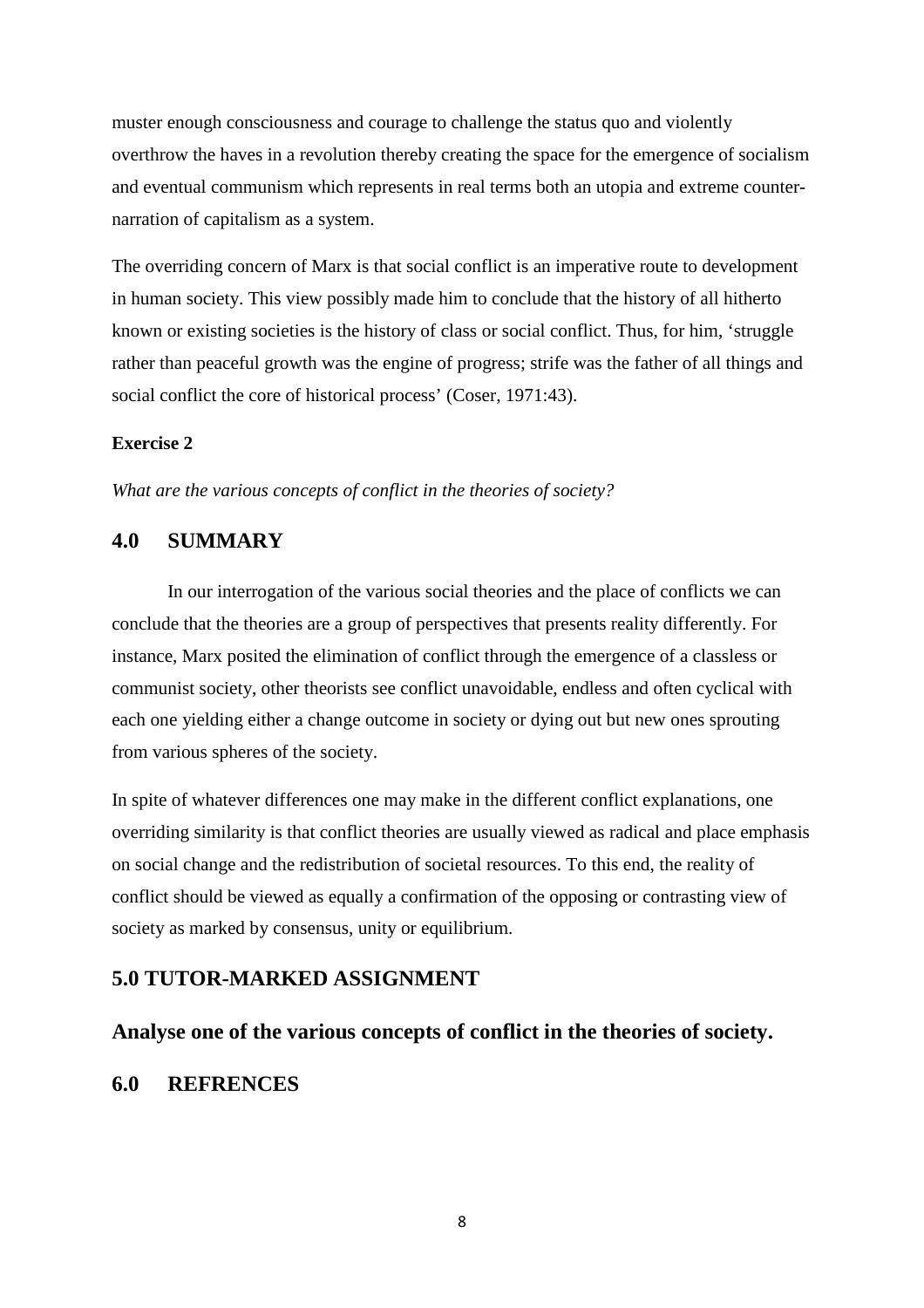muster enough consciousness and courage to challenge the status quo and violently overthrow the haves in a revolution thereby creating the space for the emergence of socialism and eventual communism which represents in real terms both an utopia and extreme counternarration of capitalism as a system.

The overriding concern of Marx is that social conflict is an imperative route to development in human society. This view possibly made him to conclude that the history of all hitherto known or existing societies is the history of class or social conflict. Thus, for him, 'struggle rather than peaceful growth was the engine of progress; strife was the father of all things and social conflict the core of historical process' (Coser, 1971:43).

### **Exercise 2**

*What are the various concepts of conflict in the theories of society?* 

## **4.0 SUMMARY**

In our interrogation of the various social theories and the place of conflicts we can conclude that the theories are a group of perspectives that presents reality differently. For instance, Marx posited the elimination of conflict through the emergence of a classless or communist society, other theorists see conflict unavoidable, endless and often cyclical with each one yielding either a change outcome in society or dying out but new ones sprouting from various spheres of the society.

In spite of whatever differences one may make in the different conflict explanations, one overriding similarity is that conflict theories are usually viewed as radical and place emphasis on social change and the redistribution of societal resources. To this end, the reality of conflict should be viewed as equally a confirmation of the opposing or contrasting view of society as marked by consensus, unity or equilibrium.

### **5.0 TUTOR-MARKED ASSIGNMENT**

### **Analyse one of the various concepts of conflict in the theories of society.**

### **6.0 REFRENCES**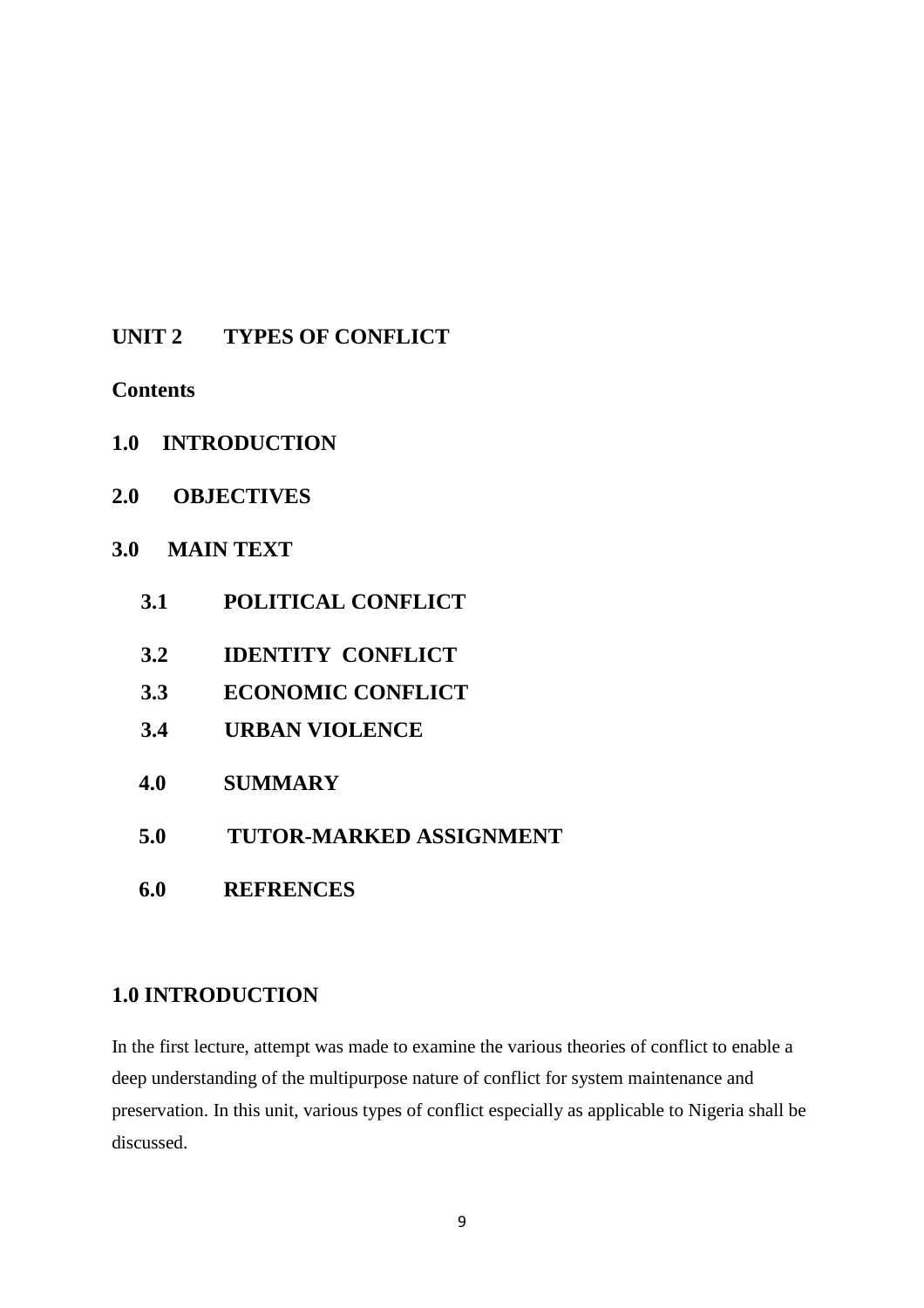## **UNIT 2 TYPES OF CONFLICT**

**Contents** 

- **1.0 INTRODUCTION**
- **2.0 OBJECTIVES**

## **3.0 MAIN TEXT**

- **3.1 POLITICAL CONFLICT**
- **3.2 IDENTITY CONFLICT**
- **3.3 ECONOMIC CONFLICT**
- **3.4 URBAN VIOLENCE**
- **4.0 SUMMARY**
- **5.0 TUTOR-MARKED ASSIGNMENT**
- **6.0 REFRENCES**

## **1.0 INTRODUCTION**

In the first lecture, attempt was made to examine the various theories of conflict to enable a deep understanding of the multipurpose nature of conflict for system maintenance and preservation. In this unit, various types of conflict especially as applicable to Nigeria shall be discussed.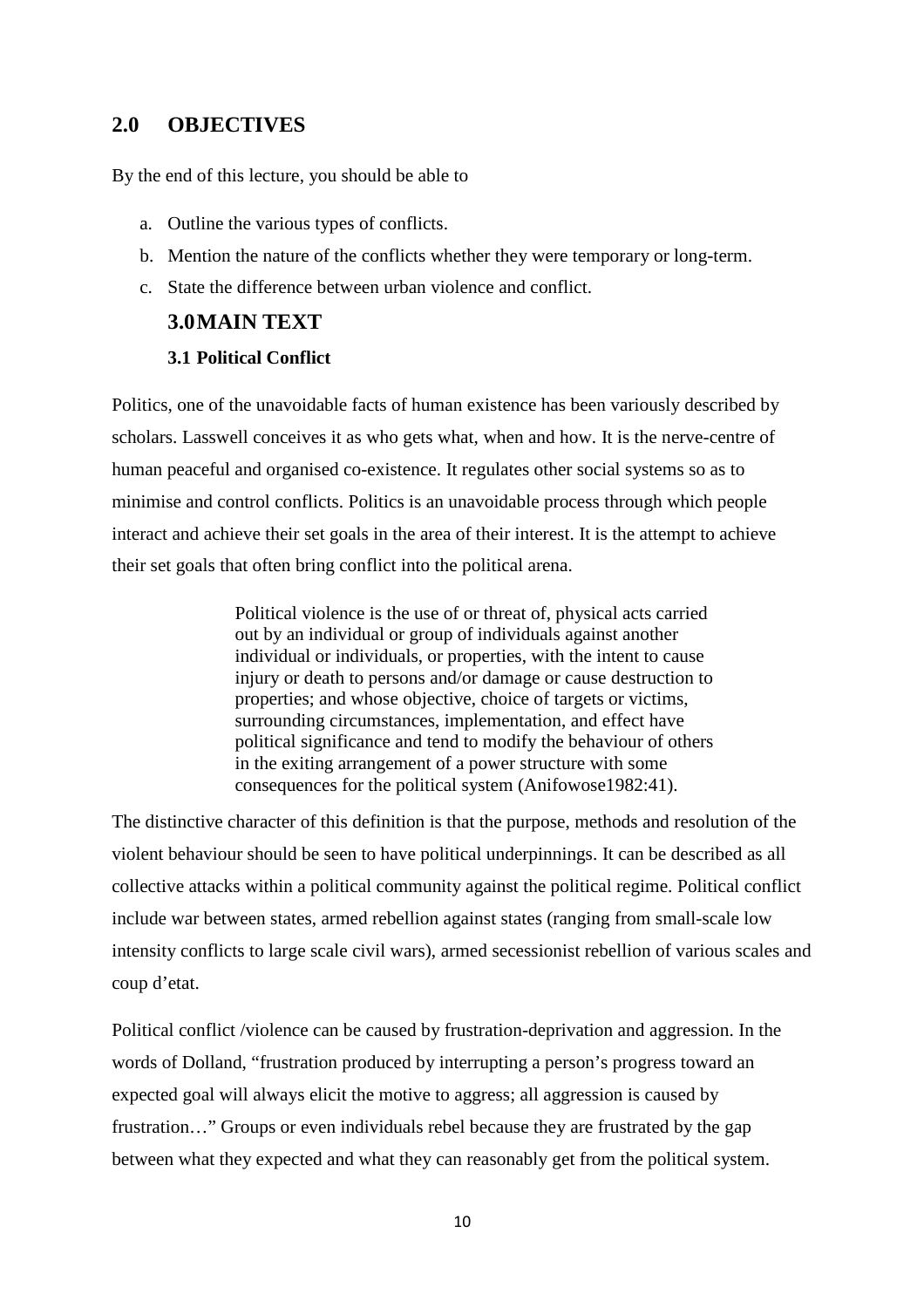## **2.0 OBJECTIVES**

By the end of this lecture, you should be able to

- a. Outline the various types of conflicts.
- b. Mention the nature of the conflicts whether they were temporary or long-term.
- c. State the difference between urban violence and conflict.

### **3.0MAIN TEXT**

### **3.1 Political Conflict**

Politics, one of the unavoidable facts of human existence has been variously described by scholars. Lasswell conceives it as who gets what, when and how. It is the nerve-centre of human peaceful and organised co-existence. It regulates other social systems so as to minimise and control conflicts. Politics is an unavoidable process through which people interact and achieve their set goals in the area of their interest. It is the attempt to achieve their set goals that often bring conflict into the political arena.

> Political violence is the use of or threat of, physical acts carried out by an individual or group of individuals against another individual or individuals, or properties, with the intent to cause injury or death to persons and/or damage or cause destruction to properties; and whose objective, choice of targets or victims, surrounding circumstances, implementation, and effect have political significance and tend to modify the behaviour of others in the exiting arrangement of a power structure with some consequences for the political system (Anifowose1982:41).

The distinctive character of this definition is that the purpose, methods and resolution of the violent behaviour should be seen to have political underpinnings. It can be described as all collective attacks within a political community against the political regime. Political conflict include war between states, armed rebellion against states (ranging from small-scale low intensity conflicts to large scale civil wars), armed secessionist rebellion of various scales and coup d'etat.

Political conflict /violence can be caused by frustration-deprivation and aggression. In the words of Dolland, "frustration produced by interrupting a person's progress toward an expected goal will always elicit the motive to aggress; all aggression is caused by frustration…" Groups or even individuals rebel because they are frustrated by the gap between what they expected and what they can reasonably get from the political system.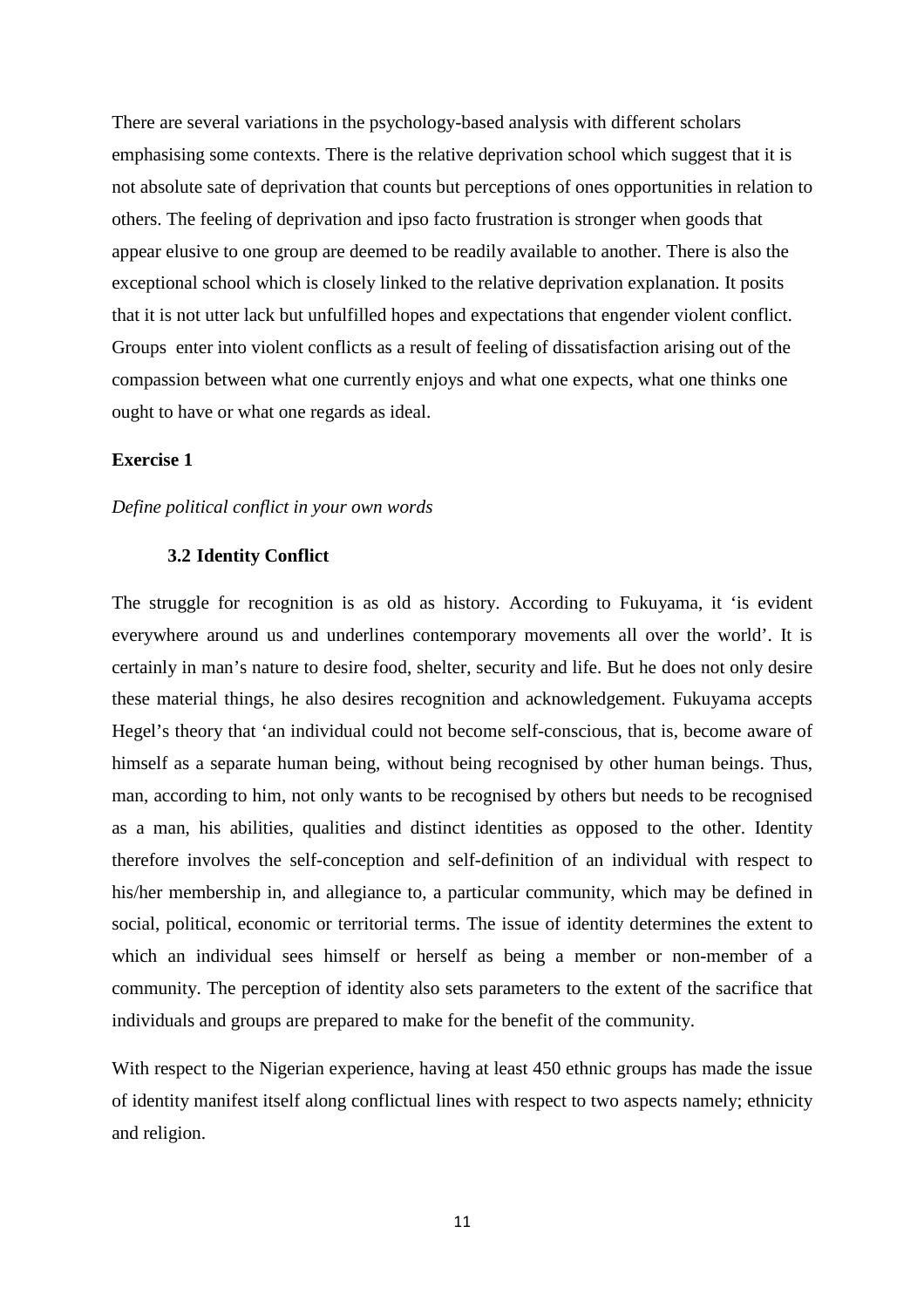There are several variations in the psychology-based analysis with different scholars emphasising some contexts. There is the relative deprivation school which suggest that it is not absolute sate of deprivation that counts but perceptions of ones opportunities in relation to others. The feeling of deprivation and ipso facto frustration is stronger when goods that appear elusive to one group are deemed to be readily available to another. There is also the exceptional school which is closely linked to the relative deprivation explanation. It posits that it is not utter lack but unfulfilled hopes and expectations that engender violent conflict. Groups enter into violent conflicts as a result of feeling of dissatisfaction arising out of the compassion between what one currently enjoys and what one expects, what one thinks one ought to have or what one regards as ideal.

### **Exercise 1**

#### *Define political conflict in your own words*

#### **3.2 Identity Conflict**

The struggle for recognition is as old as history. According to Fukuyama, it 'is evident everywhere around us and underlines contemporary movements all over the world'. It is certainly in man's nature to desire food, shelter, security and life. But he does not only desire these material things, he also desires recognition and acknowledgement. Fukuyama accepts Hegel's theory that 'an individual could not become self-conscious, that is, become aware of himself as a separate human being, without being recognised by other human beings. Thus, man, according to him, not only wants to be recognised by others but needs to be recognised as a man, his abilities, qualities and distinct identities as opposed to the other. Identity therefore involves the self-conception and self-definition of an individual with respect to his/her membership in, and allegiance to, a particular community, which may be defined in social, political, economic or territorial terms. The issue of identity determines the extent to which an individual sees himself or herself as being a member or non-member of a community. The perception of identity also sets parameters to the extent of the sacrifice that individuals and groups are prepared to make for the benefit of the community.

With respect to the Nigerian experience, having at least 450 ethnic groups has made the issue of identity manifest itself along conflictual lines with respect to two aspects namely; ethnicity and religion.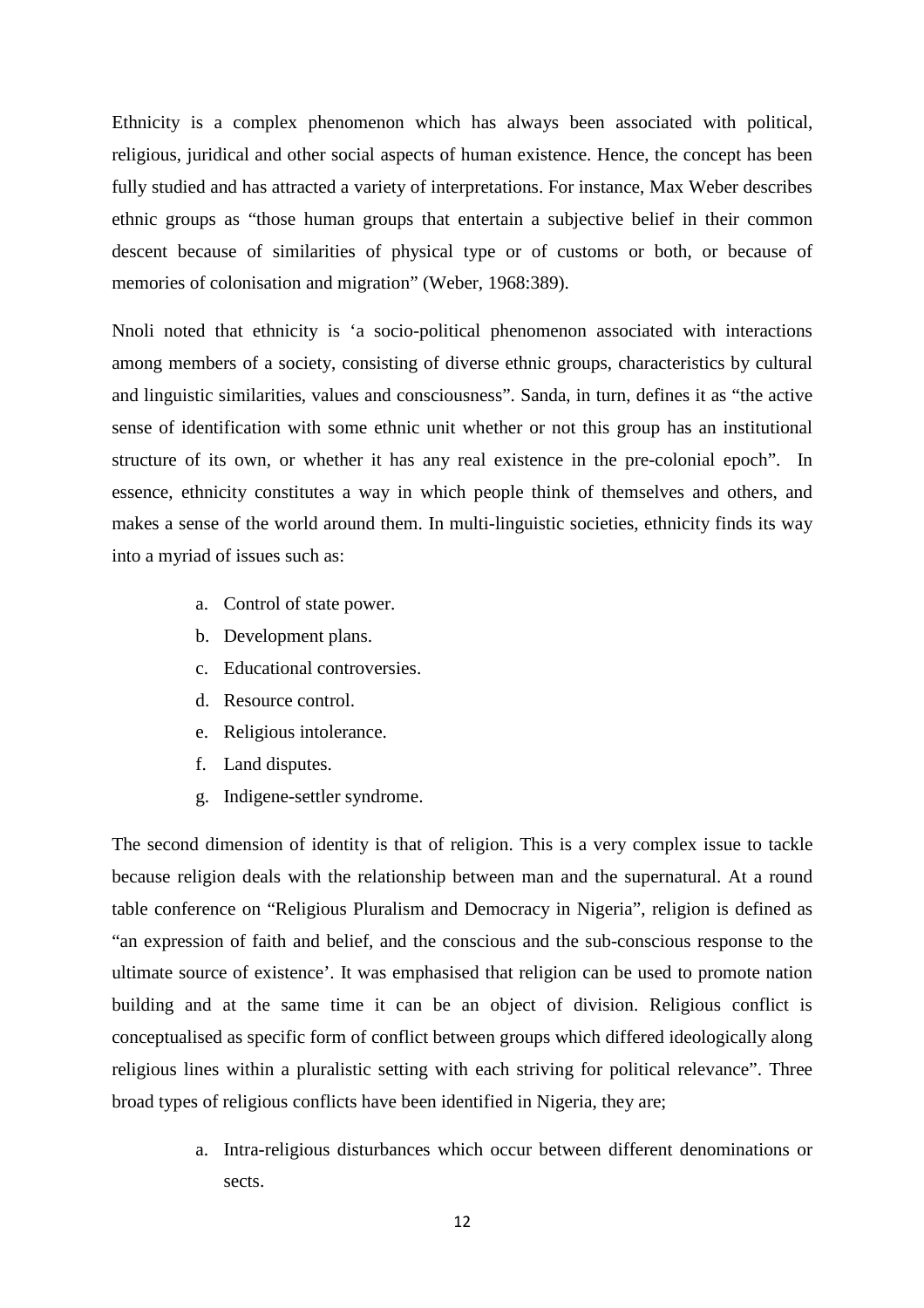Ethnicity is a complex phenomenon which has always been associated with political, religious, juridical and other social aspects of human existence. Hence, the concept has been fully studied and has attracted a variety of interpretations. For instance, Max Weber describes ethnic groups as "those human groups that entertain a subjective belief in their common descent because of similarities of physical type or of customs or both, or because of memories of colonisation and migration" (Weber, 1968:389).

Nnoli noted that ethnicity is 'a socio-political phenomenon associated with interactions among members of a society, consisting of diverse ethnic groups, characteristics by cultural and linguistic similarities, values and consciousness". Sanda, in turn, defines it as "the active sense of identification with some ethnic unit whether or not this group has an institutional structure of its own, or whether it has any real existence in the pre-colonial epoch". In essence, ethnicity constitutes a way in which people think of themselves and others, and makes a sense of the world around them. In multi-linguistic societies, ethnicity finds its way into a myriad of issues such as:

- a. Control of state power.
- b. Development plans.
- c. Educational controversies.
- d. Resource control.
- e. Religious intolerance.
- f. Land disputes.
- g. Indigene-settler syndrome.

The second dimension of identity is that of religion. This is a very complex issue to tackle because religion deals with the relationship between man and the supernatural. At a round table conference on "Religious Pluralism and Democracy in Nigeria", religion is defined as "an expression of faith and belief, and the conscious and the sub-conscious response to the ultimate source of existence'. It was emphasised that religion can be used to promote nation building and at the same time it can be an object of division. Religious conflict is conceptualised as specific form of conflict between groups which differed ideologically along religious lines within a pluralistic setting with each striving for political relevance". Three broad types of religious conflicts have been identified in Nigeria, they are;

> a. Intra-religious disturbances which occur between different denominations or sects.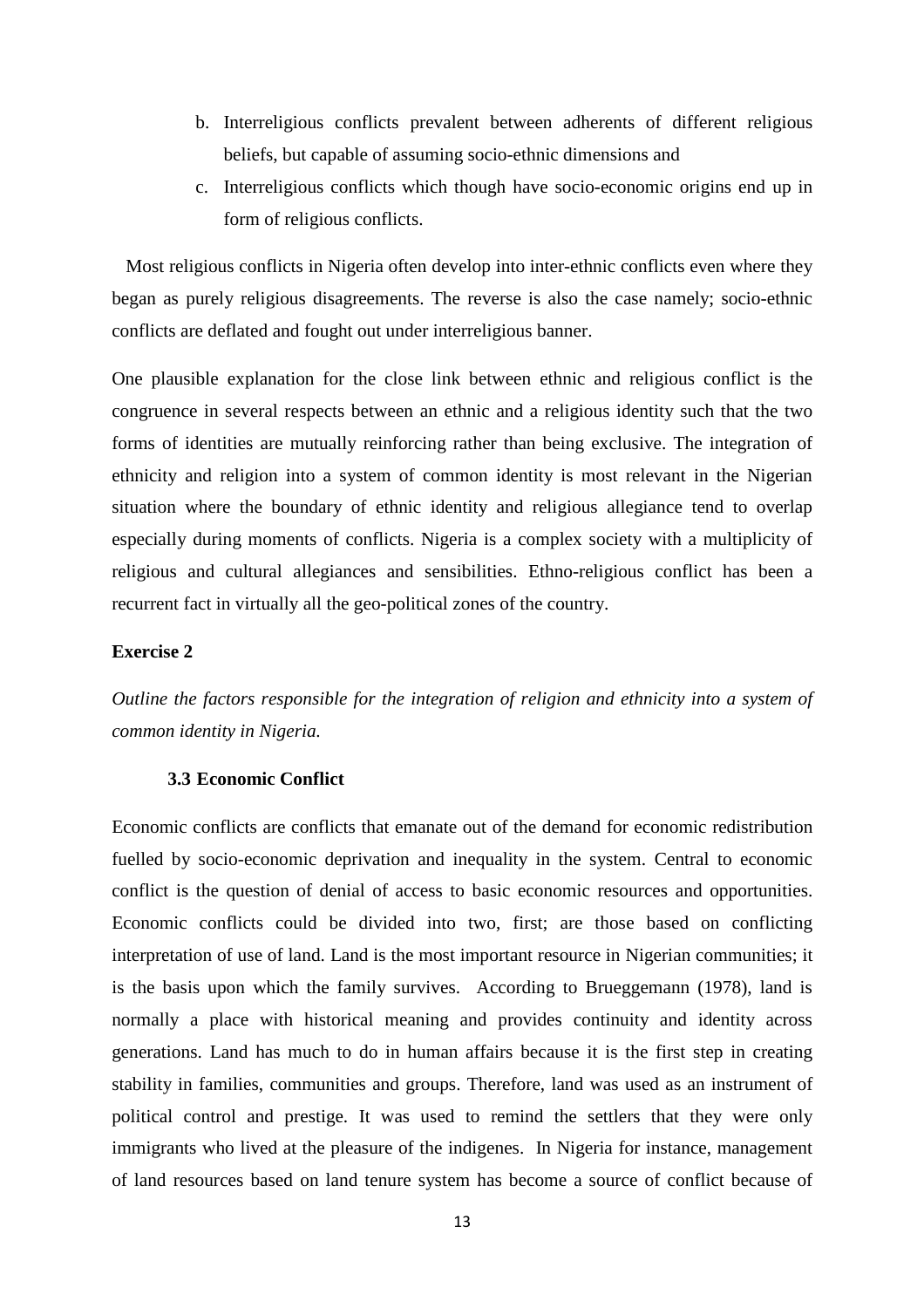- b. Interreligious conflicts prevalent between adherents of different religious beliefs, but capable of assuming socio-ethnic dimensions and
- c. Interreligious conflicts which though have socio-economic origins end up in form of religious conflicts.

 Most religious conflicts in Nigeria often develop into inter-ethnic conflicts even where they began as purely religious disagreements. The reverse is also the case namely; socio-ethnic conflicts are deflated and fought out under interreligious banner.

One plausible explanation for the close link between ethnic and religious conflict is the congruence in several respects between an ethnic and a religious identity such that the two forms of identities are mutually reinforcing rather than being exclusive. The integration of ethnicity and religion into a system of common identity is most relevant in the Nigerian situation where the boundary of ethnic identity and religious allegiance tend to overlap especially during moments of conflicts. Nigeria is a complex society with a multiplicity of religious and cultural allegiances and sensibilities. Ethno-religious conflict has been a recurrent fact in virtually all the geo-political zones of the country.

#### **Exercise 2**

*Outline the factors responsible for the integration of religion and ethnicity into a system of common identity in Nigeria.* 

#### **3.3 Economic Conflict**

Economic conflicts are conflicts that emanate out of the demand for economic redistribution fuelled by socio-economic deprivation and inequality in the system. Central to economic conflict is the question of denial of access to basic economic resources and opportunities. Economic conflicts could be divided into two, first; are those based on conflicting interpretation of use of land. Land is the most important resource in Nigerian communities; it is the basis upon which the family survives. According to Brueggemann (1978), land is normally a place with historical meaning and provides continuity and identity across generations. Land has much to do in human affairs because it is the first step in creating stability in families, communities and groups. Therefore, land was used as an instrument of political control and prestige. It was used to remind the settlers that they were only immigrants who lived at the pleasure of the indigenes. In Nigeria for instance, management of land resources based on land tenure system has become a source of conflict because of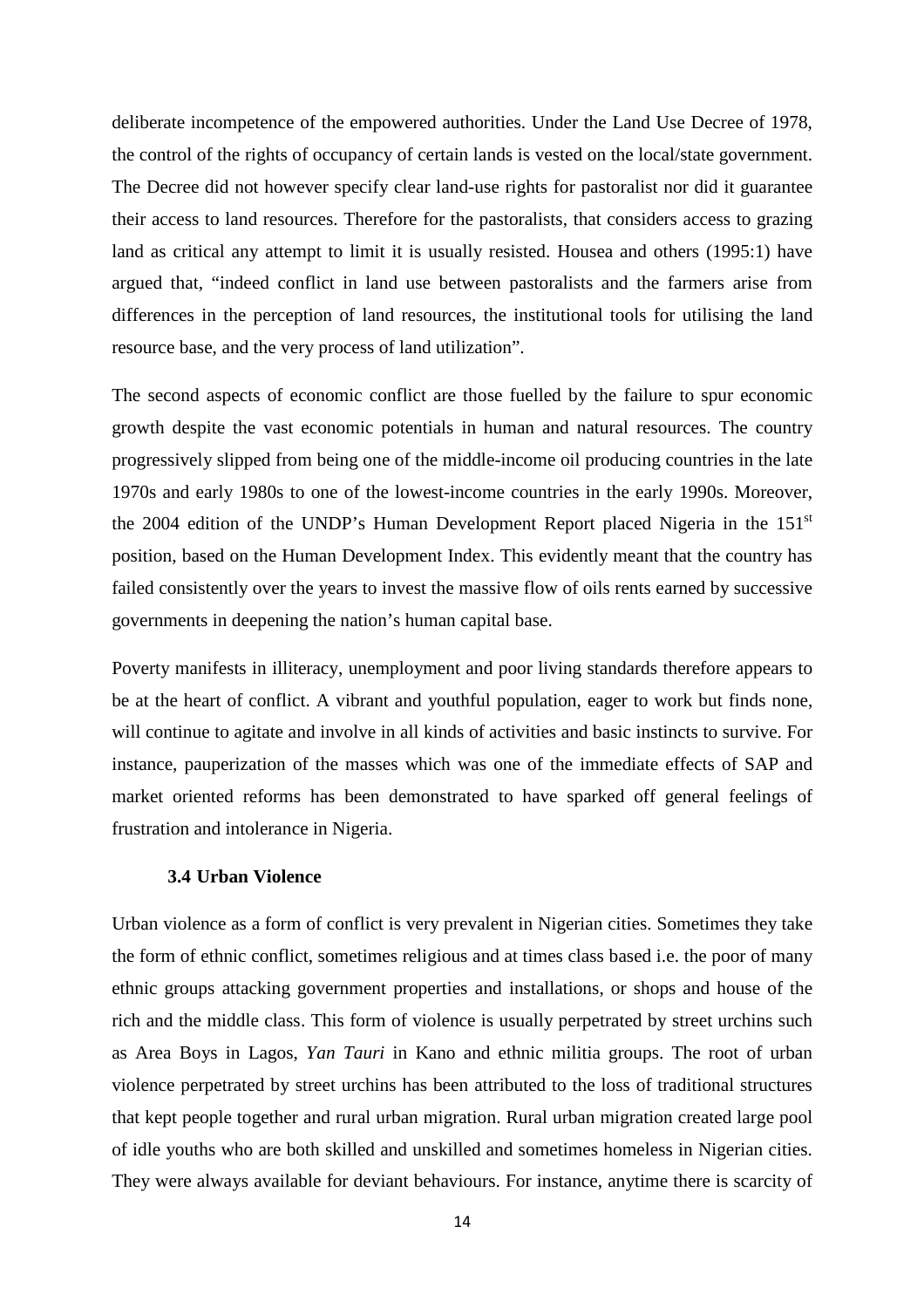deliberate incompetence of the empowered authorities. Under the Land Use Decree of 1978, the control of the rights of occupancy of certain lands is vested on the local/state government. The Decree did not however specify clear land-use rights for pastoralist nor did it guarantee their access to land resources. Therefore for the pastoralists, that considers access to grazing land as critical any attempt to limit it is usually resisted. Housea and others (1995:1) have argued that, "indeed conflict in land use between pastoralists and the farmers arise from differences in the perception of land resources, the institutional tools for utilising the land resource base, and the very process of land utilization".

The second aspects of economic conflict are those fuelled by the failure to spur economic growth despite the vast economic potentials in human and natural resources. The country progressively slipped from being one of the middle-income oil producing countries in the late 1970s and early 1980s to one of the lowest-income countries in the early 1990s. Moreover, the 2004 edition of the UNDP's Human Development Report placed Nigeria in the 151<sup>st</sup> position, based on the Human Development Index. This evidently meant that the country has failed consistently over the years to invest the massive flow of oils rents earned by successive governments in deepening the nation's human capital base.

Poverty manifests in illiteracy, unemployment and poor living standards therefore appears to be at the heart of conflict. A vibrant and youthful population, eager to work but finds none, will continue to agitate and involve in all kinds of activities and basic instincts to survive. For instance, pauperization of the masses which was one of the immediate effects of SAP and market oriented reforms has been demonstrated to have sparked off general feelings of frustration and intolerance in Nigeria.

### **3.4 Urban Violence**

Urban violence as a form of conflict is very prevalent in Nigerian cities. Sometimes they take the form of ethnic conflict, sometimes religious and at times class based i.e. the poor of many ethnic groups attacking government properties and installations, or shops and house of the rich and the middle class. This form of violence is usually perpetrated by street urchins such as Area Boys in Lagos, *Yan Tauri* in Kano and ethnic militia groups. The root of urban violence perpetrated by street urchins has been attributed to the loss of traditional structures that kept people together and rural urban migration. Rural urban migration created large pool of idle youths who are both skilled and unskilled and sometimes homeless in Nigerian cities. They were always available for deviant behaviours. For instance, anytime there is scarcity of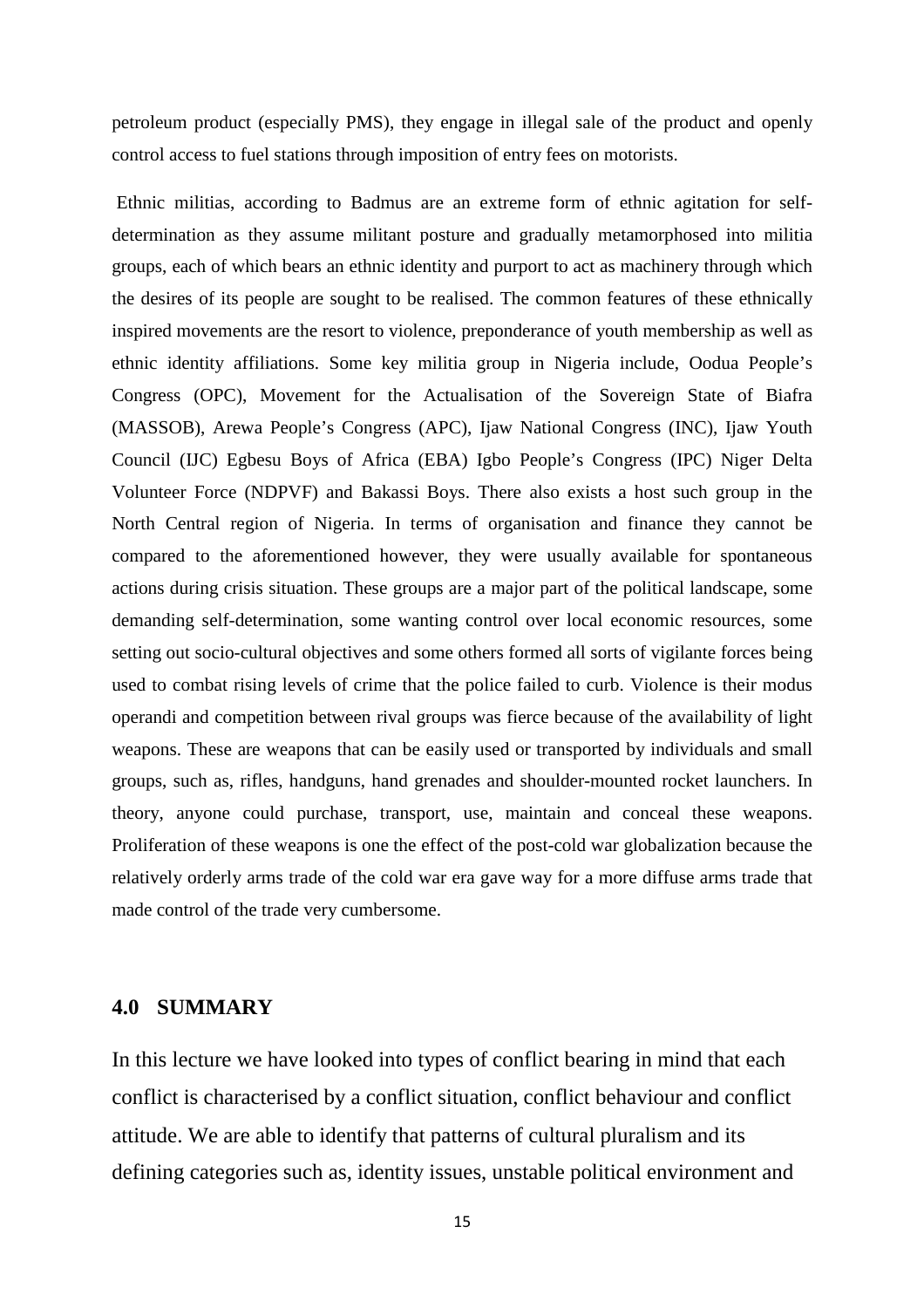petroleum product (especially PMS), they engage in illegal sale of the product and openly control access to fuel stations through imposition of entry fees on motorists.

 Ethnic militias, according to Badmus are an extreme form of ethnic agitation for selfdetermination as they assume militant posture and gradually metamorphosed into militia groups, each of which bears an ethnic identity and purport to act as machinery through which the desires of its people are sought to be realised. The common features of these ethnically inspired movements are the resort to violence, preponderance of youth membership as well as ethnic identity affiliations. Some key militia group in Nigeria include, Oodua People's Congress (OPC), Movement for the Actualisation of the Sovereign State of Biafra (MASSOB), Arewa People's Congress (APC), Ijaw National Congress (INC), Ijaw Youth Council (IJC) Egbesu Boys of Africa (EBA) Igbo People's Congress (IPC) Niger Delta Volunteer Force (NDPVF) and Bakassi Boys. There also exists a host such group in the North Central region of Nigeria. In terms of organisation and finance they cannot be compared to the aforementioned however, they were usually available for spontaneous actions during crisis situation. These groups are a major part of the political landscape, some demanding self-determination, some wanting control over local economic resources, some setting out socio-cultural objectives and some others formed all sorts of vigilante forces being used to combat rising levels of crime that the police failed to curb. Violence is their modus operandi and competition between rival groups was fierce because of the availability of light weapons. These are weapons that can be easily used or transported by individuals and small groups, such as, rifles, handguns, hand grenades and shoulder-mounted rocket launchers. In theory, anyone could purchase, transport, use, maintain and conceal these weapons. Proliferation of these weapons is one the effect of the post-cold war globalization because the relatively orderly arms trade of the cold war era gave way for a more diffuse arms trade that made control of the trade very cumbersome.

### **4.0 SUMMARY**

In this lecture we have looked into types of conflict bearing in mind that each conflict is characterised by a conflict situation, conflict behaviour and conflict attitude. We are able to identify that patterns of cultural pluralism and its defining categories such as, identity issues, unstable political environment and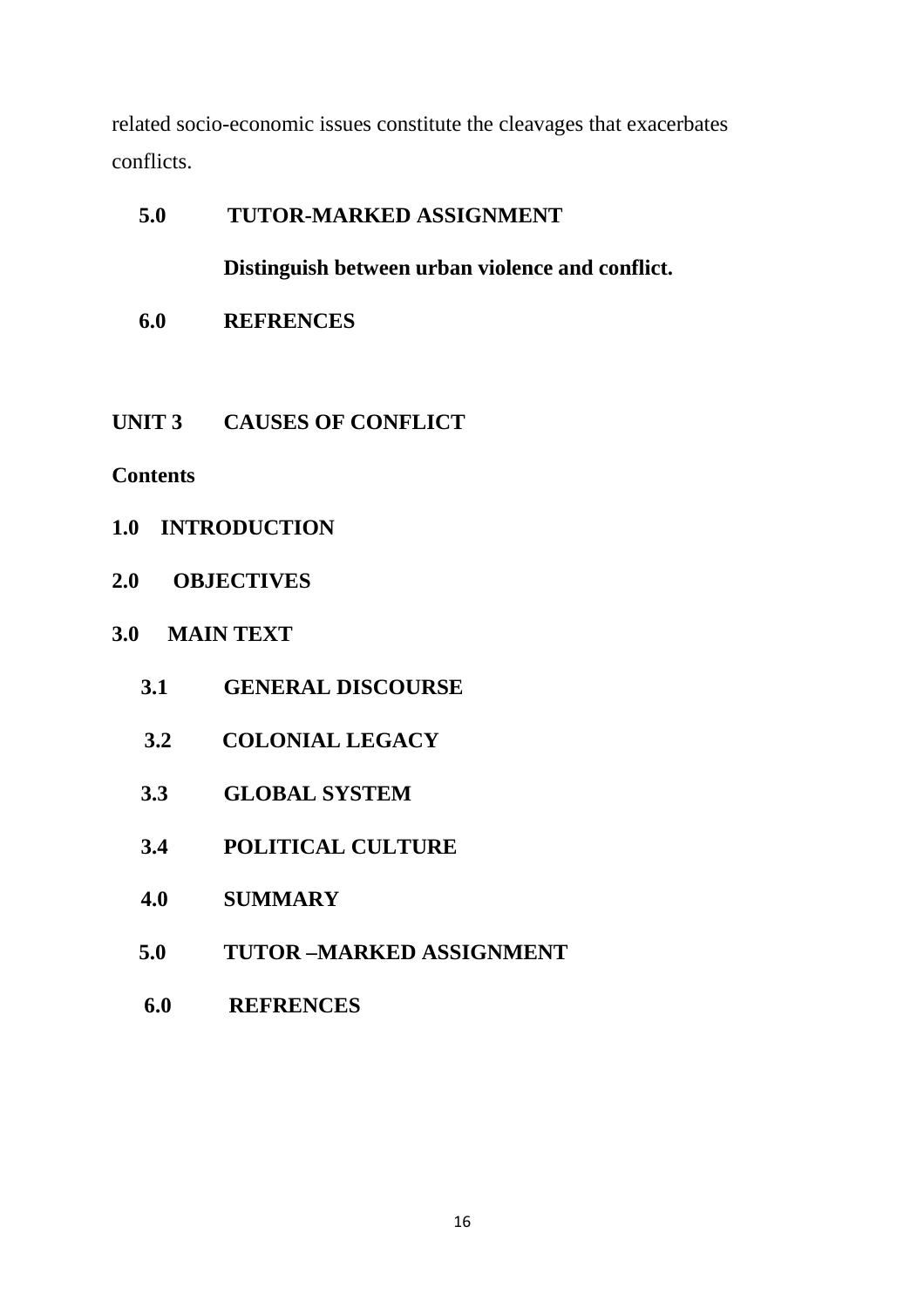related socio-economic issues constitute the cleavages that exacerbates conflicts.

# **5.0 TUTOR-MARKED ASSIGNMENT**

**Distinguish between urban violence and conflict.** 

- **6.0 REFRENCES**
- **UNIT 3 CAUSES OF CONFLICT**

# **Contents**

- **1.0 INTRODUCTION**
- **2.0 OBJECTIVES**

# **3.0 MAIN TEXT**

- **3.1 GENERAL DISCOURSE**
- **3.2 COLONIAL LEGACY**
- **3.3 GLOBAL SYSTEM**
- **3.4 POLITICAL CULTURE**
- **4.0 SUMMARY**
- **5.0 TUTOR –MARKED ASSIGNMENT**
- **6.0 REFRENCES**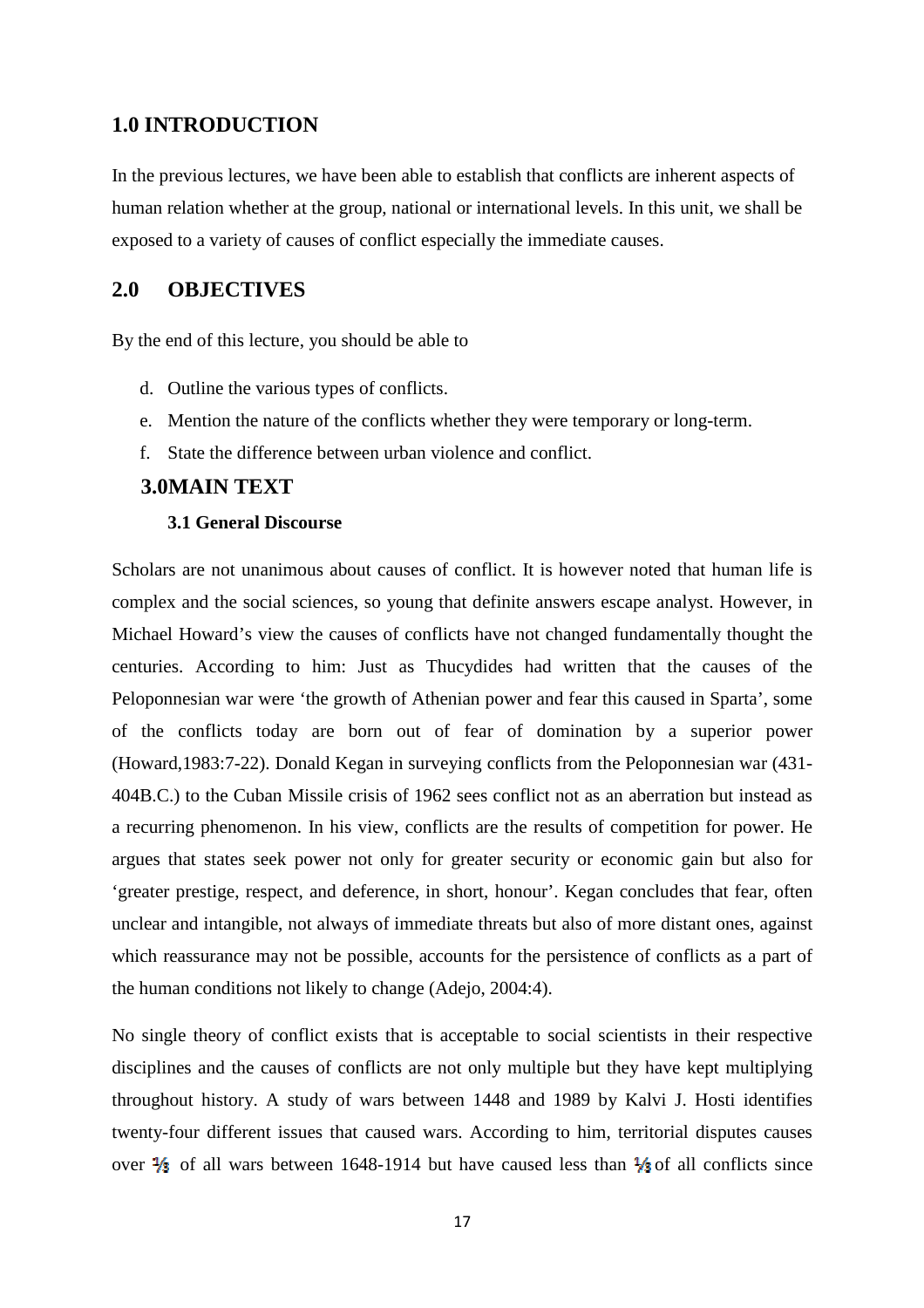### **1.0 INTRODUCTION**

In the previous lectures, we have been able to establish that conflicts are inherent aspects of human relation whether at the group, national or international levels. In this unit, we shall be exposed to a variety of causes of conflict especially the immediate causes.

### **2.0 OBJECTIVES**

By the end of this lecture, you should be able to

- d. Outline the various types of conflicts.
- e. Mention the nature of the conflicts whether they were temporary or long-term.
- f. State the difference between urban violence and conflict.

### **3.0MAIN TEXT**

### **3.1 General Discourse**

Scholars are not unanimous about causes of conflict. It is however noted that human life is complex and the social sciences, so young that definite answers escape analyst. However, in Michael Howard's view the causes of conflicts have not changed fundamentally thought the centuries. According to him: Just as Thucydides had written that the causes of the Peloponnesian war were 'the growth of Athenian power and fear this caused in Sparta', some of the conflicts today are born out of fear of domination by a superior power (Howard,1983:7-22). Donald Kegan in surveying conflicts from the Peloponnesian war (431- 404B.C.) to the Cuban Missile crisis of 1962 sees conflict not as an aberration but instead as a recurring phenomenon. In his view, conflicts are the results of competition for power. He argues that states seek power not only for greater security or economic gain but also for 'greater prestige, respect, and deference, in short, honour'. Kegan concludes that fear, often unclear and intangible, not always of immediate threats but also of more distant ones, against which reassurance may not be possible, accounts for the persistence of conflicts as a part of the human conditions not likely to change (Adejo, 2004:4).

No single theory of conflict exists that is acceptable to social scientists in their respective disciplines and the causes of conflicts are not only multiple but they have kept multiplying throughout history. A study of wars between 1448 and 1989 by Kalvi J. Hosti identifies twenty-four different issues that caused wars. According to him, territorial disputes causes over  $\frac{1}{2}$  of all wars between 1648-1914 but have caused less than  $\frac{1}{2}$  of all conflicts since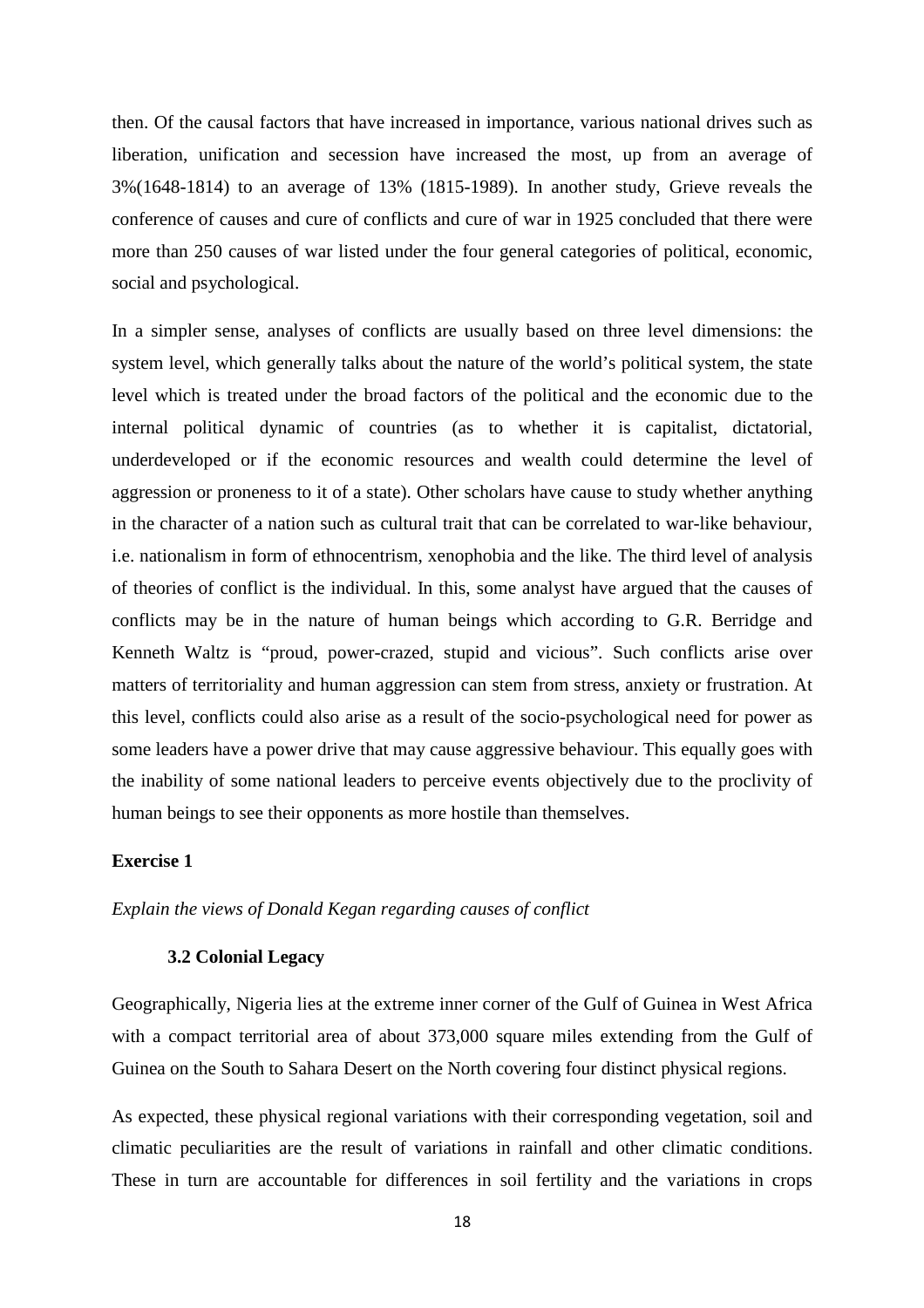then. Of the causal factors that have increased in importance, various national drives such as liberation, unification and secession have increased the most, up from an average of 3%(1648-1814) to an average of 13% (1815-1989). In another study, Grieve reveals the conference of causes and cure of conflicts and cure of war in 1925 concluded that there were more than 250 causes of war listed under the four general categories of political, economic, social and psychological.

In a simpler sense, analyses of conflicts are usually based on three level dimensions: the system level, which generally talks about the nature of the world's political system, the state level which is treated under the broad factors of the political and the economic due to the internal political dynamic of countries (as to whether it is capitalist, dictatorial, underdeveloped or if the economic resources and wealth could determine the level of aggression or proneness to it of a state). Other scholars have cause to study whether anything in the character of a nation such as cultural trait that can be correlated to war-like behaviour, i.e. nationalism in form of ethnocentrism, xenophobia and the like. The third level of analysis of theories of conflict is the individual. In this, some analyst have argued that the causes of conflicts may be in the nature of human beings which according to G.R. Berridge and Kenneth Waltz is "proud, power-crazed, stupid and vicious". Such conflicts arise over matters of territoriality and human aggression can stem from stress, anxiety or frustration. At this level, conflicts could also arise as a result of the socio-psychological need for power as some leaders have a power drive that may cause aggressive behaviour. This equally goes with the inability of some national leaders to perceive events objectively due to the proclivity of human beings to see their opponents as more hostile than themselves.

#### **Exercise 1**

*Explain the views of Donald Kegan regarding causes of conflict* 

#### **3.2 Colonial Legacy**

Geographically, Nigeria lies at the extreme inner corner of the Gulf of Guinea in West Africa with a compact territorial area of about 373,000 square miles extending from the Gulf of Guinea on the South to Sahara Desert on the North covering four distinct physical regions.

As expected, these physical regional variations with their corresponding vegetation, soil and climatic peculiarities are the result of variations in rainfall and other climatic conditions. These in turn are accountable for differences in soil fertility and the variations in crops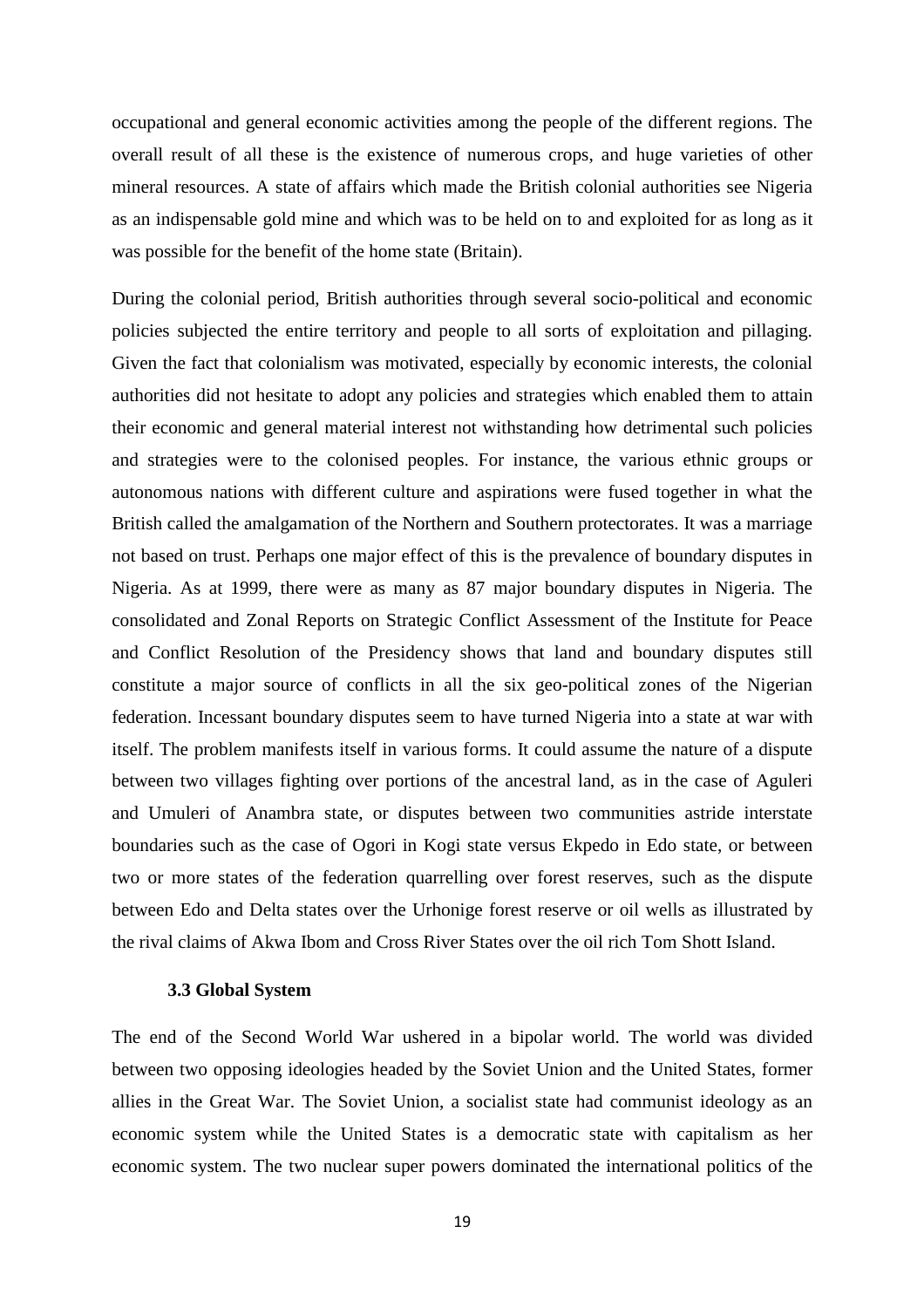occupational and general economic activities among the people of the different regions. The overall result of all these is the existence of numerous crops, and huge varieties of other mineral resources. A state of affairs which made the British colonial authorities see Nigeria as an indispensable gold mine and which was to be held on to and exploited for as long as it was possible for the benefit of the home state (Britain).

During the colonial period, British authorities through several socio-political and economic policies subjected the entire territory and people to all sorts of exploitation and pillaging. Given the fact that colonialism was motivated, especially by economic interests, the colonial authorities did not hesitate to adopt any policies and strategies which enabled them to attain their economic and general material interest not withstanding how detrimental such policies and strategies were to the colonised peoples. For instance, the various ethnic groups or autonomous nations with different culture and aspirations were fused together in what the British called the amalgamation of the Northern and Southern protectorates. It was a marriage not based on trust. Perhaps one major effect of this is the prevalence of boundary disputes in Nigeria. As at 1999, there were as many as 87 major boundary disputes in Nigeria. The consolidated and Zonal Reports on Strategic Conflict Assessment of the Institute for Peace and Conflict Resolution of the Presidency shows that land and boundary disputes still constitute a major source of conflicts in all the six geo-political zones of the Nigerian federation. Incessant boundary disputes seem to have turned Nigeria into a state at war with itself. The problem manifests itself in various forms. It could assume the nature of a dispute between two villages fighting over portions of the ancestral land, as in the case of Aguleri and Umuleri of Anambra state, or disputes between two communities astride interstate boundaries such as the case of Ogori in Kogi state versus Ekpedo in Edo state, or between two or more states of the federation quarrelling over forest reserves, such as the dispute between Edo and Delta states over the Urhonige forest reserve or oil wells as illustrated by the rival claims of Akwa Ibom and Cross River States over the oil rich Tom Shott Island.

#### **3.3 Global System**

The end of the Second World War ushered in a bipolar world. The world was divided between two opposing ideologies headed by the Soviet Union and the United States, former allies in the Great War. The Soviet Union, a socialist state had communist ideology as an economic system while the United States is a democratic state with capitalism as her economic system. The two nuclear super powers dominated the international politics of the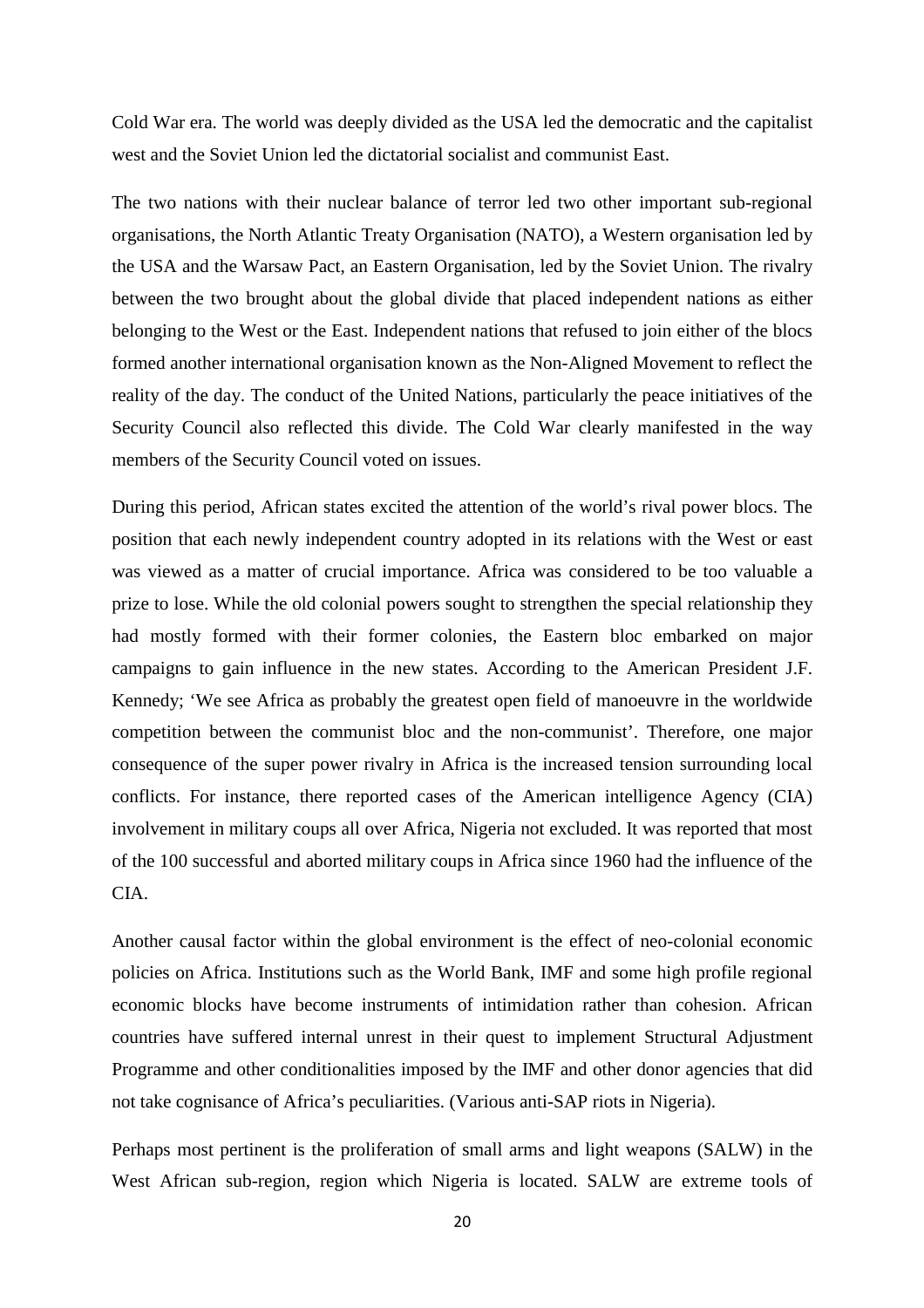Cold War era. The world was deeply divided as the USA led the democratic and the capitalist west and the Soviet Union led the dictatorial socialist and communist East.

The two nations with their nuclear balance of terror led two other important sub-regional organisations, the North Atlantic Treaty Organisation (NATO), a Western organisation led by the USA and the Warsaw Pact, an Eastern Organisation, led by the Soviet Union. The rivalry between the two brought about the global divide that placed independent nations as either belonging to the West or the East. Independent nations that refused to join either of the blocs formed another international organisation known as the Non-Aligned Movement to reflect the reality of the day. The conduct of the United Nations, particularly the peace initiatives of the Security Council also reflected this divide. The Cold War clearly manifested in the way members of the Security Council voted on issues.

During this period, African states excited the attention of the world's rival power blocs. The position that each newly independent country adopted in its relations with the West or east was viewed as a matter of crucial importance. Africa was considered to be too valuable a prize to lose. While the old colonial powers sought to strengthen the special relationship they had mostly formed with their former colonies, the Eastern bloc embarked on major campaigns to gain influence in the new states. According to the American President J.F. Kennedy; 'We see Africa as probably the greatest open field of manoeuvre in the worldwide competition between the communist bloc and the non-communist'. Therefore, one major consequence of the super power rivalry in Africa is the increased tension surrounding local conflicts. For instance, there reported cases of the American intelligence Agency (CIA) involvement in military coups all over Africa, Nigeria not excluded. It was reported that most of the 100 successful and aborted military coups in Africa since 1960 had the influence of the CIA.

Another causal factor within the global environment is the effect of neo-colonial economic policies on Africa. Institutions such as the World Bank, IMF and some high profile regional economic blocks have become instruments of intimidation rather than cohesion. African countries have suffered internal unrest in their quest to implement Structural Adjustment Programme and other conditionalities imposed by the IMF and other donor agencies that did not take cognisance of Africa's peculiarities. (Various anti-SAP riots in Nigeria).

Perhaps most pertinent is the proliferation of small arms and light weapons (SALW) in the West African sub-region, region which Nigeria is located. SALW are extreme tools of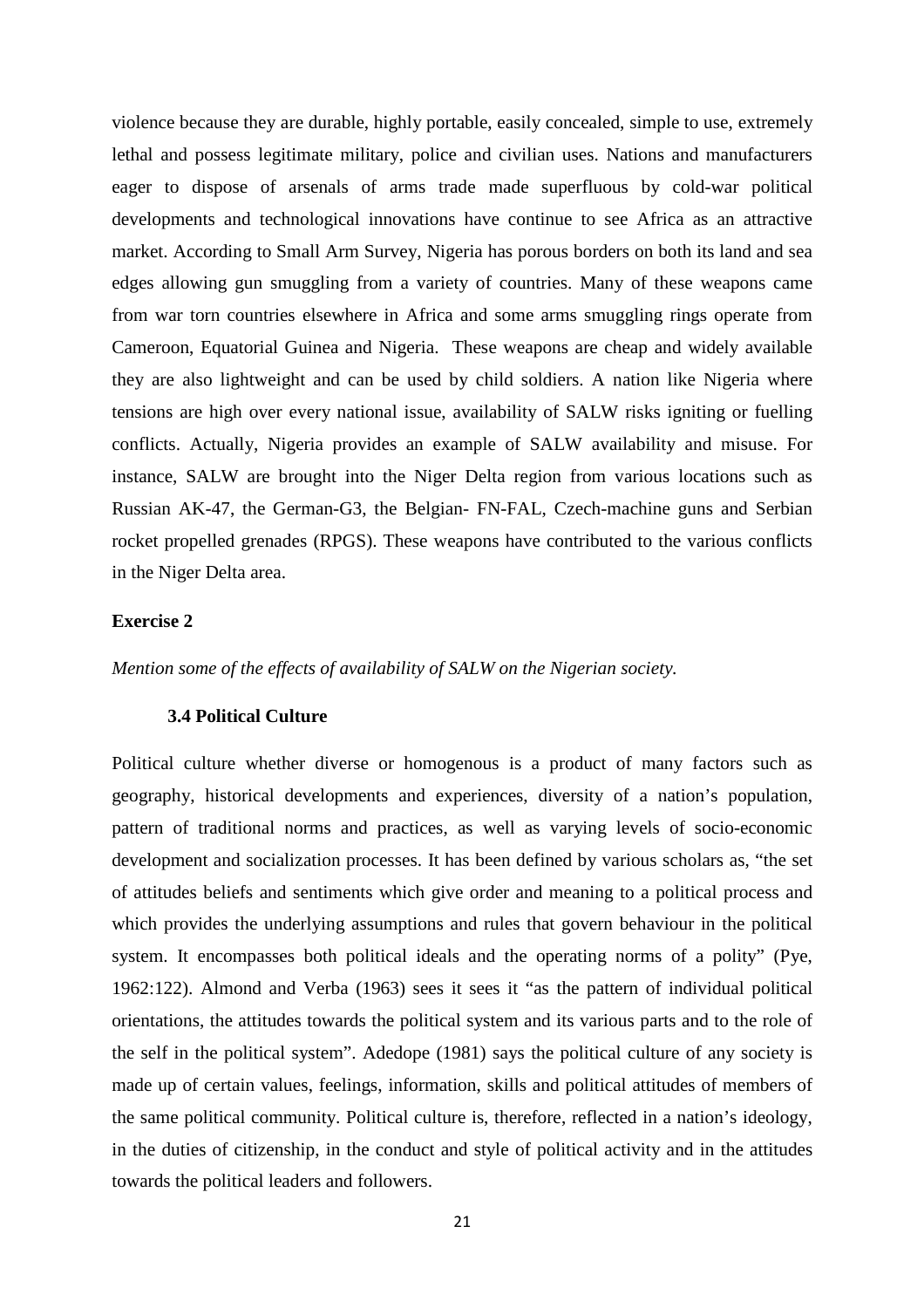violence because they are durable, highly portable, easily concealed, simple to use, extremely lethal and possess legitimate military, police and civilian uses. Nations and manufacturers eager to dispose of arsenals of arms trade made superfluous by cold-war political developments and technological innovations have continue to see Africa as an attractive market. According to Small Arm Survey, Nigeria has porous borders on both its land and sea edges allowing gun smuggling from a variety of countries. Many of these weapons came from war torn countries elsewhere in Africa and some arms smuggling rings operate from Cameroon, Equatorial Guinea and Nigeria. These weapons are cheap and widely available they are also lightweight and can be used by child soldiers. A nation like Nigeria where tensions are high over every national issue, availability of SALW risks igniting or fuelling conflicts. Actually, Nigeria provides an example of SALW availability and misuse. For instance, SALW are brought into the Niger Delta region from various locations such as Russian AK-47, the German-G3, the Belgian- FN-FAL, Czech-machine guns and Serbian rocket propelled grenades (RPGS). These weapons have contributed to the various conflicts in the Niger Delta area.

#### **Exercise 2**

*Mention some of the effects of availability of SALW on the Nigerian society.* 

#### **3.4 Political Culture**

Political culture whether diverse or homogenous is a product of many factors such as geography, historical developments and experiences, diversity of a nation's population, pattern of traditional norms and practices, as well as varying levels of socio-economic development and socialization processes. It has been defined by various scholars as, "the set of attitudes beliefs and sentiments which give order and meaning to a political process and which provides the underlying assumptions and rules that govern behaviour in the political system. It encompasses both political ideals and the operating norms of a polity" (Pye, 1962:122). Almond and Verba (1963) sees it sees it "as the pattern of individual political orientations, the attitudes towards the political system and its various parts and to the role of the self in the political system". Adedope (1981) says the political culture of any society is made up of certain values, feelings, information, skills and political attitudes of members of the same political community. Political culture is, therefore, reflected in a nation's ideology, in the duties of citizenship, in the conduct and style of political activity and in the attitudes towards the political leaders and followers.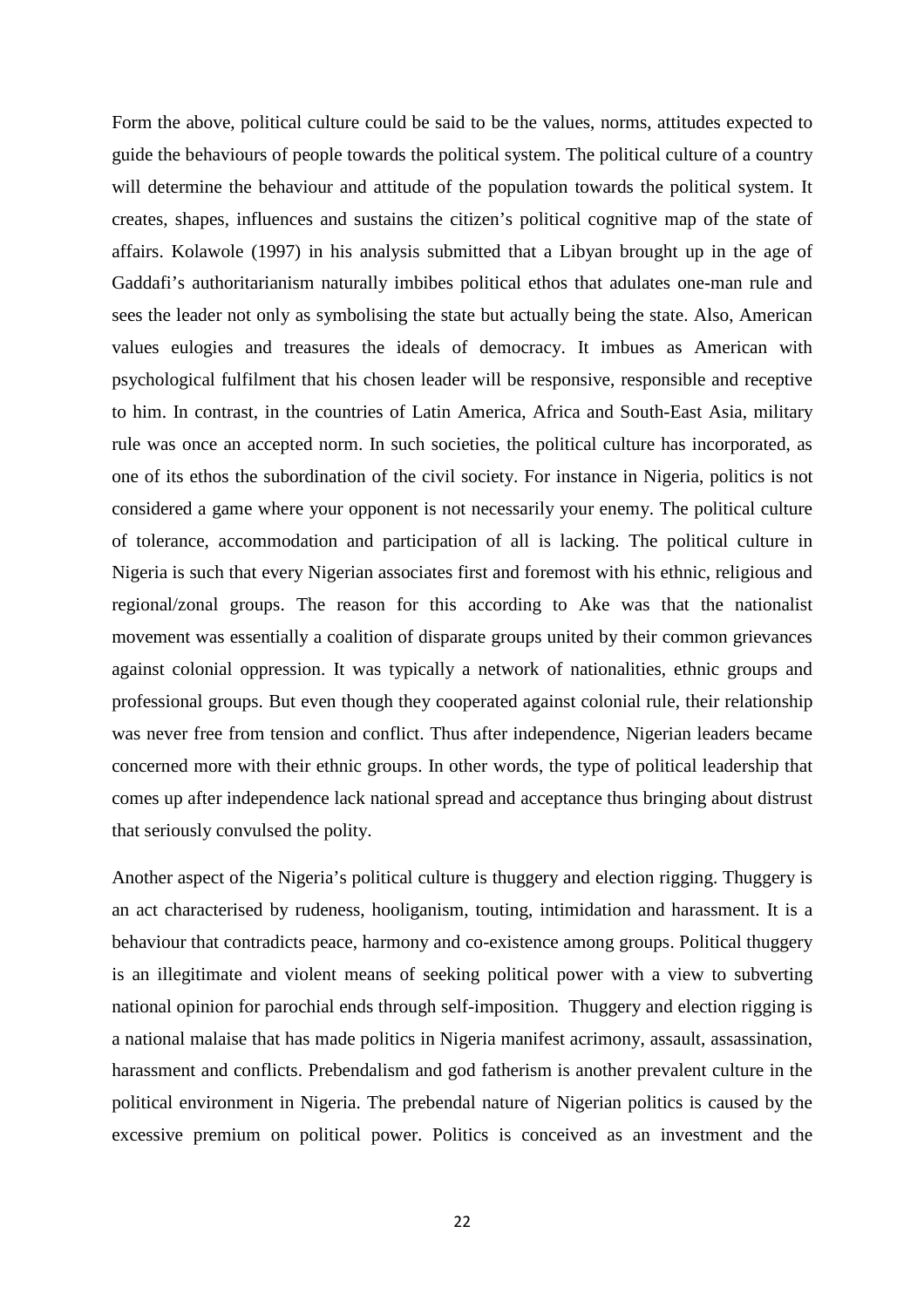Form the above, political culture could be said to be the values, norms, attitudes expected to guide the behaviours of people towards the political system. The political culture of a country will determine the behaviour and attitude of the population towards the political system. It creates, shapes, influences and sustains the citizen's political cognitive map of the state of affairs. Kolawole (1997) in his analysis submitted that a Libyan brought up in the age of Gaddafi's authoritarianism naturally imbibes political ethos that adulates one-man rule and sees the leader not only as symbolising the state but actually being the state. Also, American values eulogies and treasures the ideals of democracy. It imbues as American with psychological fulfilment that his chosen leader will be responsive, responsible and receptive to him. In contrast, in the countries of Latin America, Africa and South-East Asia, military rule was once an accepted norm. In such societies, the political culture has incorporated, as one of its ethos the subordination of the civil society. For instance in Nigeria, politics is not considered a game where your opponent is not necessarily your enemy. The political culture of tolerance, accommodation and participation of all is lacking. The political culture in Nigeria is such that every Nigerian associates first and foremost with his ethnic, religious and regional/zonal groups. The reason for this according to Ake was that the nationalist movement was essentially a coalition of disparate groups united by their common grievances against colonial oppression. It was typically a network of nationalities, ethnic groups and professional groups. But even though they cooperated against colonial rule, their relationship was never free from tension and conflict. Thus after independence, Nigerian leaders became concerned more with their ethnic groups. In other words, the type of political leadership that comes up after independence lack national spread and acceptance thus bringing about distrust that seriously convulsed the polity.

Another aspect of the Nigeria's political culture is thuggery and election rigging. Thuggery is an act characterised by rudeness, hooliganism, touting, intimidation and harassment. It is a behaviour that contradicts peace, harmony and co-existence among groups. Political thuggery is an illegitimate and violent means of seeking political power with a view to subverting national opinion for parochial ends through self-imposition. Thuggery and election rigging is a national malaise that has made politics in Nigeria manifest acrimony, assault, assassination, harassment and conflicts. Prebendalism and god fatherism is another prevalent culture in the political environment in Nigeria. The prebendal nature of Nigerian politics is caused by the excessive premium on political power. Politics is conceived as an investment and the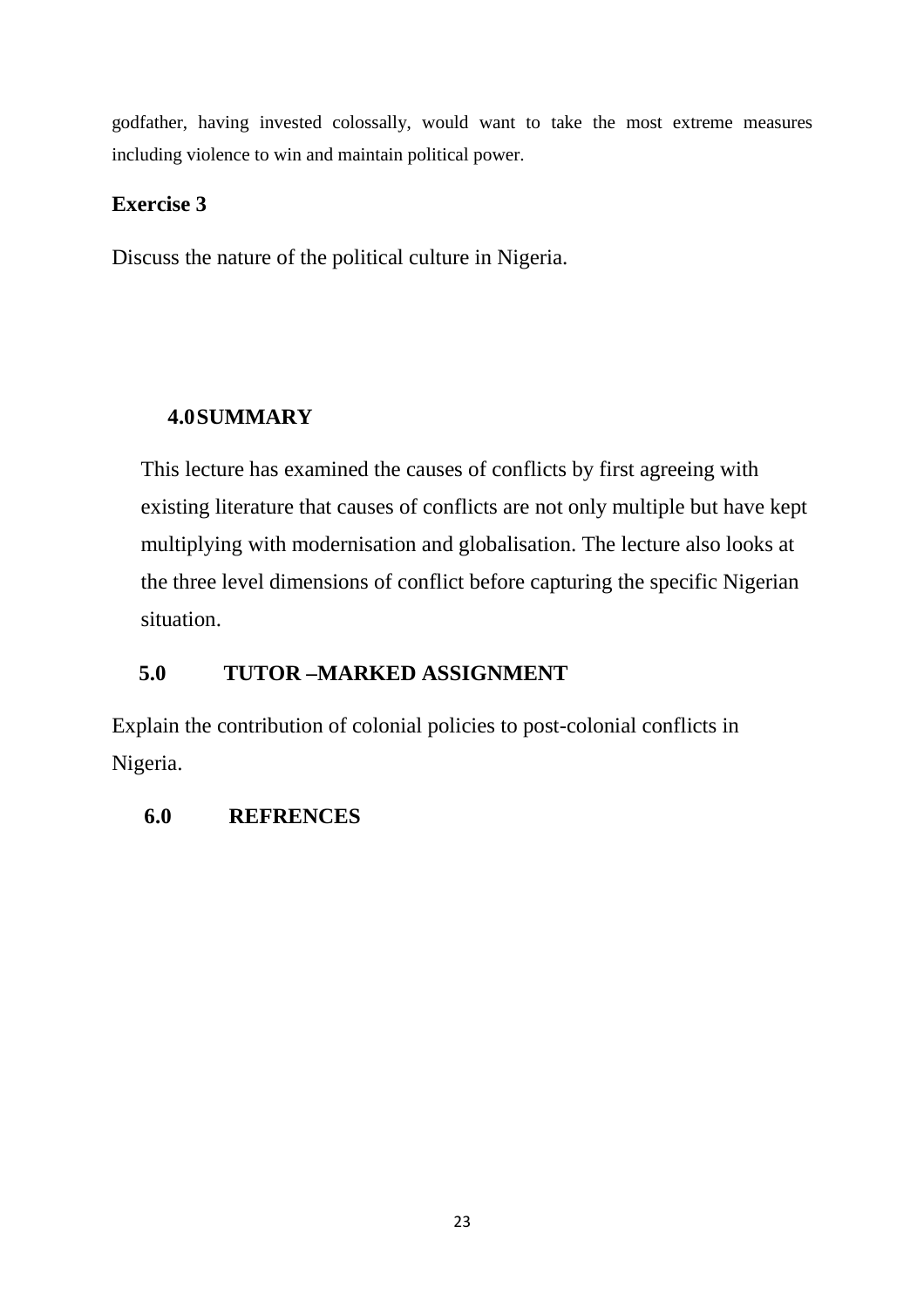godfather, having invested colossally, would want to take the most extreme measures including violence to win and maintain political power.

# **Exercise 3**

Discuss the nature of the political culture in Nigeria.

# **4.0SUMMARY**

This lecture has examined the causes of conflicts by first agreeing with existing literature that causes of conflicts are not only multiple but have kept multiplying with modernisation and globalisation. The lecture also looks at the three level dimensions of conflict before capturing the specific Nigerian situation.

# **5.0 TUTOR –MARKED ASSIGNMENT**

Explain the contribution of colonial policies to post-colonial conflicts in Nigeria.

# **6.0 REFRENCES**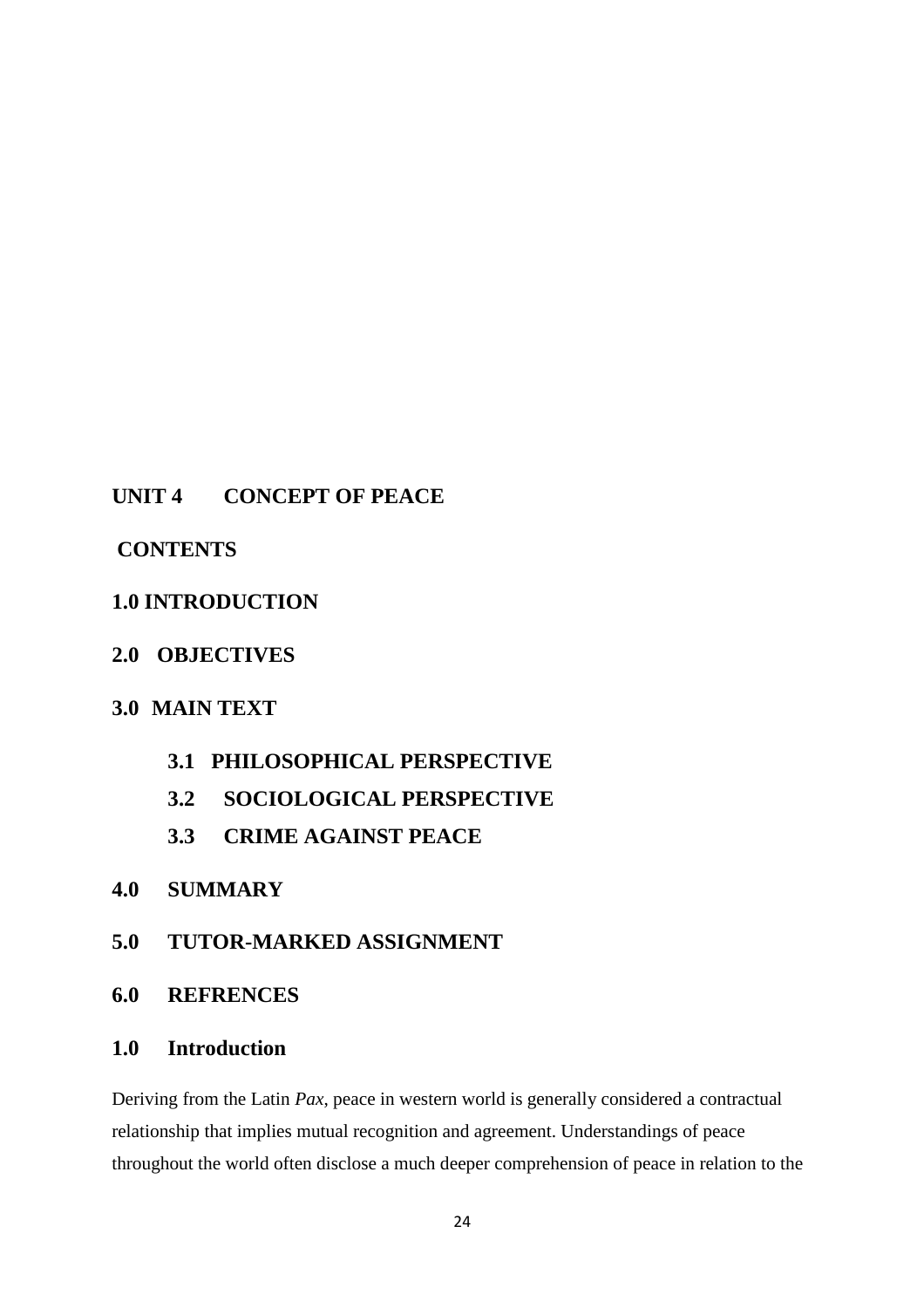## **UNIT 4 CONCEPT OF PEACE**

## **CONTENTS**

## **1.0 INTRODUCTION**

## **2.0 OBJECTIVES**

## **3.0 MAIN TEXT**

- **3.1 PHILOSOPHICAL PERSPECTIVE**
- **3.2 SOCIOLOGICAL PERSPECTIVE**
- **3.3 CRIME AGAINST PEACE**

## **4.0 SUMMARY**

## **5.0 TUTOR-MARKED ASSIGNMENT**

## **6.0 REFRENCES**

## **1.0 Introduction**

Deriving from the Latin *Pax*, peace in western world is generally considered a contractual relationship that implies mutual recognition and agreement. Understandings of peace throughout the world often disclose a much deeper comprehension of peace in relation to the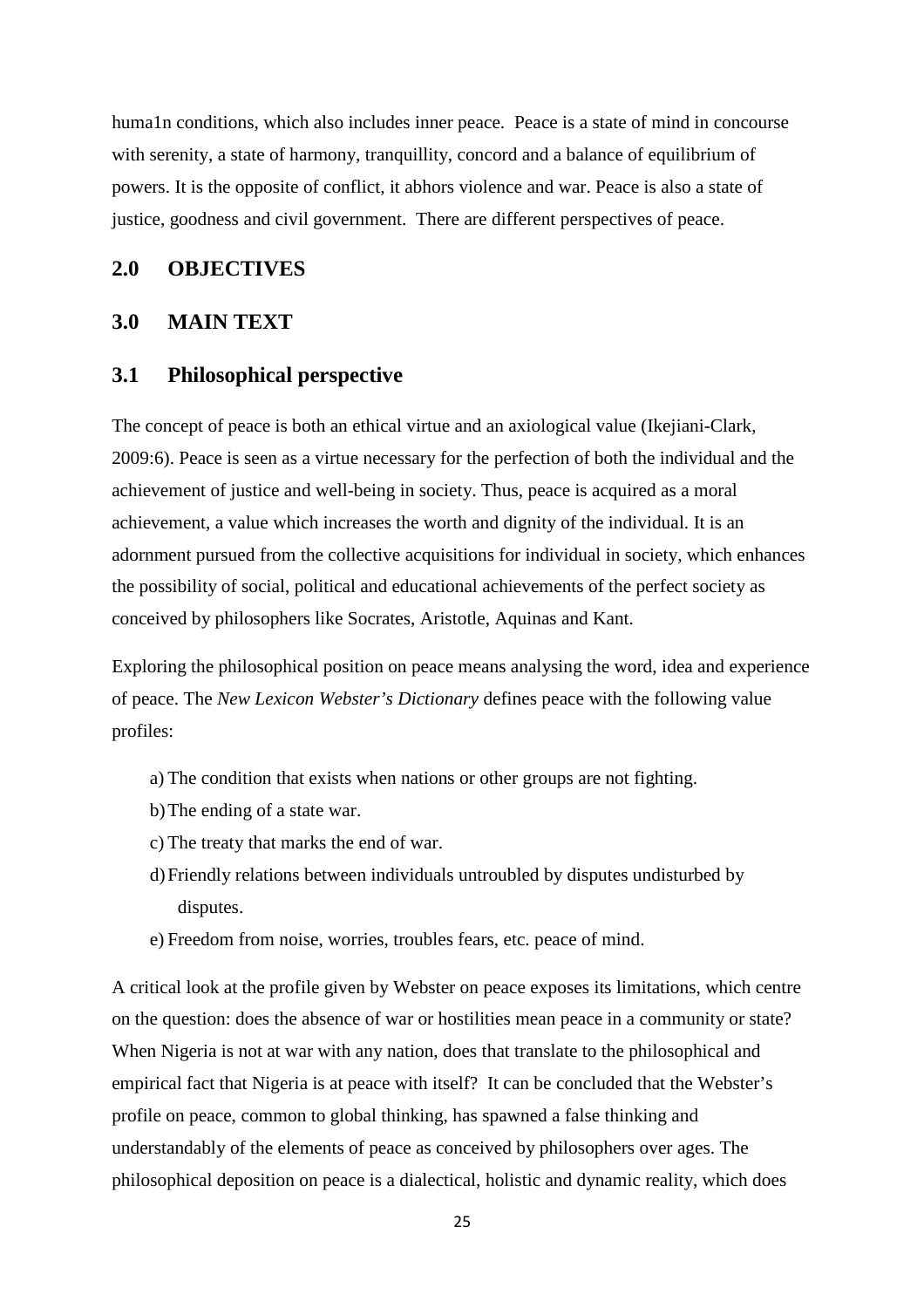huma1n conditions, which also includes inner peace. Peace is a state of mind in concourse with serenity, a state of harmony, tranquillity, concord and a balance of equilibrium of powers. It is the opposite of conflict, it abhors violence and war. Peace is also a state of justice, goodness and civil government. There are different perspectives of peace.

### **2.0 OBJECTIVES**

## **3.0 MAIN TEXT**

### **3.1 Philosophical perspective**

The concept of peace is both an ethical virtue and an axiological value (Ikejiani-Clark, 2009:6). Peace is seen as a virtue necessary for the perfection of both the individual and the achievement of justice and well-being in society. Thus, peace is acquired as a moral achievement, a value which increases the worth and dignity of the individual. It is an adornment pursued from the collective acquisitions for individual in society, which enhances the possibility of social, political and educational achievements of the perfect society as conceived by philosophers like Socrates, Aristotle, Aquinas and Kant.

Exploring the philosophical position on peace means analysing the word, idea and experience of peace. The *New Lexicon Webster's Dictionary* defines peace with the following value profiles:

- a) The condition that exists when nations or other groups are not fighting.
- b)The ending of a state war.
- c) The treaty that marks the end of war.
- d)Friendly relations between individuals untroubled by disputes undisturbed by disputes.
- e) Freedom from noise, worries, troubles fears, etc. peace of mind.

A critical look at the profile given by Webster on peace exposes its limitations, which centre on the question: does the absence of war or hostilities mean peace in a community or state? When Nigeria is not at war with any nation, does that translate to the philosophical and empirical fact that Nigeria is at peace with itself? It can be concluded that the Webster's profile on peace, common to global thinking, has spawned a false thinking and understandably of the elements of peace as conceived by philosophers over ages. The philosophical deposition on peace is a dialectical, holistic and dynamic reality, which does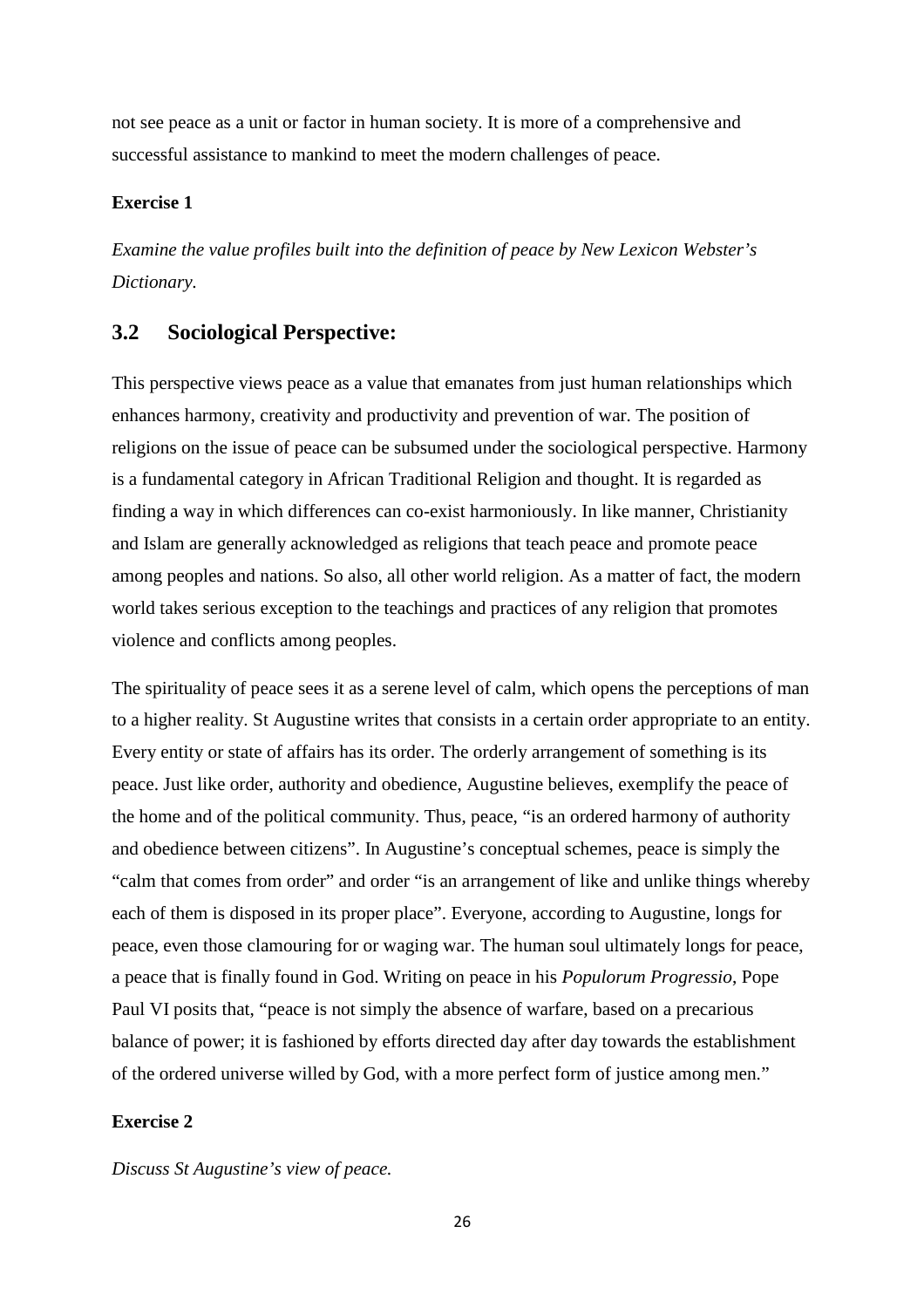not see peace as a unit or factor in human society. It is more of a comprehensive and successful assistance to mankind to meet the modern challenges of peace.

#### **Exercise 1**

*Examine the value profiles built into the definition of peace by New Lexicon Webster's Dictionary.* 

### **3.2 Sociological Perspective:**

This perspective views peace as a value that emanates from just human relationships which enhances harmony, creativity and productivity and prevention of war. The position of religions on the issue of peace can be subsumed under the sociological perspective. Harmony is a fundamental category in African Traditional Religion and thought. It is regarded as finding a way in which differences can co-exist harmoniously. In like manner, Christianity and Islam are generally acknowledged as religions that teach peace and promote peace among peoples and nations. So also, all other world religion. As a matter of fact, the modern world takes serious exception to the teachings and practices of any religion that promotes violence and conflicts among peoples.

The spirituality of peace sees it as a serene level of calm, which opens the perceptions of man to a higher reality. St Augustine writes that consists in a certain order appropriate to an entity. Every entity or state of affairs has its order. The orderly arrangement of something is its peace. Just like order, authority and obedience, Augustine believes, exemplify the peace of the home and of the political community. Thus, peace, "is an ordered harmony of authority and obedience between citizens". In Augustine's conceptual schemes, peace is simply the "calm that comes from order" and order "is an arrangement of like and unlike things whereby each of them is disposed in its proper place". Everyone, according to Augustine, longs for peace, even those clamouring for or waging war. The human soul ultimately longs for peace, a peace that is finally found in God. Writing on peace in his *Populorum Progressio*, Pope Paul VI posits that, "peace is not simply the absence of warfare, based on a precarious balance of power; it is fashioned by efforts directed day after day towards the establishment of the ordered universe willed by God, with a more perfect form of justice among men."

#### **Exercise 2**

*Discuss St Augustine's view of peace.*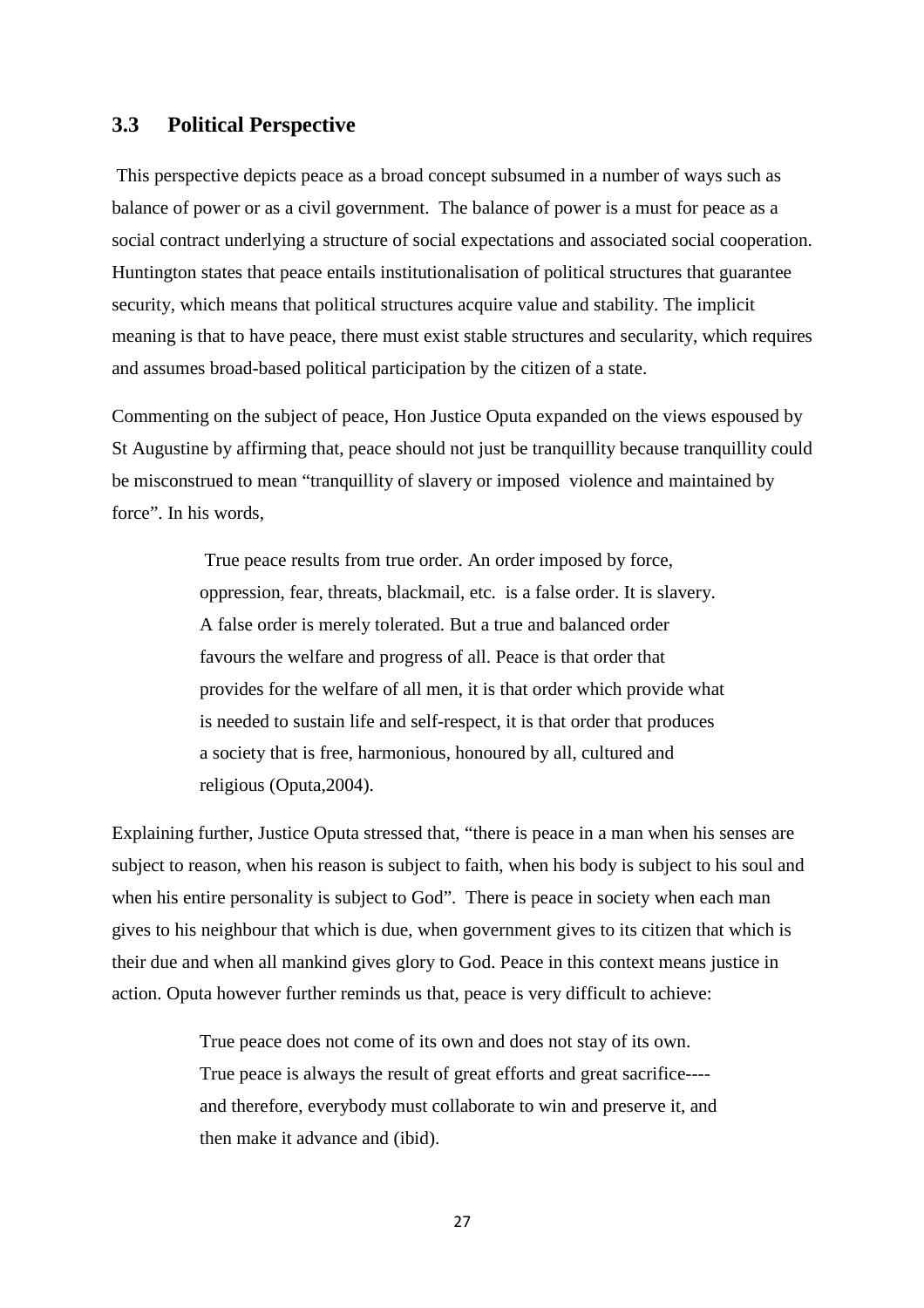### **3.3 Political Perspective**

 This perspective depicts peace as a broad concept subsumed in a number of ways such as balance of power or as a civil government. The balance of power is a must for peace as a social contract underlying a structure of social expectations and associated social cooperation. Huntington states that peace entails institutionalisation of political structures that guarantee security, which means that political structures acquire value and stability. The implicit meaning is that to have peace, there must exist stable structures and secularity, which requires and assumes broad-based political participation by the citizen of a state.

Commenting on the subject of peace, Hon Justice Oputa expanded on the views espoused by St Augustine by affirming that, peace should not just be tranquillity because tranquillity could be misconstrued to mean "tranquillity of slavery or imposed violence and maintained by force". In his words,

> True peace results from true order. An order imposed by force, oppression, fear, threats, blackmail, etc. is a false order. It is slavery. A false order is merely tolerated. But a true and balanced order favours the welfare and progress of all. Peace is that order that provides for the welfare of all men, it is that order which provide what is needed to sustain life and self-respect, it is that order that produces a society that is free, harmonious, honoured by all, cultured and religious (Oputa,2004).

Explaining further, Justice Oputa stressed that, "there is peace in a man when his senses are subject to reason, when his reason is subject to faith, when his body is subject to his soul and when his entire personality is subject to God". There is peace in society when each man gives to his neighbour that which is due, when government gives to its citizen that which is their due and when all mankind gives glory to God. Peace in this context means justice in action. Oputa however further reminds us that, peace is very difficult to achieve:

> True peace does not come of its own and does not stay of its own. True peace is always the result of great efforts and great sacrifice--- and therefore, everybody must collaborate to win and preserve it, and then make it advance and (ibid).

> > 27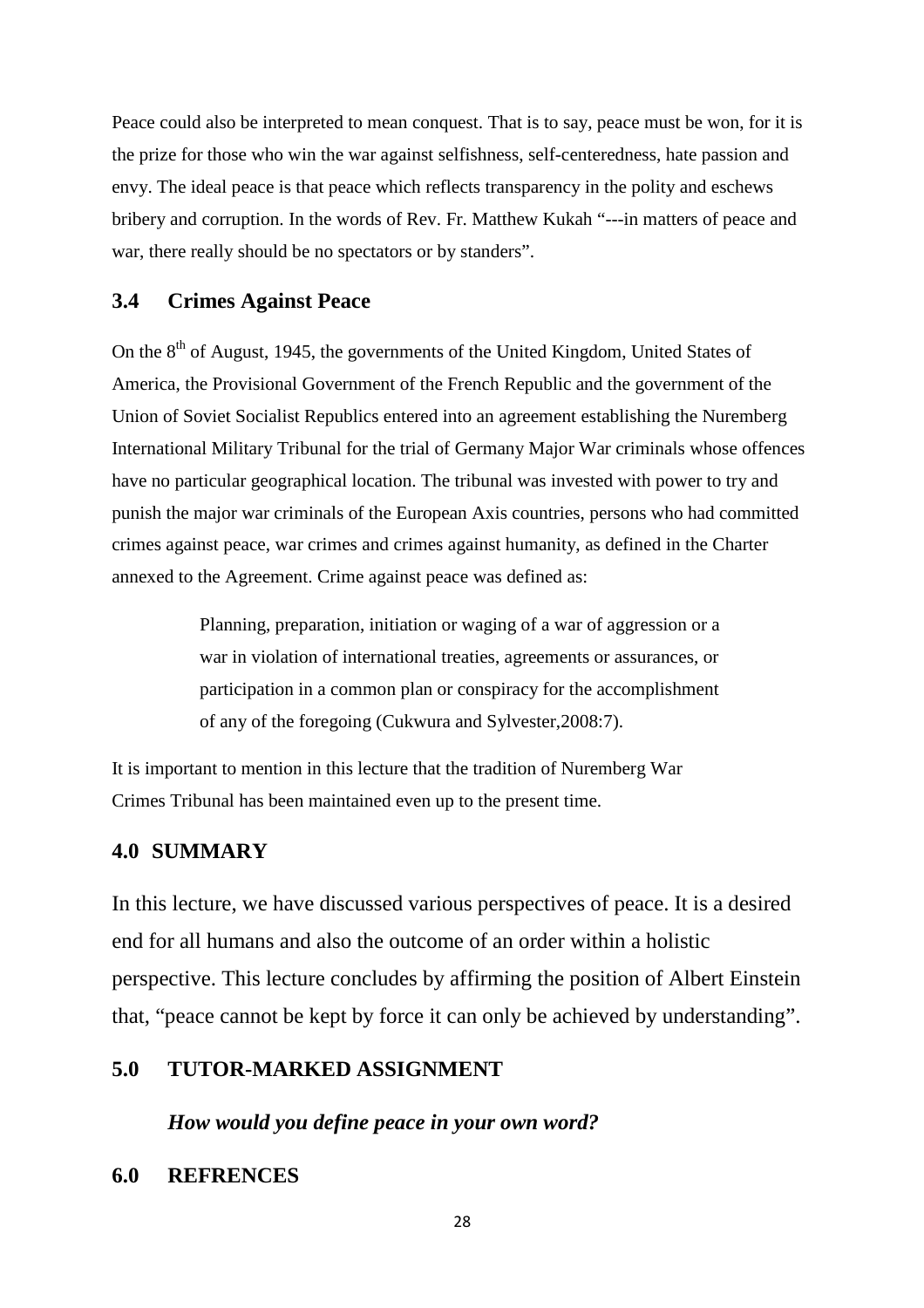Peace could also be interpreted to mean conquest. That is to say, peace must be won, for it is the prize for those who win the war against selfishness, self-centeredness, hate passion and envy. The ideal peace is that peace which reflects transparency in the polity and eschews bribery and corruption. In the words of Rev. Fr. Matthew Kukah "---in matters of peace and war, there really should be no spectators or by standers".

### **3.4 Crimes Against Peace**

On the 8<sup>th</sup> of August, 1945, the governments of the United Kingdom, United States of America, the Provisional Government of the French Republic and the government of the Union of Soviet Socialist Republics entered into an agreement establishing the Nuremberg International Military Tribunal for the trial of Germany Major War criminals whose offences have no particular geographical location. The tribunal was invested with power to try and punish the major war criminals of the European Axis countries, persons who had committed crimes against peace, war crimes and crimes against humanity, as defined in the Charter annexed to the Agreement. Crime against peace was defined as:

> Planning, preparation, initiation or waging of a war of aggression or a war in violation of international treaties, agreements or assurances, or participation in a common plan or conspiracy for the accomplishment of any of the foregoing (Cukwura and Sylvester,2008:7).

It is important to mention in this lecture that the tradition of Nuremberg War Crimes Tribunal has been maintained even up to the present time.

### **4.0 SUMMARY**

In this lecture, we have discussed various perspectives of peace. It is a desired end for all humans and also the outcome of an order within a holistic perspective. This lecture concludes by affirming the position of Albert Einstein that, "peace cannot be kept by force it can only be achieved by understanding".

### **5.0 TUTOR-MARKED ASSIGNMENT**

*How would you define peace in your own word?* 

### **6.0 REFRENCES**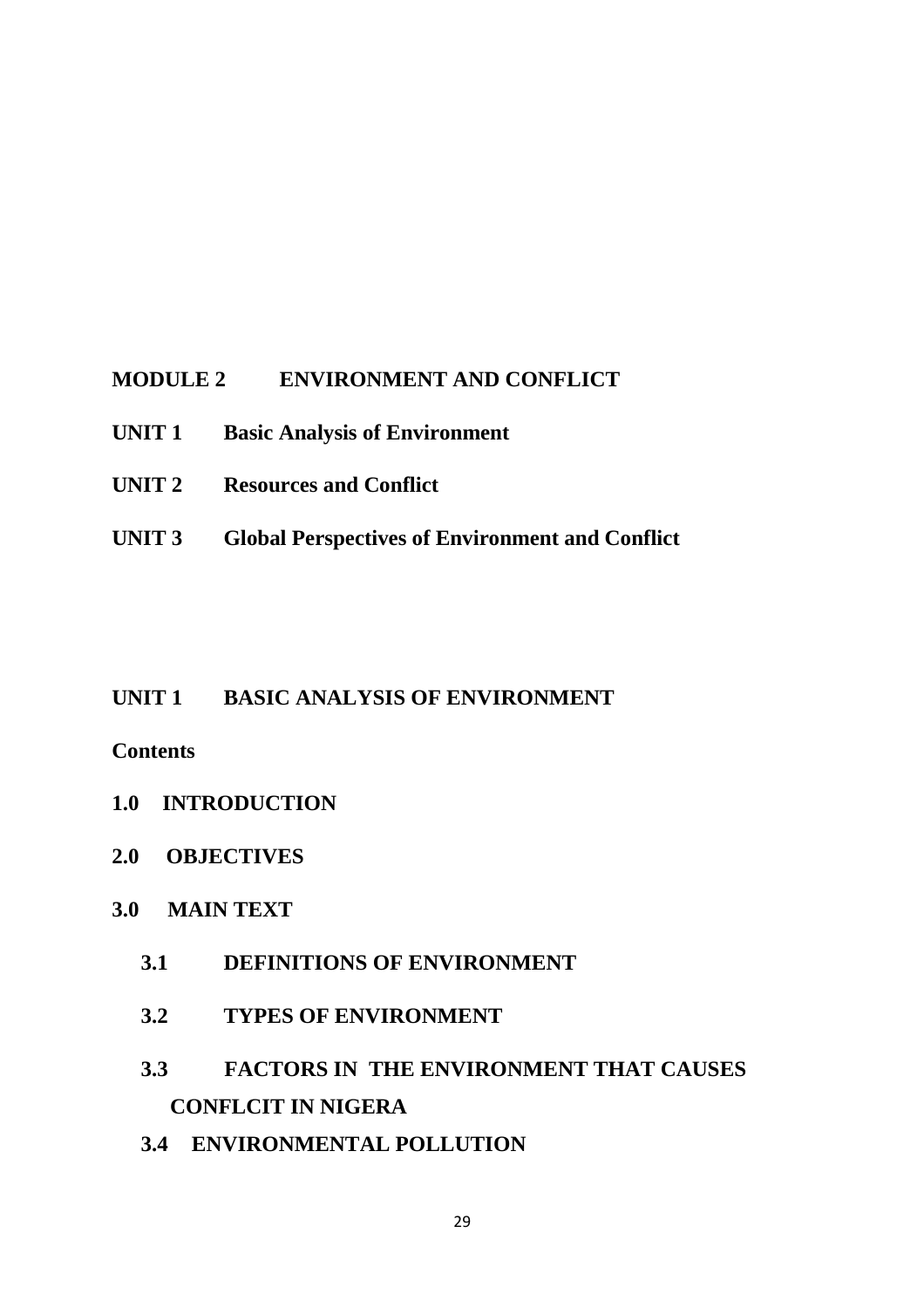## **MODULE 2 ENVIRONMENT AND CONFLICT**

- **UNIT 1 Basic Analysis of Environment**
- **UNIT 2 Resources and Conflict**
- **UNIT 3 Global Perspectives of Environment and Conflict**

## **UNIT 1 BASIC ANALYSIS OF ENVIRONMENT**

## **Contents**

- **1.0 INTRODUCTION**
- **2.0 OBJECTIVES**

## **3.0 MAIN TEXT**

- **3.1 DEFINITIONS OF ENVIRONMENT**
- **3.2 TYPES OF ENVIRONMENT**
- **3.3 FACTORS IN THE ENVIRONMENT THAT CAUSES CONFLCIT IN NIGERA**
- **3.4 ENVIRONMENTAL POLLUTION**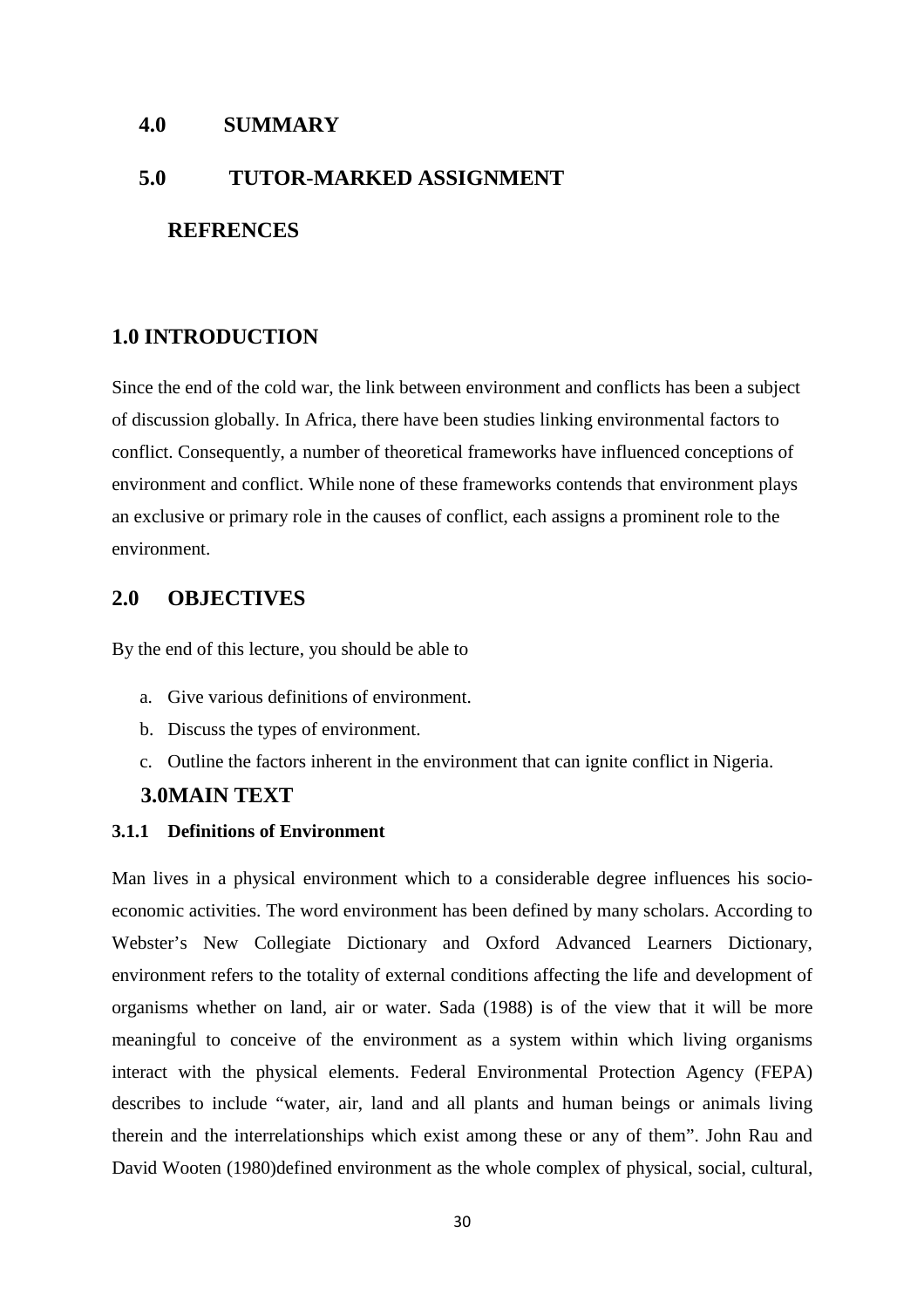### **4.0 SUMMARY**

# **5.0 TUTOR-MARKED ASSIGNMENT**

### **REFRENCES**

### **1.0 INTRODUCTION**

Since the end of the cold war, the link between environment and conflicts has been a subject of discussion globally. In Africa, there have been studies linking environmental factors to conflict. Consequently, a number of theoretical frameworks have influenced conceptions of environment and conflict. While none of these frameworks contends that environment plays an exclusive or primary role in the causes of conflict, each assigns a prominent role to the environment.

### **2.0 OBJECTIVES**

By the end of this lecture, you should be able to

- a. Give various definitions of environment.
- b. Discuss the types of environment.
- c. Outline the factors inherent in the environment that can ignite conflict in Nigeria.

### **3.0MAIN TEXT**

### **3.1.1 Definitions of Environment**

Man lives in a physical environment which to a considerable degree influences his socioeconomic activities. The word environment has been defined by many scholars. According to Webster's New Collegiate Dictionary and Oxford Advanced Learners Dictionary, environment refers to the totality of external conditions affecting the life and development of organisms whether on land, air or water. Sada (1988) is of the view that it will be more meaningful to conceive of the environment as a system within which living organisms interact with the physical elements. Federal Environmental Protection Agency (FEPA) describes to include "water, air, land and all plants and human beings or animals living therein and the interrelationships which exist among these or any of them". John Rau and David Wooten (1980)defined environment as the whole complex of physical, social, cultural,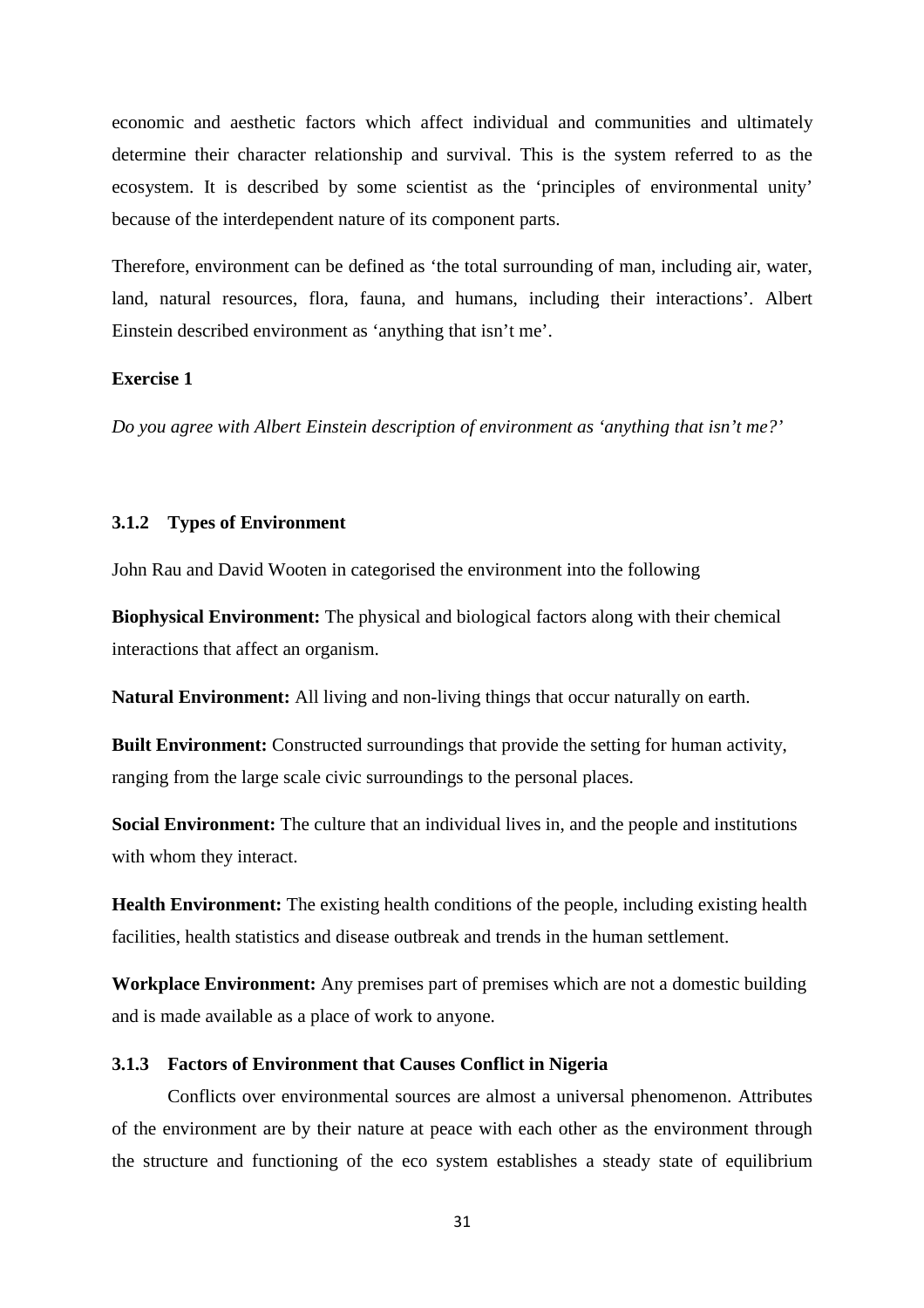economic and aesthetic factors which affect individual and communities and ultimately determine their character relationship and survival. This is the system referred to as the ecosystem. It is described by some scientist as the 'principles of environmental unity' because of the interdependent nature of its component parts.

Therefore, environment can be defined as 'the total surrounding of man, including air, water, land, natural resources, flora, fauna, and humans, including their interactions'. Albert Einstein described environment as 'anything that isn't me'.

#### **Exercise 1**

*Do you agree with Albert Einstein description of environment as 'anything that isn't me?'* 

#### **3.1.2 Types of Environment**

John Rau and David Wooten in categorised the environment into the following

**Biophysical Environment:** The physical and biological factors along with their chemical interactions that affect an organism.

**Natural Environment:** All living and non-living things that occur naturally on earth.

**Built Environment:** Constructed surroundings that provide the setting for human activity, ranging from the large scale civic surroundings to the personal places.

**Social Environment:** The culture that an individual lives in, and the people and institutions with whom they interact.

**Health Environment:** The existing health conditions of the people, including existing health facilities, health statistics and disease outbreak and trends in the human settlement.

**Workplace Environment:** Any premises part of premises which are not a domestic building and is made available as a place of work to anyone.

#### **3.1.3 Factors of Environment that Causes Conflict in Nigeria**

Conflicts over environmental sources are almost a universal phenomenon. Attributes of the environment are by their nature at peace with each other as the environment through the structure and functioning of the eco system establishes a steady state of equilibrium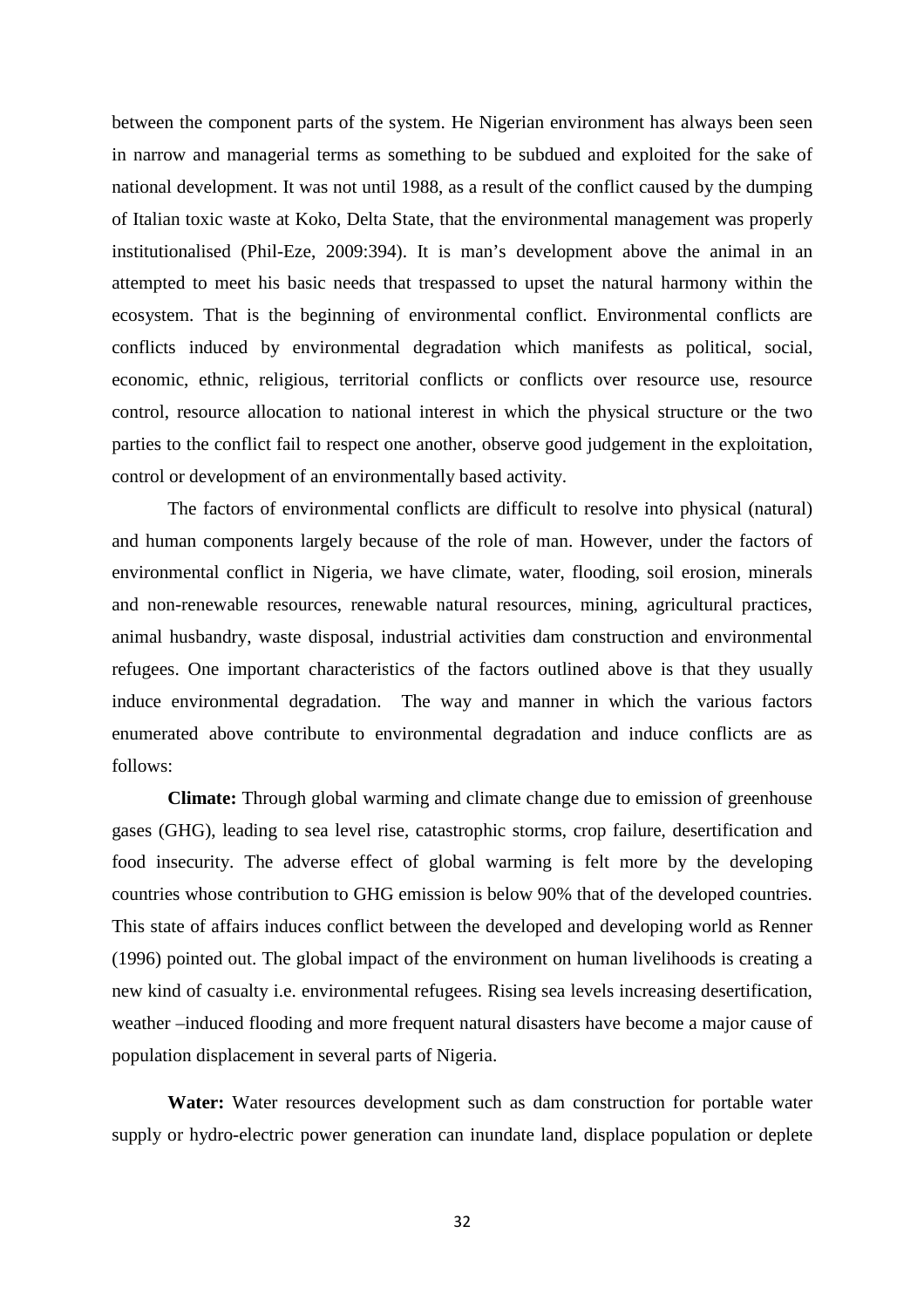between the component parts of the system. He Nigerian environment has always been seen in narrow and managerial terms as something to be subdued and exploited for the sake of national development. It was not until 1988, as a result of the conflict caused by the dumping of Italian toxic waste at Koko, Delta State, that the environmental management was properly institutionalised (Phil-Eze, 2009:394). It is man's development above the animal in an attempted to meet his basic needs that trespassed to upset the natural harmony within the ecosystem. That is the beginning of environmental conflict. Environmental conflicts are conflicts induced by environmental degradation which manifests as political, social, economic, ethnic, religious, territorial conflicts or conflicts over resource use, resource control, resource allocation to national interest in which the physical structure or the two parties to the conflict fail to respect one another, observe good judgement in the exploitation, control or development of an environmentally based activity.

The factors of environmental conflicts are difficult to resolve into physical (natural) and human components largely because of the role of man. However, under the factors of environmental conflict in Nigeria, we have climate, water, flooding, soil erosion, minerals and non-renewable resources, renewable natural resources, mining, agricultural practices, animal husbandry, waste disposal, industrial activities dam construction and environmental refugees. One important characteristics of the factors outlined above is that they usually induce environmental degradation. The way and manner in which the various factors enumerated above contribute to environmental degradation and induce conflicts are as follows:

**Climate:** Through global warming and climate change due to emission of greenhouse gases (GHG), leading to sea level rise, catastrophic storms, crop failure, desertification and food insecurity. The adverse effect of global warming is felt more by the developing countries whose contribution to GHG emission is below 90% that of the developed countries. This state of affairs induces conflict between the developed and developing world as Renner (1996) pointed out. The global impact of the environment on human livelihoods is creating a new kind of casualty i.e. environmental refugees. Rising sea levels increasing desertification, weather –induced flooding and more frequent natural disasters have become a major cause of population displacement in several parts of Nigeria.

**Water:** Water resources development such as dam construction for portable water supply or hydro-electric power generation can inundate land, displace population or deplete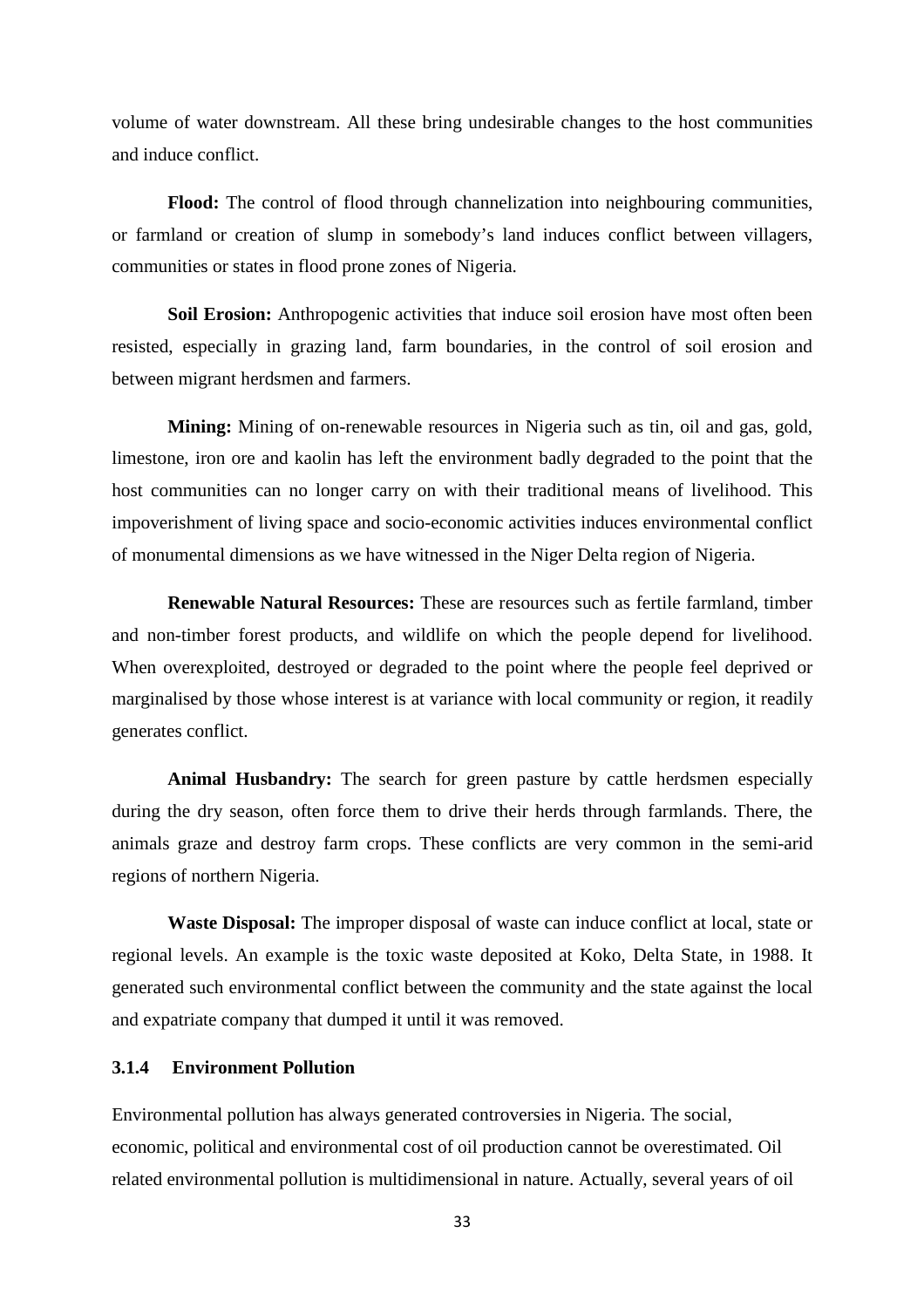volume of water downstream. All these bring undesirable changes to the host communities and induce conflict.

**Flood:** The control of flood through channelization into neighbouring communities, or farmland or creation of slump in somebody's land induces conflict between villagers, communities or states in flood prone zones of Nigeria.

**Soil Erosion:** Anthropogenic activities that induce soil erosion have most often been resisted, especially in grazing land, farm boundaries, in the control of soil erosion and between migrant herdsmen and farmers.

**Mining:** Mining of on-renewable resources in Nigeria such as tin, oil and gas, gold, limestone, iron ore and kaolin has left the environment badly degraded to the point that the host communities can no longer carry on with their traditional means of livelihood. This impoverishment of living space and socio-economic activities induces environmental conflict of monumental dimensions as we have witnessed in the Niger Delta region of Nigeria.

**Renewable Natural Resources:** These are resources such as fertile farmland, timber and non-timber forest products, and wildlife on which the people depend for livelihood. When overexploited, destroyed or degraded to the point where the people feel deprived or marginalised by those whose interest is at variance with local community or region, it readily generates conflict.

**Animal Husbandry:** The search for green pasture by cattle herdsmen especially during the dry season, often force them to drive their herds through farmlands. There, the animals graze and destroy farm crops. These conflicts are very common in the semi-arid regions of northern Nigeria.

**Waste Disposal:** The improper disposal of waste can induce conflict at local, state or regional levels. An example is the toxic waste deposited at Koko, Delta State, in 1988. It generated such environmental conflict between the community and the state against the local and expatriate company that dumped it until it was removed.

### **3.1.4 Environment Pollution**

Environmental pollution has always generated controversies in Nigeria. The social, economic, political and environmental cost of oil production cannot be overestimated. Oil related environmental pollution is multidimensional in nature. Actually, several years of oil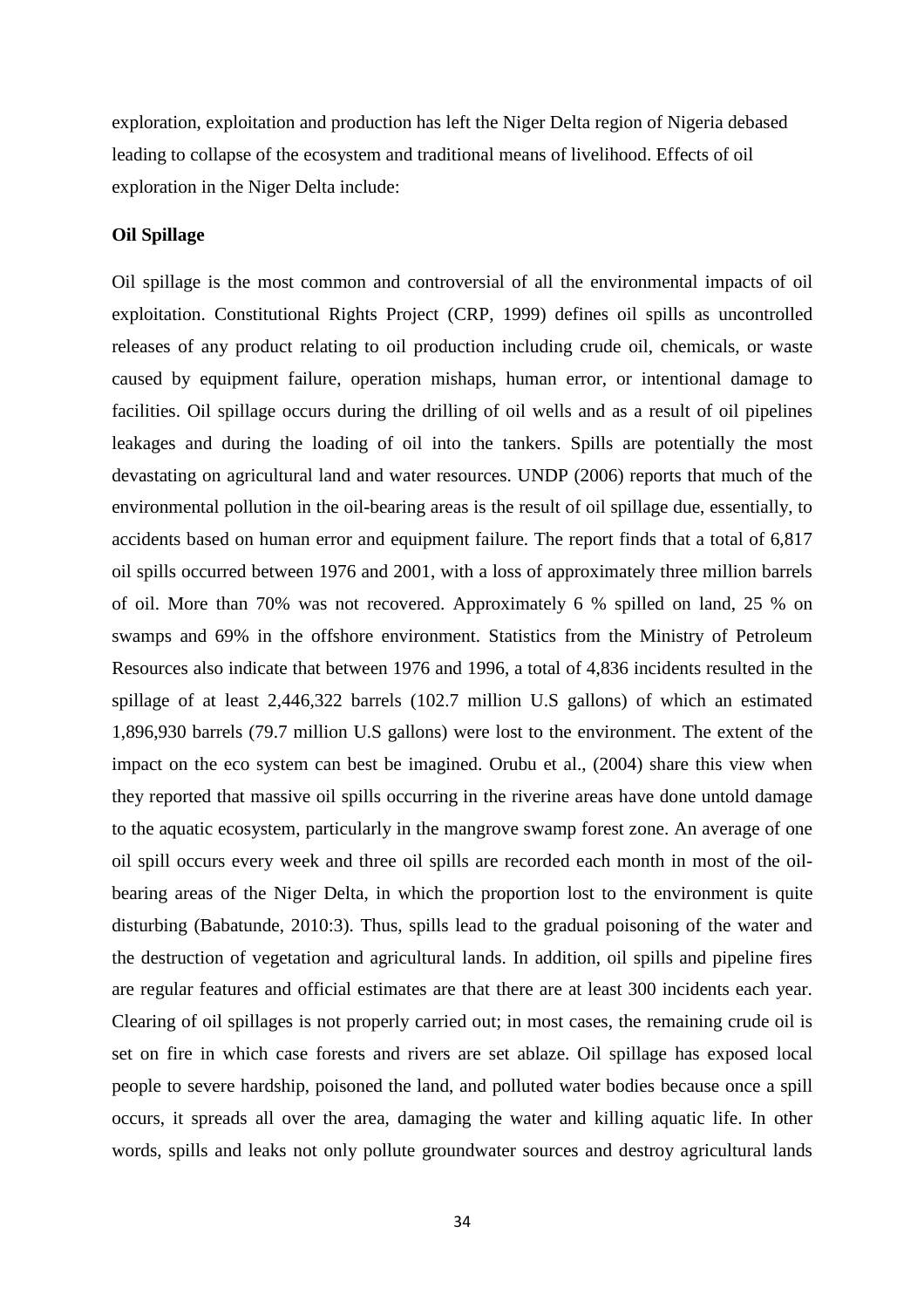exploration, exploitation and production has left the Niger Delta region of Nigeria debased leading to collapse of the ecosystem and traditional means of livelihood. Effects of oil exploration in the Niger Delta include:

#### **Oil Spillage**

Oil spillage is the most common and controversial of all the environmental impacts of oil exploitation. Constitutional Rights Project (CRP, 1999) defines oil spills as uncontrolled releases of any product relating to oil production including crude oil, chemicals, or waste caused by equipment failure, operation mishaps, human error, or intentional damage to facilities. Oil spillage occurs during the drilling of oil wells and as a result of oil pipelines leakages and during the loading of oil into the tankers. Spills are potentially the most devastating on agricultural land and water resources. UNDP (2006) reports that much of the environmental pollution in the oil-bearing areas is the result of oil spillage due, essentially, to accidents based on human error and equipment failure. The report finds that a total of 6,817 oil spills occurred between 1976 and 2001, with a loss of approximately three million barrels of oil. More than 70% was not recovered. Approximately 6 % spilled on land, 25 % on swamps and 69% in the offshore environment. Statistics from the Ministry of Petroleum Resources also indicate that between 1976 and 1996, a total of 4,836 incidents resulted in the spillage of at least 2,446,322 barrels (102.7 million U.S gallons) of which an estimated 1,896,930 barrels (79.7 million U.S gallons) were lost to the environment. The extent of the impact on the eco system can best be imagined. Orubu et al., (2004) share this view when they reported that massive oil spills occurring in the riverine areas have done untold damage to the aquatic ecosystem, particularly in the mangrove swamp forest zone. An average of one oil spill occurs every week and three oil spills are recorded each month in most of the oilbearing areas of the Niger Delta, in which the proportion lost to the environment is quite disturbing (Babatunde, 2010:3). Thus, spills lead to the gradual poisoning of the water and the destruction of vegetation and agricultural lands. In addition, oil spills and pipeline fires are regular features and official estimates are that there are at least 300 incidents each year. Clearing of oil spillages is not properly carried out; in most cases, the remaining crude oil is set on fire in which case forests and rivers are set ablaze. Oil spillage has exposed local people to severe hardship, poisoned the land, and polluted water bodies because once a spill occurs, it spreads all over the area, damaging the water and killing aquatic life. In other words, spills and leaks not only pollute groundwater sources and destroy agricultural lands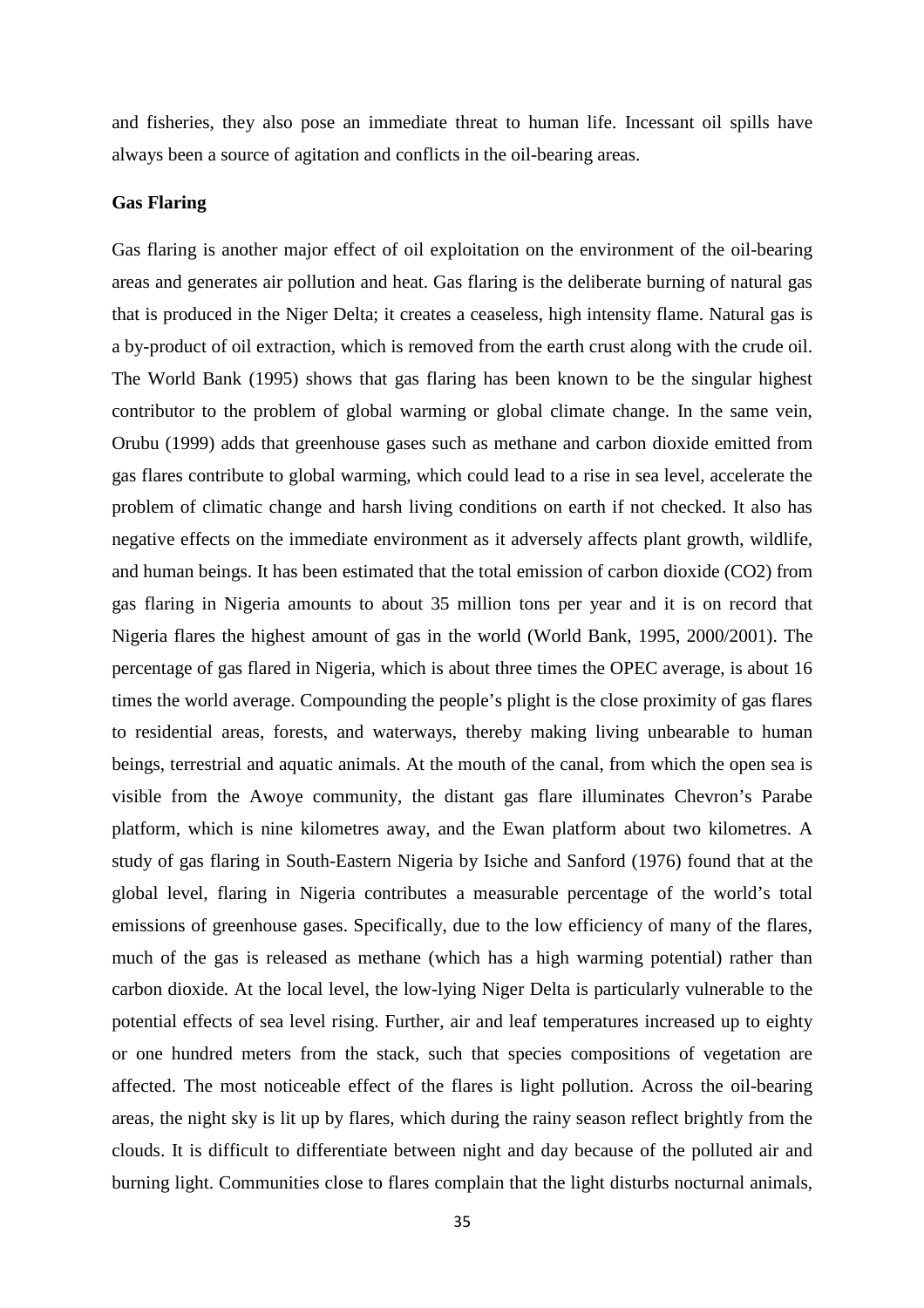and fisheries, they also pose an immediate threat to human life. Incessant oil spills have always been a source of agitation and conflicts in the oil-bearing areas.

#### **Gas Flaring**

Gas flaring is another major effect of oil exploitation on the environment of the oil-bearing areas and generates air pollution and heat. Gas flaring is the deliberate burning of natural gas that is produced in the Niger Delta; it creates a ceaseless, high intensity flame. Natural gas is a by-product of oil extraction, which is removed from the earth crust along with the crude oil. The World Bank (1995) shows that gas flaring has been known to be the singular highest contributor to the problem of global warming or global climate change. In the same vein, Orubu (1999) adds that greenhouse gases such as methane and carbon dioxide emitted from gas flares contribute to global warming, which could lead to a rise in sea level, accelerate the problem of climatic change and harsh living conditions on earth if not checked. It also has negative effects on the immediate environment as it adversely affects plant growth, wildlife, and human beings. It has been estimated that the total emission of carbon dioxide (CO2) from gas flaring in Nigeria amounts to about 35 million tons per year and it is on record that Nigeria flares the highest amount of gas in the world (World Bank, 1995, 2000/2001). The percentage of gas flared in Nigeria, which is about three times the OPEC average, is about 16 times the world average. Compounding the people's plight is the close proximity of gas flares to residential areas, forests, and waterways, thereby making living unbearable to human beings, terrestrial and aquatic animals. At the mouth of the canal, from which the open sea is visible from the Awoye community, the distant gas flare illuminates Chevron's Parabe platform, which is nine kilometres away, and the Ewan platform about two kilometres. A study of gas flaring in South-Eastern Nigeria by Isiche and Sanford (1976) found that at the global level, flaring in Nigeria contributes a measurable percentage of the world's total emissions of greenhouse gases. Specifically, due to the low efficiency of many of the flares, much of the gas is released as methane (which has a high warming potential) rather than carbon dioxide. At the local level, the low-lying Niger Delta is particularly vulnerable to the potential effects of sea level rising. Further, air and leaf temperatures increased up to eighty or one hundred meters from the stack, such that species compositions of vegetation are affected. The most noticeable effect of the flares is light pollution. Across the oil-bearing areas, the night sky is lit up by flares, which during the rainy season reflect brightly from the clouds. It is difficult to differentiate between night and day because of the polluted air and burning light. Communities close to flares complain that the light disturbs nocturnal animals,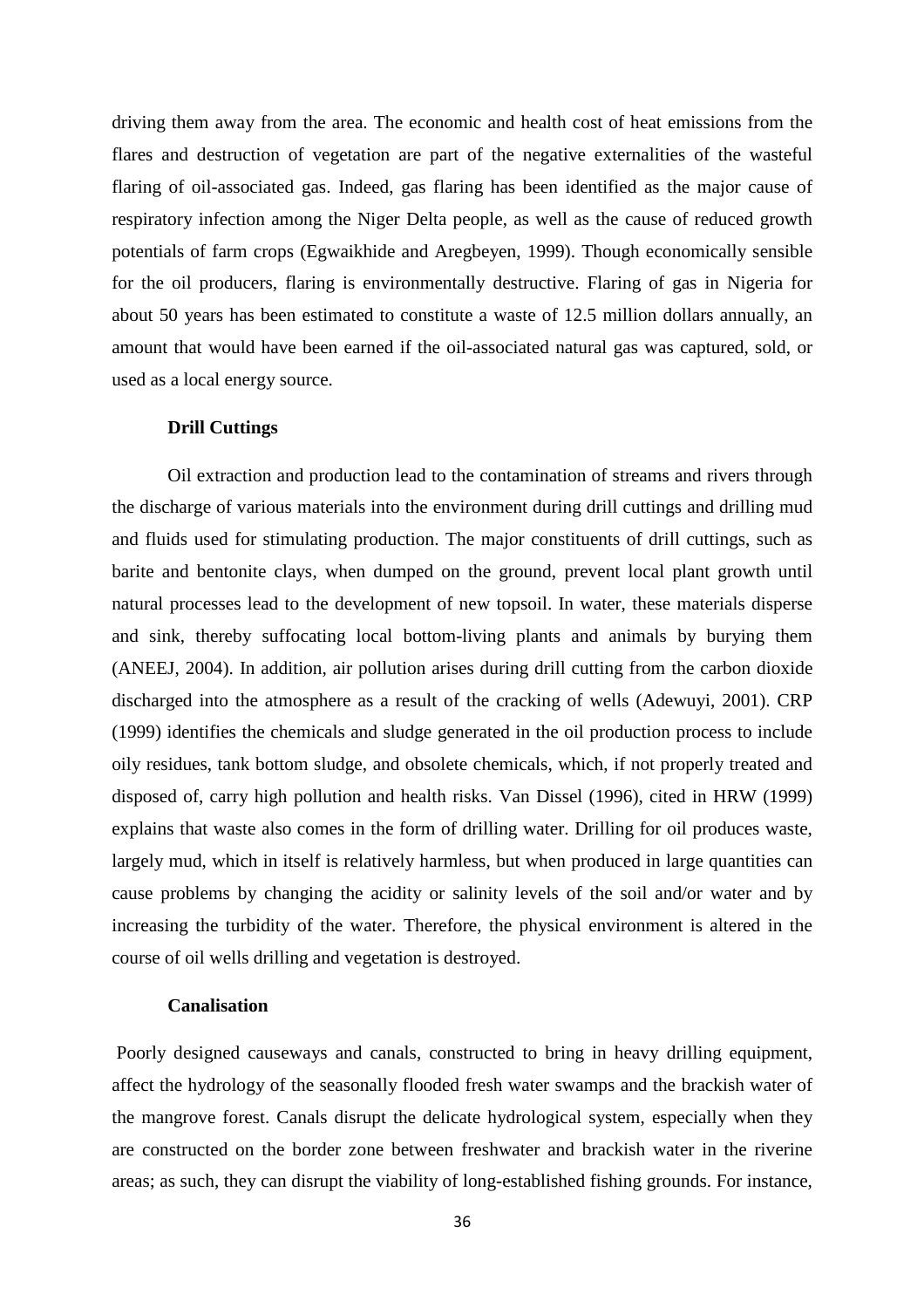driving them away from the area. The economic and health cost of heat emissions from the flares and destruction of vegetation are part of the negative externalities of the wasteful flaring of oil-associated gas. Indeed, gas flaring has been identified as the major cause of respiratory infection among the Niger Delta people, as well as the cause of reduced growth potentials of farm crops (Egwaikhide and Aregbeyen, 1999). Though economically sensible for the oil producers, flaring is environmentally destructive. Flaring of gas in Nigeria for about 50 years has been estimated to constitute a waste of 12.5 million dollars annually, an amount that would have been earned if the oil-associated natural gas was captured, sold, or used as a local energy source.

#### **Drill Cuttings**

Oil extraction and production lead to the contamination of streams and rivers through the discharge of various materials into the environment during drill cuttings and drilling mud and fluids used for stimulating production. The major constituents of drill cuttings, such as barite and bentonite clays, when dumped on the ground, prevent local plant growth until natural processes lead to the development of new topsoil. In water, these materials disperse and sink, thereby suffocating local bottom-living plants and animals by burying them (ANEEJ, 2004). In addition, air pollution arises during drill cutting from the carbon dioxide discharged into the atmosphere as a result of the cracking of wells (Adewuyi, 2001). CRP (1999) identifies the chemicals and sludge generated in the oil production process to include oily residues, tank bottom sludge, and obsolete chemicals, which, if not properly treated and disposed of, carry high pollution and health risks. Van Dissel (1996), cited in HRW (1999) explains that waste also comes in the form of drilling water. Drilling for oil produces waste, largely mud, which in itself is relatively harmless, but when produced in large quantities can cause problems by changing the acidity or salinity levels of the soil and/or water and by increasing the turbidity of the water. Therefore, the physical environment is altered in the course of oil wells drilling and vegetation is destroyed.

#### **Canalisation**

 Poorly designed causeways and canals, constructed to bring in heavy drilling equipment, affect the hydrology of the seasonally flooded fresh water swamps and the brackish water of the mangrove forest. Canals disrupt the delicate hydrological system, especially when they are constructed on the border zone between freshwater and brackish water in the riverine areas; as such, they can disrupt the viability of long-established fishing grounds. For instance,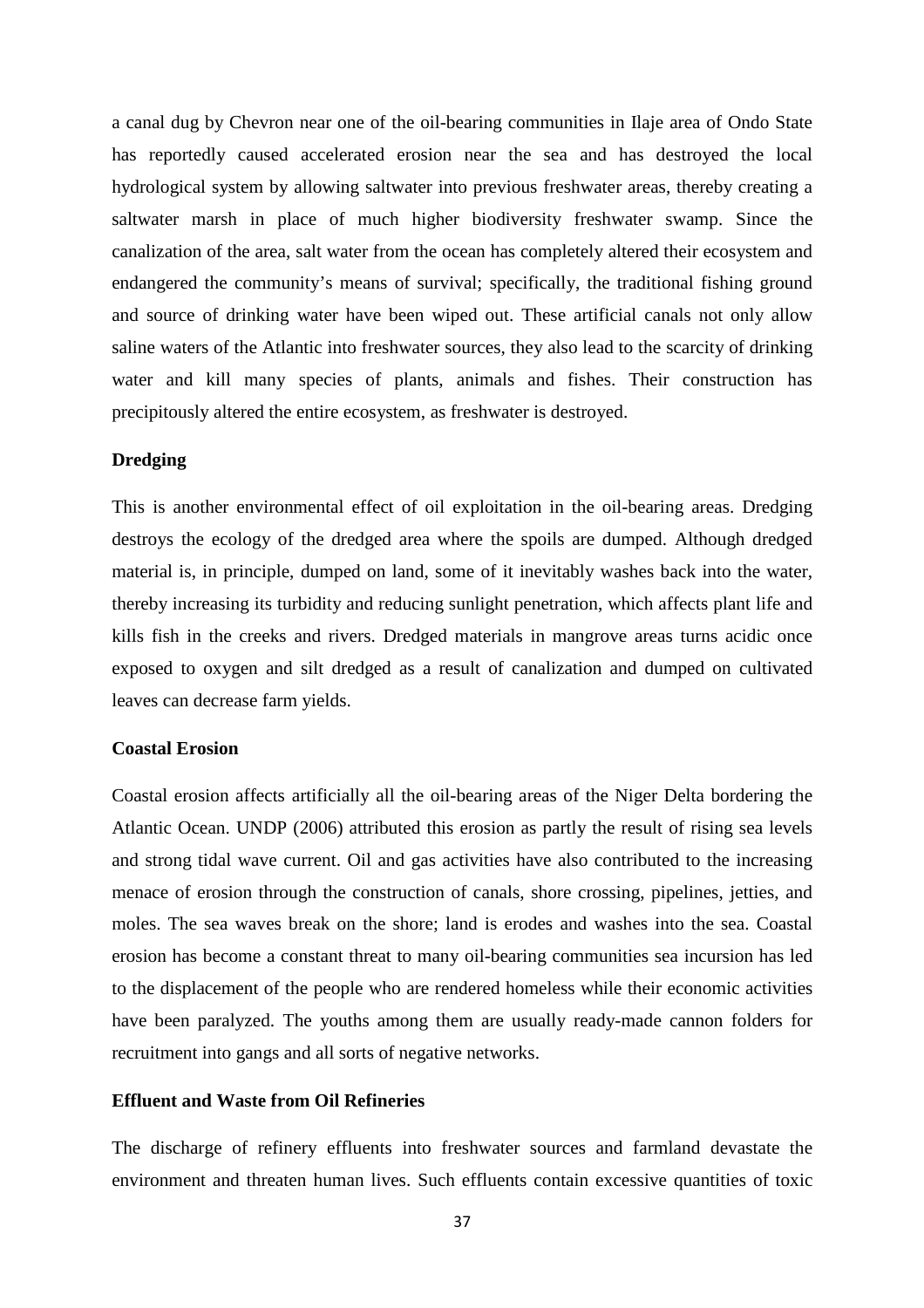a canal dug by Chevron near one of the oil-bearing communities in Ilaje area of Ondo State has reportedly caused accelerated erosion near the sea and has destroyed the local hydrological system by allowing saltwater into previous freshwater areas, thereby creating a saltwater marsh in place of much higher biodiversity freshwater swamp. Since the canalization of the area, salt water from the ocean has completely altered their ecosystem and endangered the community's means of survival; specifically, the traditional fishing ground and source of drinking water have been wiped out. These artificial canals not only allow saline waters of the Atlantic into freshwater sources, they also lead to the scarcity of drinking water and kill many species of plants, animals and fishes. Their construction has precipitously altered the entire ecosystem, as freshwater is destroyed.

#### **Dredging**

This is another environmental effect of oil exploitation in the oil-bearing areas. Dredging destroys the ecology of the dredged area where the spoils are dumped. Although dredged material is, in principle, dumped on land, some of it inevitably washes back into the water, thereby increasing its turbidity and reducing sunlight penetration, which affects plant life and kills fish in the creeks and rivers. Dredged materials in mangrove areas turns acidic once exposed to oxygen and silt dredged as a result of canalization and dumped on cultivated leaves can decrease farm yields.

#### **Coastal Erosion**

Coastal erosion affects artificially all the oil-bearing areas of the Niger Delta bordering the Atlantic Ocean. UNDP (2006) attributed this erosion as partly the result of rising sea levels and strong tidal wave current. Oil and gas activities have also contributed to the increasing menace of erosion through the construction of canals, shore crossing, pipelines, jetties, and moles. The sea waves break on the shore; land is erodes and washes into the sea. Coastal erosion has become a constant threat to many oil-bearing communities sea incursion has led to the displacement of the people who are rendered homeless while their economic activities have been paralyzed. The youths among them are usually ready-made cannon folders for recruitment into gangs and all sorts of negative networks.

#### **Effluent and Waste from Oil Refineries**

The discharge of refinery effluents into freshwater sources and farmland devastate the environment and threaten human lives. Such effluents contain excessive quantities of toxic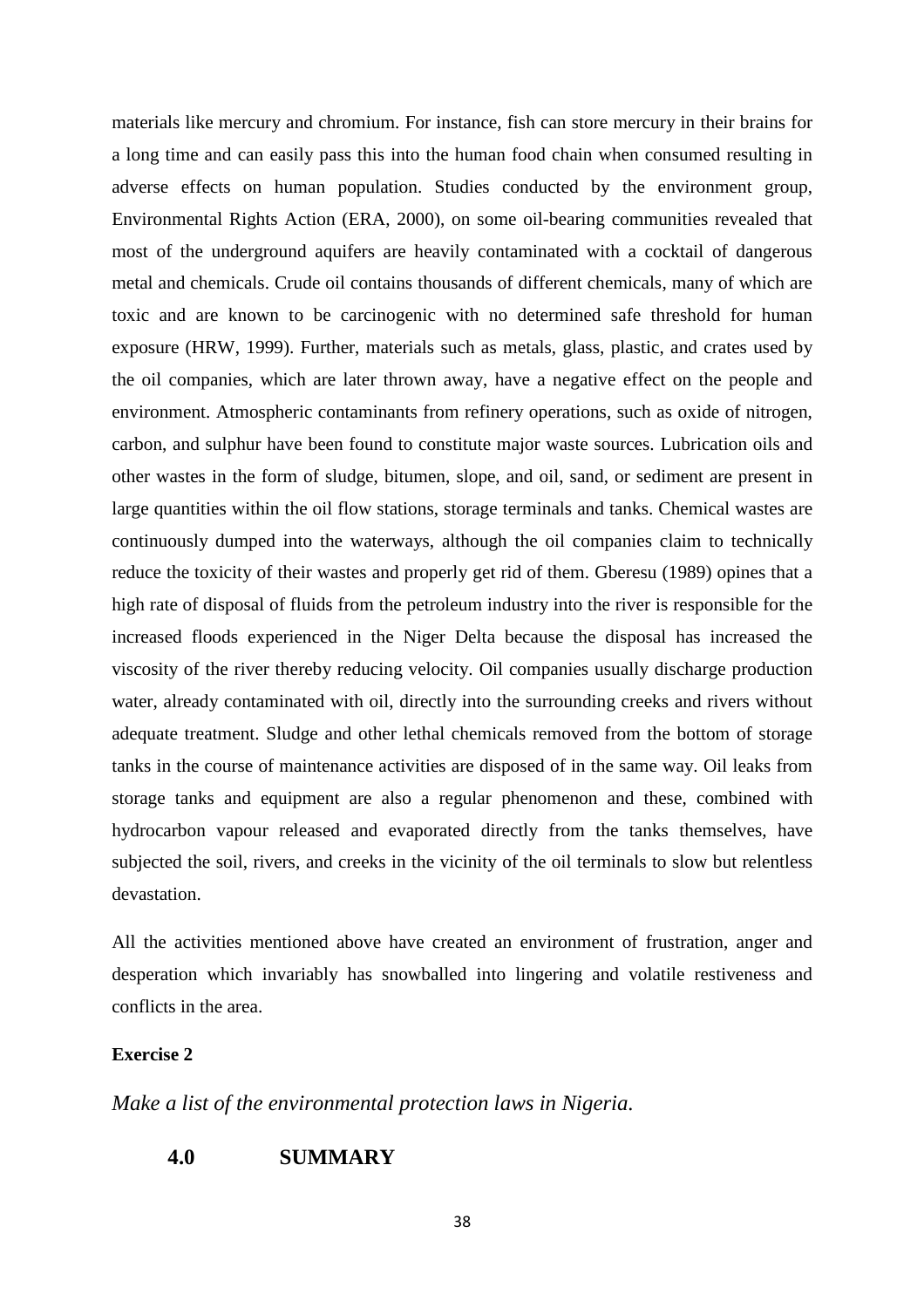materials like mercury and chromium. For instance, fish can store mercury in their brains for a long time and can easily pass this into the human food chain when consumed resulting in adverse effects on human population. Studies conducted by the environment group, Environmental Rights Action (ERA, 2000), on some oil-bearing communities revealed that most of the underground aquifers are heavily contaminated with a cocktail of dangerous metal and chemicals. Crude oil contains thousands of different chemicals, many of which are toxic and are known to be carcinogenic with no determined safe threshold for human exposure (HRW, 1999). Further, materials such as metals, glass, plastic, and crates used by the oil companies, which are later thrown away, have a negative effect on the people and environment. Atmospheric contaminants from refinery operations, such as oxide of nitrogen, carbon, and sulphur have been found to constitute major waste sources. Lubrication oils and other wastes in the form of sludge, bitumen, slope, and oil, sand, or sediment are present in large quantities within the oil flow stations, storage terminals and tanks. Chemical wastes are continuously dumped into the waterways, although the oil companies claim to technically reduce the toxicity of their wastes and properly get rid of them. Gberesu (1989) opines that a high rate of disposal of fluids from the petroleum industry into the river is responsible for the increased floods experienced in the Niger Delta because the disposal has increased the viscosity of the river thereby reducing velocity. Oil companies usually discharge production water, already contaminated with oil, directly into the surrounding creeks and rivers without adequate treatment. Sludge and other lethal chemicals removed from the bottom of storage tanks in the course of maintenance activities are disposed of in the same way. Oil leaks from storage tanks and equipment are also a regular phenomenon and these, combined with hydrocarbon vapour released and evaporated directly from the tanks themselves, have subjected the soil, rivers, and creeks in the vicinity of the oil terminals to slow but relentless devastation.

All the activities mentioned above have created an environment of frustration, anger and desperation which invariably has snowballed into lingering and volatile restiveness and conflicts in the area.

#### **Exercise 2**

*Make a list of the environmental protection laws in Nigeria.*

#### **4.0 SUMMARY**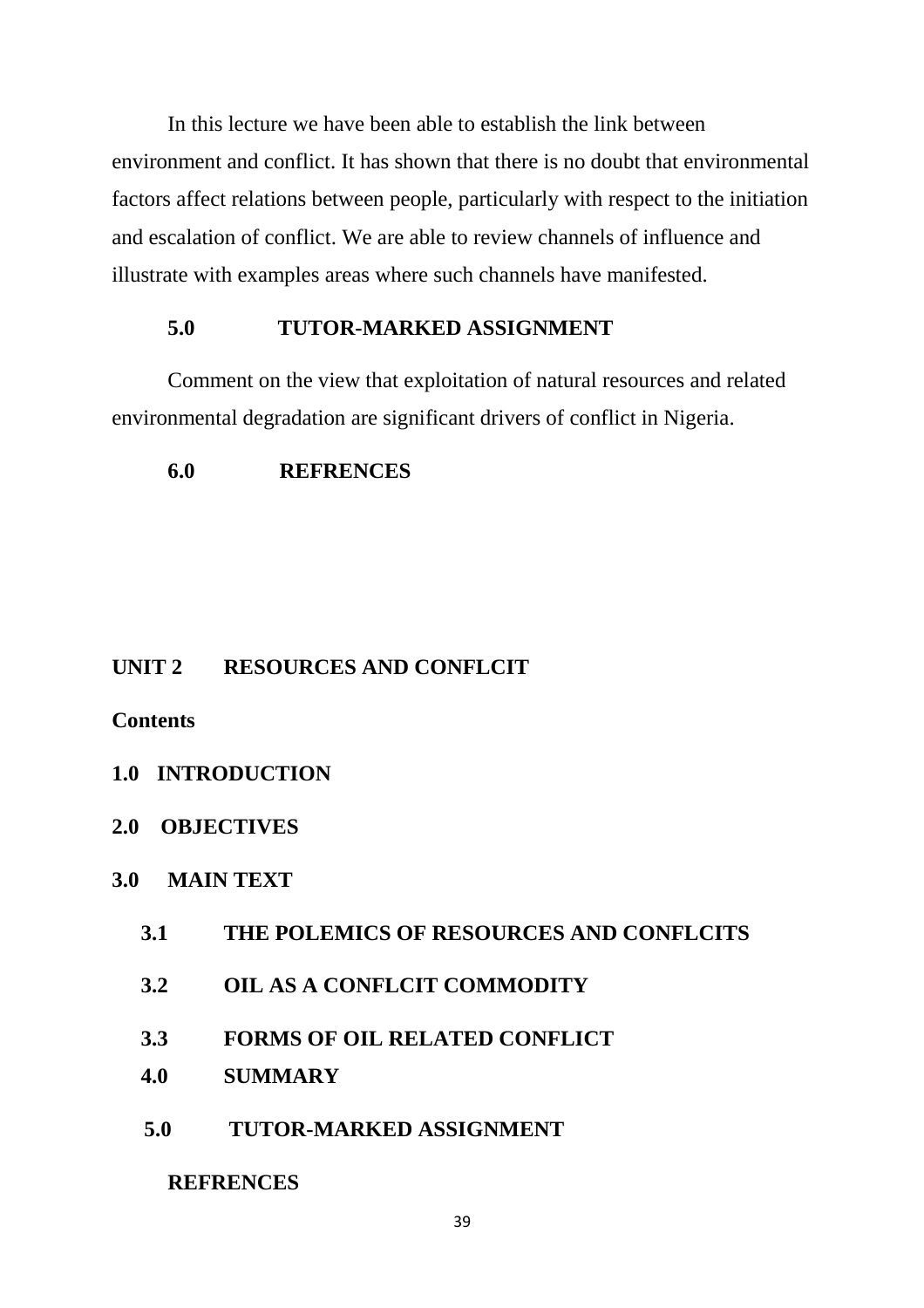In this lecture we have been able to establish the link between environment and conflict. It has shown that there is no doubt that environmental factors affect relations between people, particularly with respect to the initiation and escalation of conflict. We are able to review channels of influence and illustrate with examples areas where such channels have manifested.

## **5.0 TUTOR-MARKED ASSIGNMENT**

Comment on the view that exploitation of natural resources and related environmental degradation are significant drivers of conflict in Nigeria.

## **6.0 REFRENCES**

## **UNIT 2 RESOURCES AND CONFLCIT**

## **Contents**

## **1.0 INTRODUCTION**

**2.0 OBJECTIVES** 

## **3.0 MAIN TEXT**

- **3.1 THE POLEMICS OF RESOURCES AND CONFLCITS**
- **3.2 OIL AS A CONFLCIT COMMODITY**
- **3.3 FORMS OF OIL RELATED CONFLICT**
- **4.0 SUMMARY**
- **5.0 TUTOR-MARKED ASSIGNMENT**

## **REFRENCES**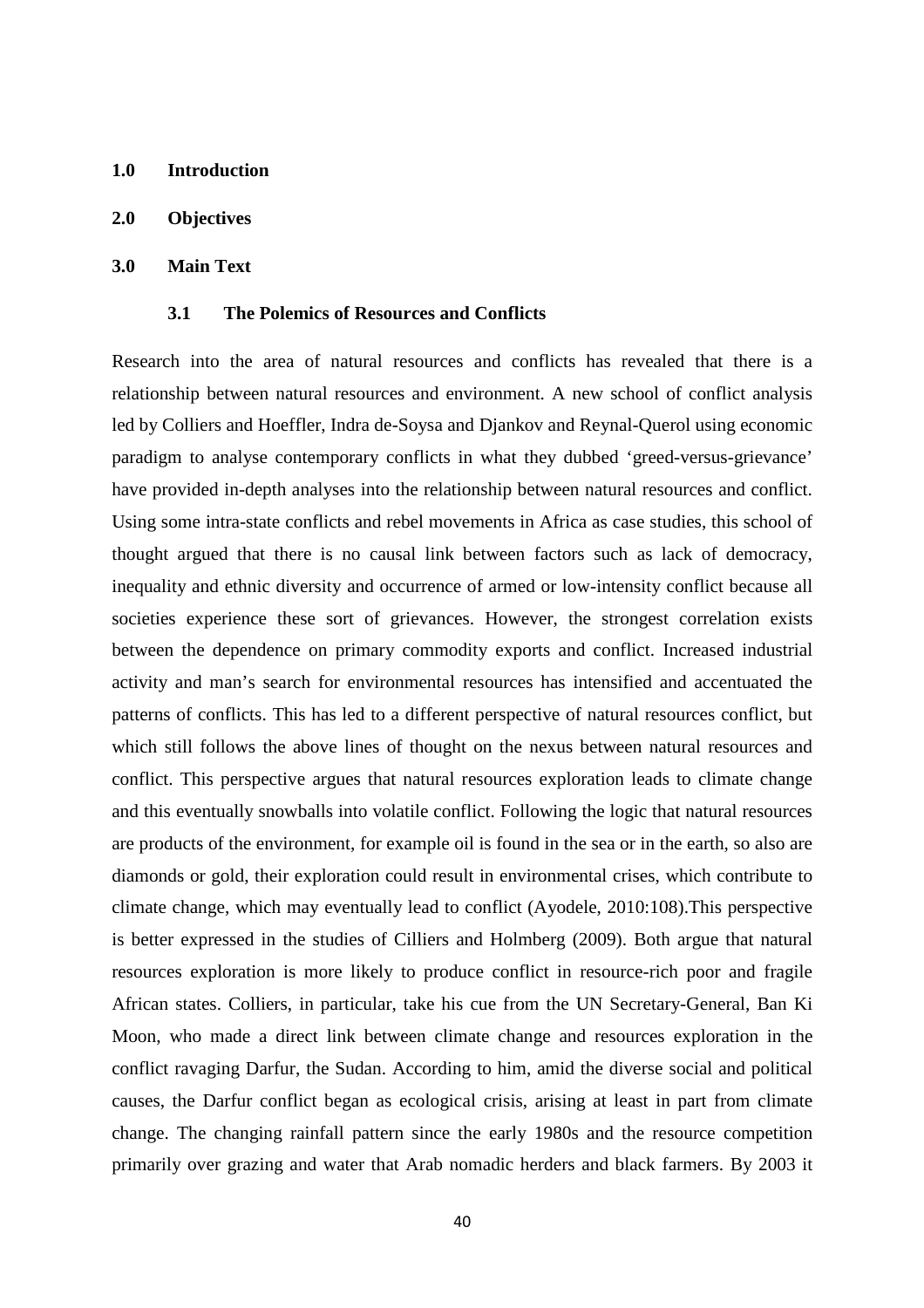- **1.0 Introduction**
- **2.0 Objectives**

#### **3.0 Main Text**

#### **3.1 The Polemics of Resources and Conflicts**

Research into the area of natural resources and conflicts has revealed that there is a relationship between natural resources and environment. A new school of conflict analysis led by Colliers and Hoeffler, Indra de-Soysa and Djankov and Reynal-Querol using economic paradigm to analyse contemporary conflicts in what they dubbed 'greed-versus-grievance' have provided in-depth analyses into the relationship between natural resources and conflict. Using some intra-state conflicts and rebel movements in Africa as case studies, this school of thought argued that there is no causal link between factors such as lack of democracy, inequality and ethnic diversity and occurrence of armed or low-intensity conflict because all societies experience these sort of grievances. However, the strongest correlation exists between the dependence on primary commodity exports and conflict. Increased industrial activity and man's search for environmental resources has intensified and accentuated the patterns of conflicts. This has led to a different perspective of natural resources conflict, but which still follows the above lines of thought on the nexus between natural resources and conflict. This perspective argues that natural resources exploration leads to climate change and this eventually snowballs into volatile conflict. Following the logic that natural resources are products of the environment, for example oil is found in the sea or in the earth, so also are diamonds or gold, their exploration could result in environmental crises, which contribute to climate change, which may eventually lead to conflict (Ayodele, 2010:108).This perspective is better expressed in the studies of Cilliers and Holmberg (2009). Both argue that natural resources exploration is more likely to produce conflict in resource-rich poor and fragile African states. Colliers, in particular, take his cue from the UN Secretary-General, Ban Ki Moon, who made a direct link between climate change and resources exploration in the conflict ravaging Darfur, the Sudan. According to him, amid the diverse social and political causes, the Darfur conflict began as ecological crisis, arising at least in part from climate change. The changing rainfall pattern since the early 1980s and the resource competition primarily over grazing and water that Arab nomadic herders and black farmers. By 2003 it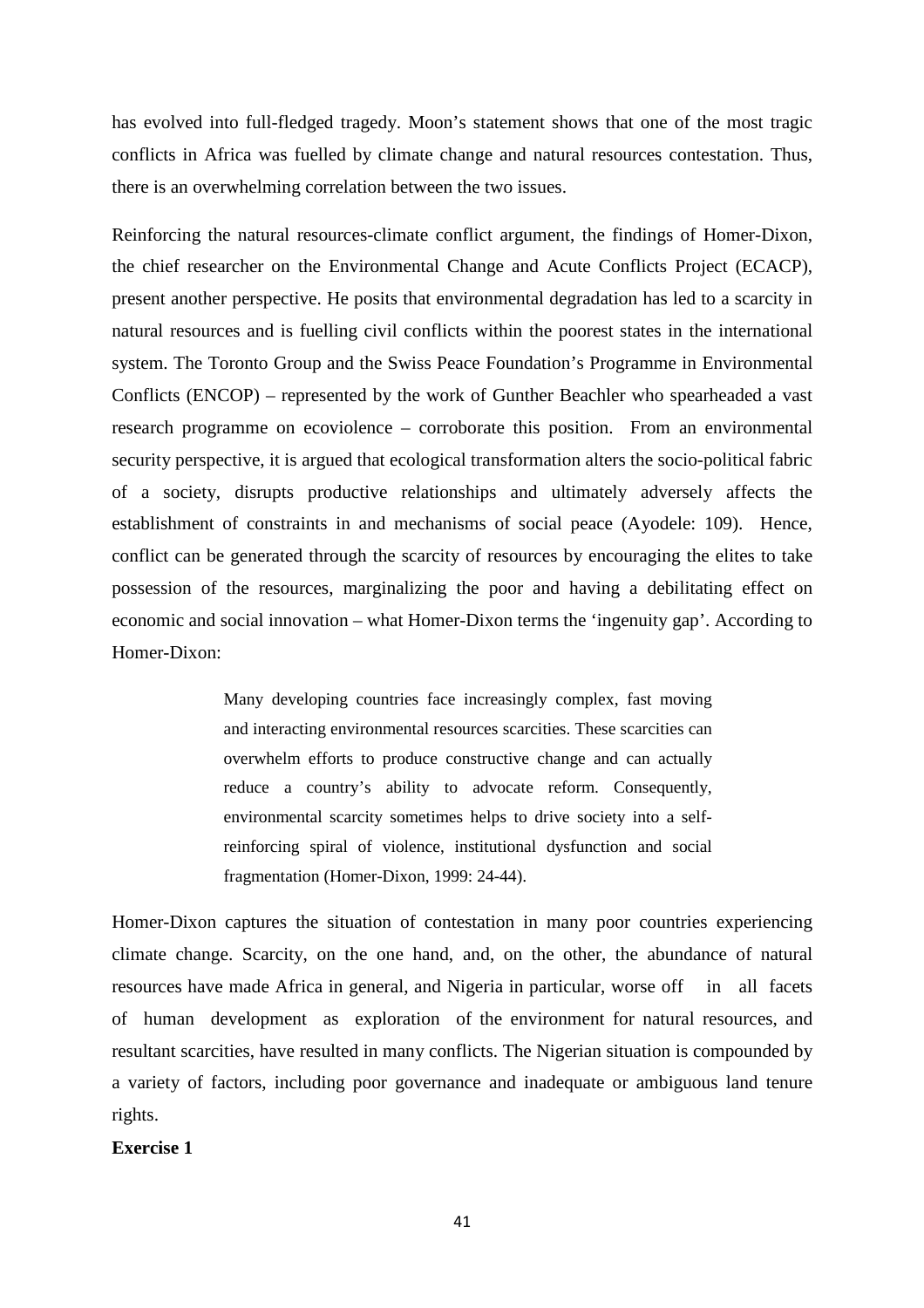has evolved into full-fledged tragedy. Moon's statement shows that one of the most tragic conflicts in Africa was fuelled by climate change and natural resources contestation. Thus, there is an overwhelming correlation between the two issues.

Reinforcing the natural resources-climate conflict argument, the findings of Homer-Dixon, the chief researcher on the Environmental Change and Acute Conflicts Project (ECACP), present another perspective. He posits that environmental degradation has led to a scarcity in natural resources and is fuelling civil conflicts within the poorest states in the international system. The Toronto Group and the Swiss Peace Foundation's Programme in Environmental Conflicts (ENCOP) – represented by the work of Gunther Beachler who spearheaded a vast research programme on ecoviolence – corroborate this position. From an environmental security perspective, it is argued that ecological transformation alters the socio-political fabric of a society, disrupts productive relationships and ultimately adversely affects the establishment of constraints in and mechanisms of social peace (Ayodele: 109). Hence, conflict can be generated through the scarcity of resources by encouraging the elites to take possession of the resources, marginalizing the poor and having a debilitating effect on economic and social innovation – what Homer-Dixon terms the 'ingenuity gap'. According to Homer-Dixon:

> Many developing countries face increasingly complex, fast moving and interacting environmental resources scarcities. These scarcities can overwhelm efforts to produce constructive change and can actually reduce a country's ability to advocate reform. Consequently, environmental scarcity sometimes helps to drive society into a selfreinforcing spiral of violence, institutional dysfunction and social fragmentation (Homer-Dixon, 1999: 24-44).

Homer-Dixon captures the situation of contestation in many poor countries experiencing climate change. Scarcity, on the one hand, and, on the other, the abundance of natural resources have made Africa in general, and Nigeria in particular, worse off in all facets of human development as exploration of the environment for natural resources, and resultant scarcities, have resulted in many conflicts. The Nigerian situation is compounded by a variety of factors, including poor governance and inadequate or ambiguous land tenure rights.

#### **Exercise 1**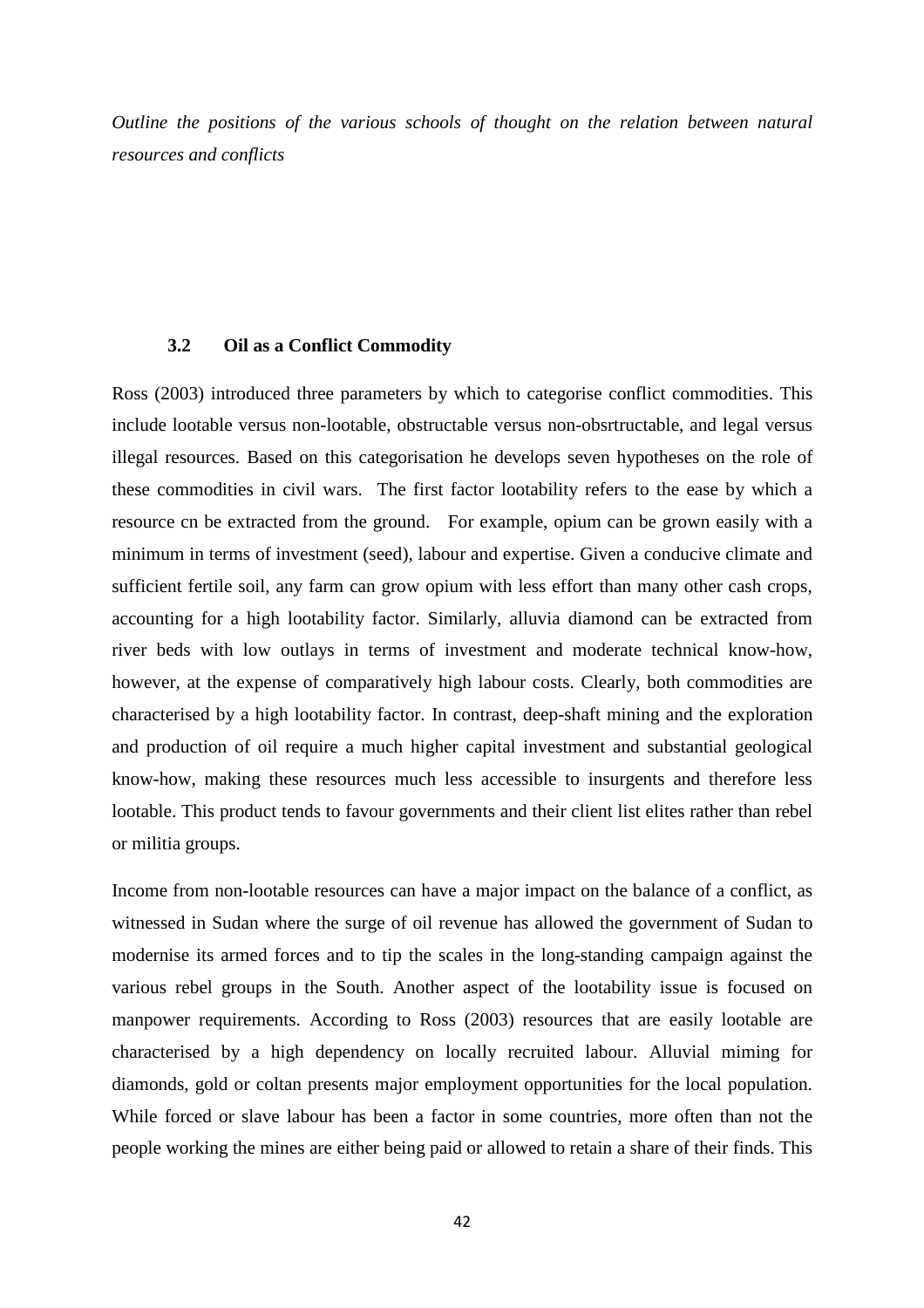*Outline the positions of the various schools of thought on the relation between natural resources and conflicts* 

#### **3.2 Oil as a Conflict Commodity**

Ross (2003) introduced three parameters by which to categorise conflict commodities. This include lootable versus non-lootable, obstructable versus non-obsrtructable, and legal versus illegal resources. Based on this categorisation he develops seven hypotheses on the role of these commodities in civil wars. The first factor lootability refers to the ease by which a resource cn be extracted from the ground. For example, opium can be grown easily with a minimum in terms of investment (seed), labour and expertise. Given a conducive climate and sufficient fertile soil, any farm can grow opium with less effort than many other cash crops, accounting for a high lootability factor. Similarly, alluvia diamond can be extracted from river beds with low outlays in terms of investment and moderate technical know-how, however, at the expense of comparatively high labour costs. Clearly, both commodities are characterised by a high lootability factor. In contrast, deep-shaft mining and the exploration and production of oil require a much higher capital investment and substantial geological know-how, making these resources much less accessible to insurgents and therefore less lootable. This product tends to favour governments and their client list elites rather than rebel or militia groups.

Income from non-lootable resources can have a major impact on the balance of a conflict, as witnessed in Sudan where the surge of oil revenue has allowed the government of Sudan to modernise its armed forces and to tip the scales in the long-standing campaign against the various rebel groups in the South. Another aspect of the lootability issue is focused on manpower requirements. According to Ross (2003) resources that are easily lootable are characterised by a high dependency on locally recruited labour. Alluvial miming for diamonds, gold or coltan presents major employment opportunities for the local population. While forced or slave labour has been a factor in some countries, more often than not the people working the mines are either being paid or allowed to retain a share of their finds. This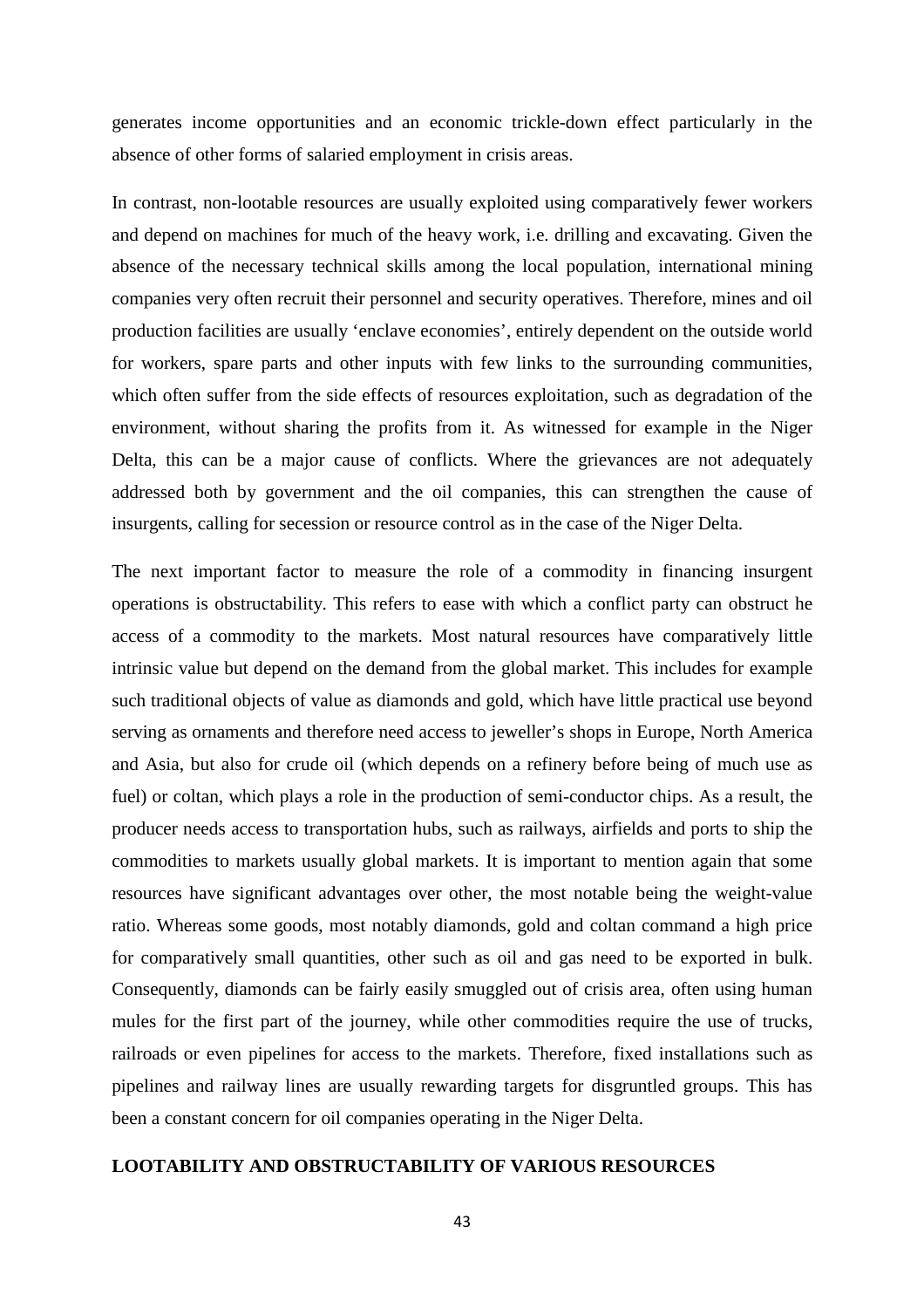generates income opportunities and an economic trickle-down effect particularly in the absence of other forms of salaried employment in crisis areas.

In contrast, non-lootable resources are usually exploited using comparatively fewer workers and depend on machines for much of the heavy work, i.e. drilling and excavating. Given the absence of the necessary technical skills among the local population, international mining companies very often recruit their personnel and security operatives. Therefore, mines and oil production facilities are usually 'enclave economies', entirely dependent on the outside world for workers, spare parts and other inputs with few links to the surrounding communities, which often suffer from the side effects of resources exploitation, such as degradation of the environment, without sharing the profits from it. As witnessed for example in the Niger Delta, this can be a major cause of conflicts. Where the grievances are not adequately addressed both by government and the oil companies, this can strengthen the cause of insurgents, calling for secession or resource control as in the case of the Niger Delta.

The next important factor to measure the role of a commodity in financing insurgent operations is obstructability. This refers to ease with which a conflict party can obstruct he access of a commodity to the markets. Most natural resources have comparatively little intrinsic value but depend on the demand from the global market. This includes for example such traditional objects of value as diamonds and gold, which have little practical use beyond serving as ornaments and therefore need access to jeweller's shops in Europe, North America and Asia, but also for crude oil (which depends on a refinery before being of much use as fuel) or coltan, which plays a role in the production of semi-conductor chips. As a result, the producer needs access to transportation hubs, such as railways, airfields and ports to ship the commodities to markets usually global markets. It is important to mention again that some resources have significant advantages over other, the most notable being the weight-value ratio. Whereas some goods, most notably diamonds, gold and coltan command a high price for comparatively small quantities, other such as oil and gas need to be exported in bulk. Consequently, diamonds can be fairly easily smuggled out of crisis area, often using human mules for the first part of the journey, while other commodities require the use of trucks, railroads or even pipelines for access to the markets. Therefore, fixed installations such as pipelines and railway lines are usually rewarding targets for disgruntled groups. This has been a constant concern for oil companies operating in the Niger Delta.

#### **LOOTABILITY AND OBSTRUCTABILITY OF VARIOUS RESOURCES**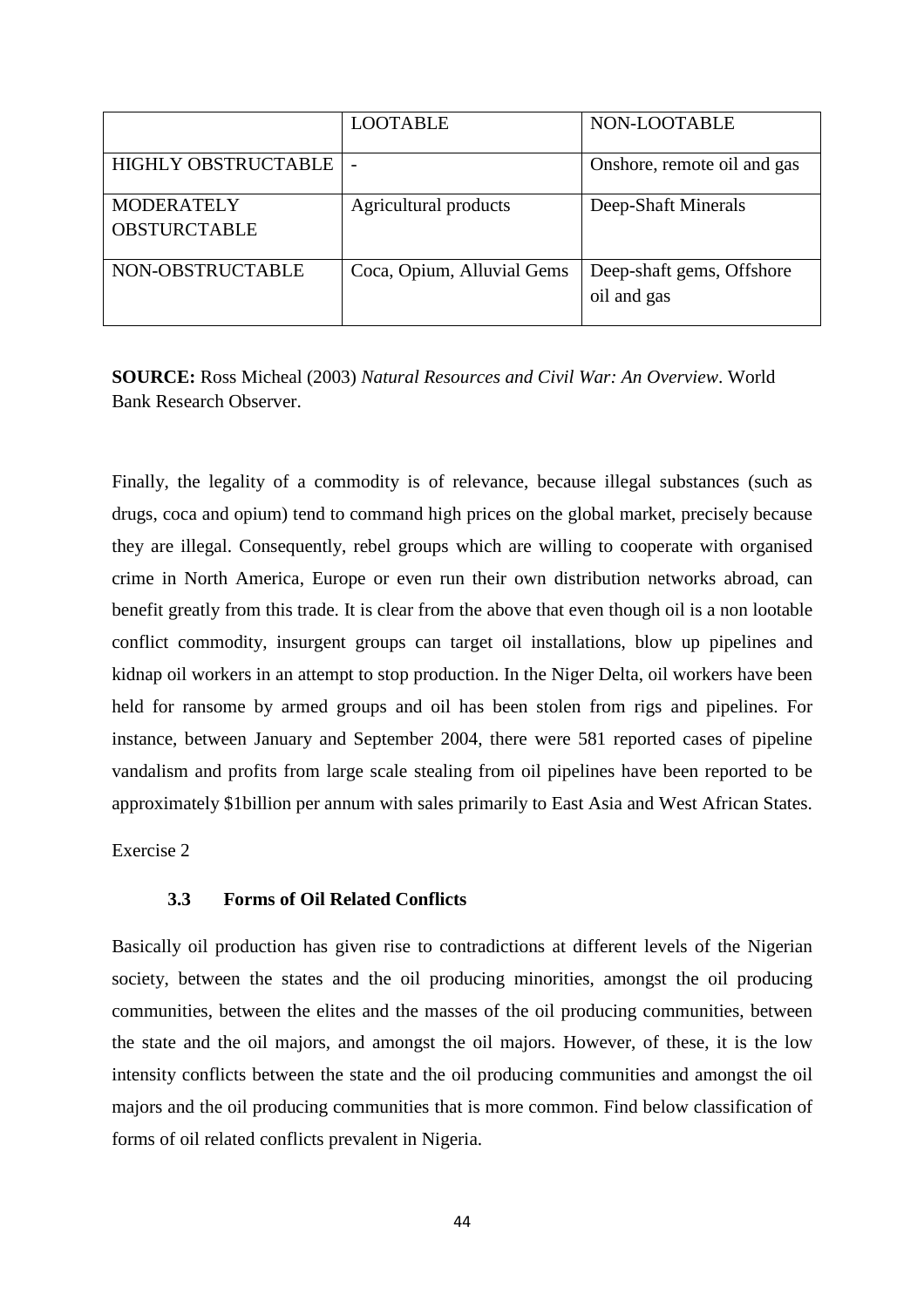|                                          | <b>LOOTABLE</b>            | NON-LOOTABLE                             |
|------------------------------------------|----------------------------|------------------------------------------|
| <b>HIGHLY OBSTRUCTABLE</b>               |                            | Onshore, remote oil and gas              |
| <b>MODERATELY</b><br><b>OBSTURCTABLE</b> | Agricultural products      | Deep-Shaft Minerals                      |
| NON-OBSTRUCTABLE                         | Coca, Opium, Alluvial Gems | Deep-shaft gems, Offshore<br>oil and gas |

**SOURCE:** Ross Micheal (2003) *Natural Resources and Civil War: An Overview*. World Bank Research Observer.

Finally, the legality of a commodity is of relevance, because illegal substances (such as drugs, coca and opium) tend to command high prices on the global market, precisely because they are illegal. Consequently, rebel groups which are willing to cooperate with organised crime in North America, Europe or even run their own distribution networks abroad, can benefit greatly from this trade. It is clear from the above that even though oil is a non lootable conflict commodity, insurgent groups can target oil installations, blow up pipelines and kidnap oil workers in an attempt to stop production. In the Niger Delta, oil workers have been held for ransome by armed groups and oil has been stolen from rigs and pipelines. For instance, between January and September 2004, there were 581 reported cases of pipeline vandalism and profits from large scale stealing from oil pipelines have been reported to be approximately \$1billion per annum with sales primarily to East Asia and West African States.

Exercise 2

#### **3.3 Forms of Oil Related Conflicts**

Basically oil production has given rise to contradictions at different levels of the Nigerian society, between the states and the oil producing minorities, amongst the oil producing communities, between the elites and the masses of the oil producing communities, between the state and the oil majors, and amongst the oil majors. However, of these, it is the low intensity conflicts between the state and the oil producing communities and amongst the oil majors and the oil producing communities that is more common. Find below classification of forms of oil related conflicts prevalent in Nigeria.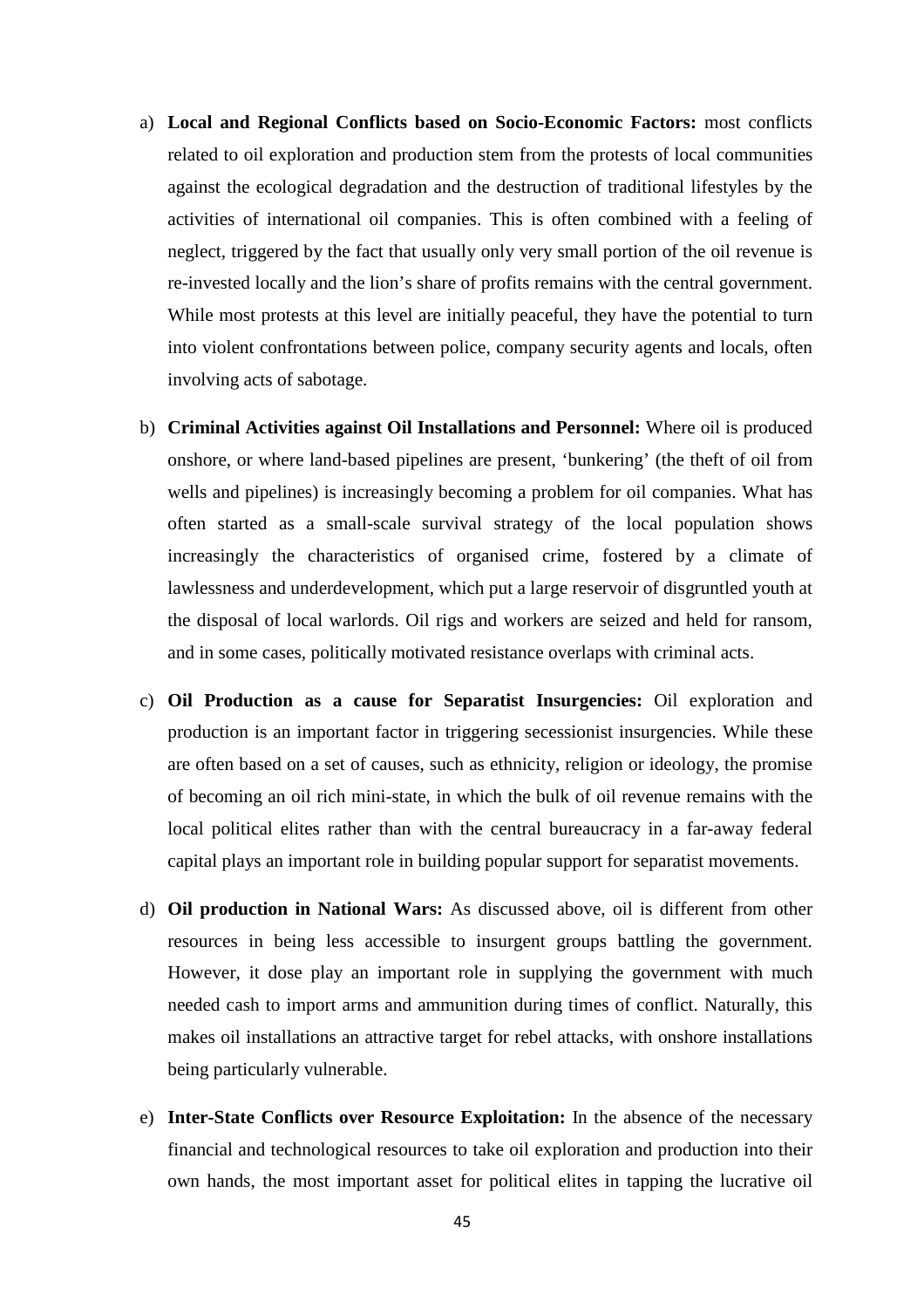- a) **Local and Regional Conflicts based on Socio-Economic Factors:** most conflicts related to oil exploration and production stem from the protests of local communities against the ecological degradation and the destruction of traditional lifestyles by the activities of international oil companies. This is often combined with a feeling of neglect, triggered by the fact that usually only very small portion of the oil revenue is re-invested locally and the lion's share of profits remains with the central government. While most protests at this level are initially peaceful, they have the potential to turn into violent confrontations between police, company security agents and locals, often involving acts of sabotage.
- b) **Criminal Activities against Oil Installations and Personnel:** Where oil is produced onshore, or where land-based pipelines are present, 'bunkering' (the theft of oil from wells and pipelines) is increasingly becoming a problem for oil companies. What has often started as a small-scale survival strategy of the local population shows increasingly the characteristics of organised crime, fostered by a climate of lawlessness and underdevelopment, which put a large reservoir of disgruntled youth at the disposal of local warlords. Oil rigs and workers are seized and held for ransom, and in some cases, politically motivated resistance overlaps with criminal acts.
- c) **Oil Production as a cause for Separatist Insurgencies:** Oil exploration and production is an important factor in triggering secessionist insurgencies. While these are often based on a set of causes, such as ethnicity, religion or ideology, the promise of becoming an oil rich mini-state, in which the bulk of oil revenue remains with the local political elites rather than with the central bureaucracy in a far-away federal capital plays an important role in building popular support for separatist movements.
- d) **Oil production in National Wars:** As discussed above, oil is different from other resources in being less accessible to insurgent groups battling the government. However, it dose play an important role in supplying the government with much needed cash to import arms and ammunition during times of conflict. Naturally, this makes oil installations an attractive target for rebel attacks, with onshore installations being particularly vulnerable.
- e) **Inter-State Conflicts over Resource Exploitation:** In the absence of the necessary financial and technological resources to take oil exploration and production into their own hands, the most important asset for political elites in tapping the lucrative oil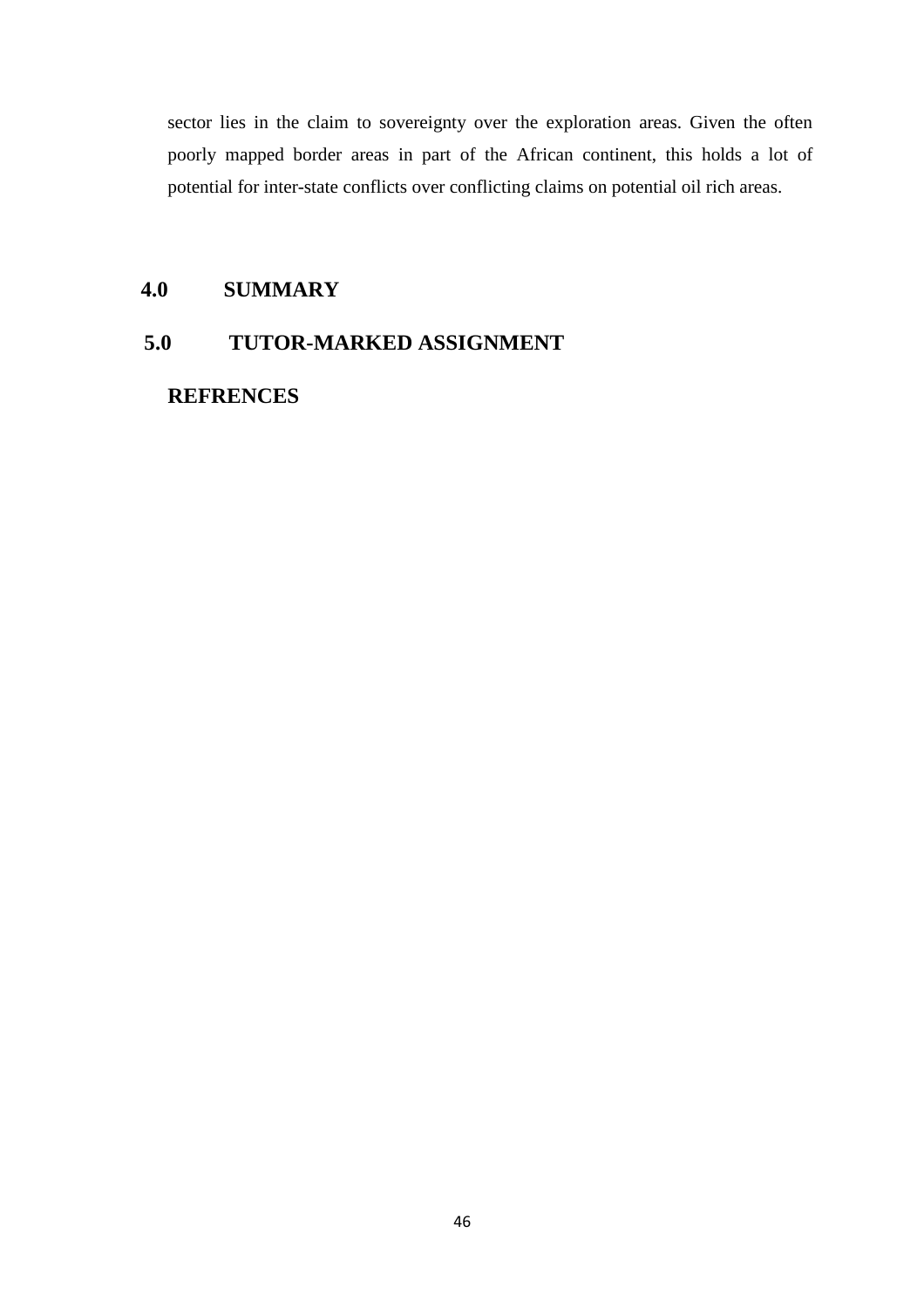sector lies in the claim to sovereignty over the exploration areas. Given the often poorly mapped border areas in part of the African continent, this holds a lot of potential for inter-state conflicts over conflicting claims on potential oil rich areas.

### **4.0 SUMMARY**

## **5.0 TUTOR-MARKED ASSIGNMENT**

 **REFRENCES**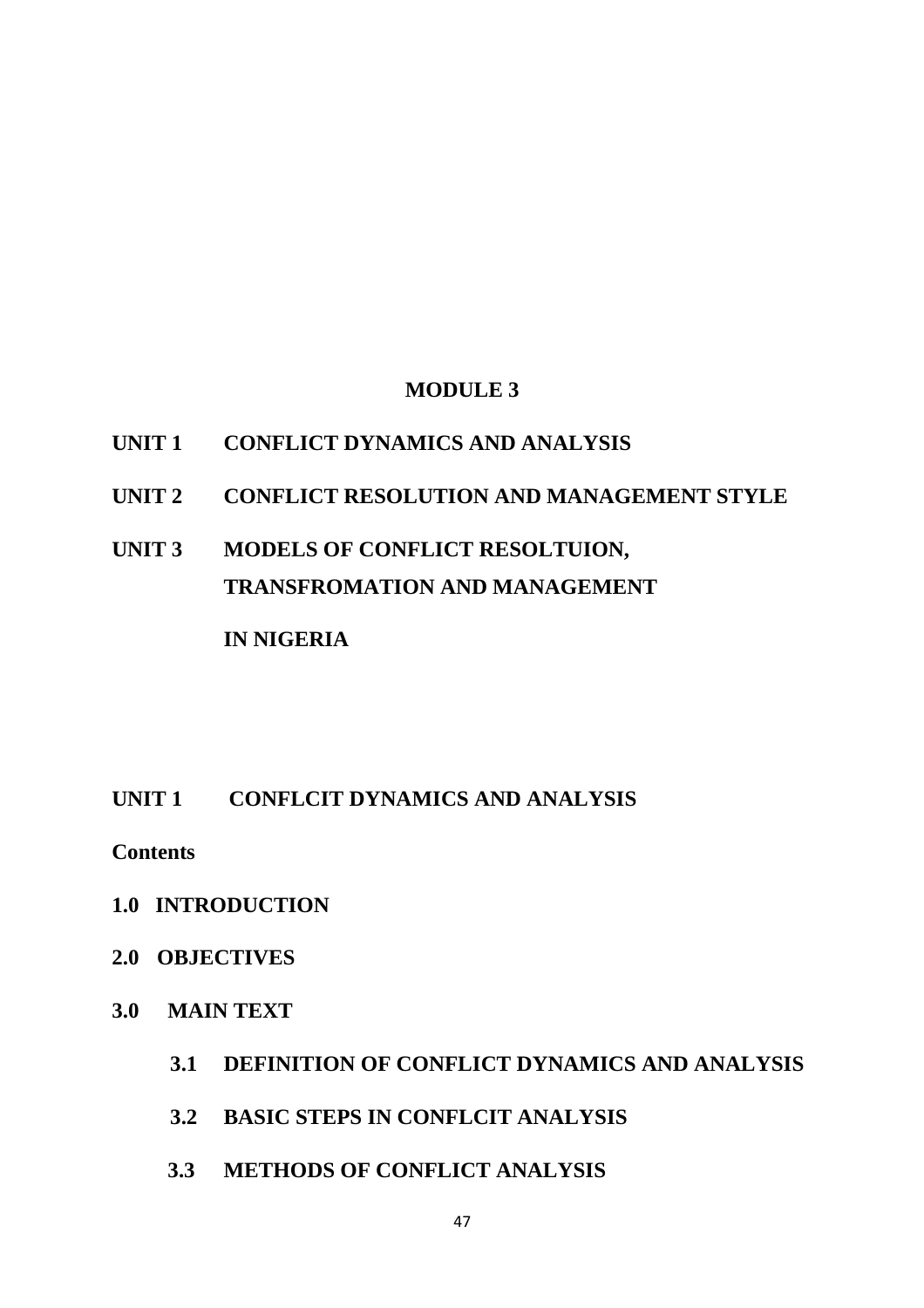## **MODULE 3**

## **UNIT 1 CONFLICT DYNAMICS AND ANALYSIS**

- **UNIT 2 CONFLICT RESOLUTION AND MANAGEMENT STYLE**
- **UNIT 3 MODELS OF CONFLICT RESOLTUION, TRANSFROMATION AND MANAGEMENT IN NIGERIA**

## **UNIT 1 CONFLCIT DYNAMICS AND ANALYSIS**

**Contents** 

- **1.0 INTRODUCTION**
- **2.0 OBJECTIVES**
- **3.0 MAIN TEXT** 
	- **3.1 DEFINITION OF CONFLICT DYNAMICS AND ANALYSIS**
	- **3.2 BASIC STEPS IN CONFLCIT ANALYSIS**
	- **3.3 METHODS OF CONFLICT ANALYSIS**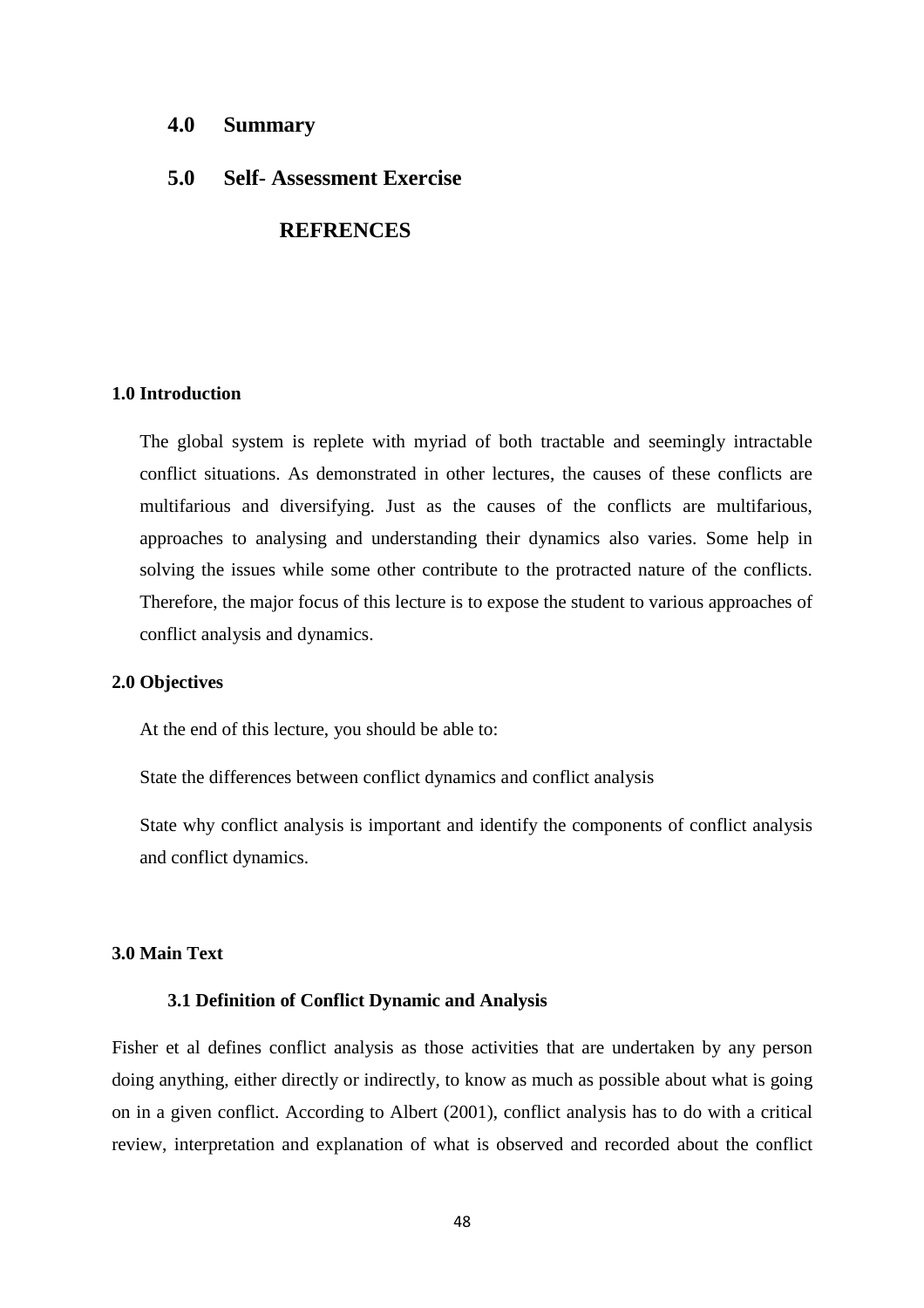#### **4.0 Summary**

#### **5.0 Self- Assessment Exercise**

### **REFRENCES**

#### **1.0 Introduction**

The global system is replete with myriad of both tractable and seemingly intractable conflict situations. As demonstrated in other lectures, the causes of these conflicts are multifarious and diversifying. Just as the causes of the conflicts are multifarious, approaches to analysing and understanding their dynamics also varies. Some help in solving the issues while some other contribute to the protracted nature of the conflicts. Therefore, the major focus of this lecture is to expose the student to various approaches of conflict analysis and dynamics.

#### **2.0 Objectives**

At the end of this lecture, you should be able to:

State the differences between conflict dynamics and conflict analysis

State why conflict analysis is important and identify the components of conflict analysis and conflict dynamics.

#### **3.0 Main Text**

#### **3.1 Definition of Conflict Dynamic and Analysis**

Fisher et al defines conflict analysis as those activities that are undertaken by any person doing anything, either directly or indirectly, to know as much as possible about what is going on in a given conflict. According to Albert (2001), conflict analysis has to do with a critical review, interpretation and explanation of what is observed and recorded about the conflict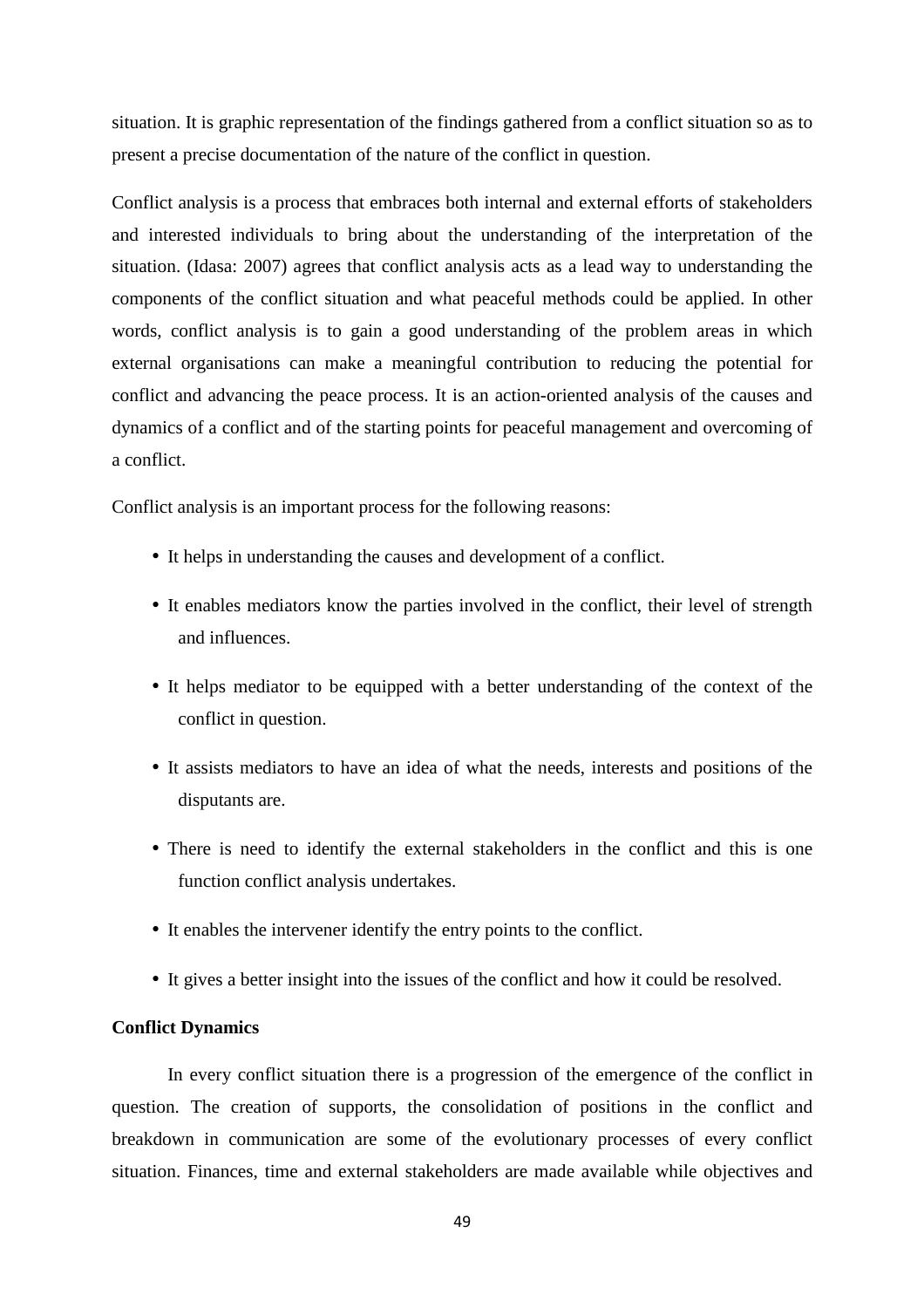situation. It is graphic representation of the findings gathered from a conflict situation so as to present a precise documentation of the nature of the conflict in question.

Conflict analysis is a process that embraces both internal and external efforts of stakeholders and interested individuals to bring about the understanding of the interpretation of the situation. (Idasa: 2007) agrees that conflict analysis acts as a lead way to understanding the components of the conflict situation and what peaceful methods could be applied. In other words, conflict analysis is to gain a good understanding of the problem areas in which external organisations can make a meaningful contribution to reducing the potential for conflict and advancing the peace process. It is an action-oriented analysis of the causes and dynamics of a conflict and of the starting points for peaceful management and overcoming of a conflict.

Conflict analysis is an important process for the following reasons:

- It helps in understanding the causes and development of a conflict.
- It enables mediators know the parties involved in the conflict, their level of strength and influences.
- It helps mediator to be equipped with a better understanding of the context of the conflict in question.
- It assists mediators to have an idea of what the needs, interests and positions of the disputants are.
- There is need to identify the external stakeholders in the conflict and this is one function conflict analysis undertakes.
- It enables the intervener identify the entry points to the conflict.
- It gives a better insight into the issues of the conflict and how it could be resolved.

#### **Conflict Dynamics**

 In every conflict situation there is a progression of the emergence of the conflict in question. The creation of supports, the consolidation of positions in the conflict and breakdown in communication are some of the evolutionary processes of every conflict situation. Finances, time and external stakeholders are made available while objectives and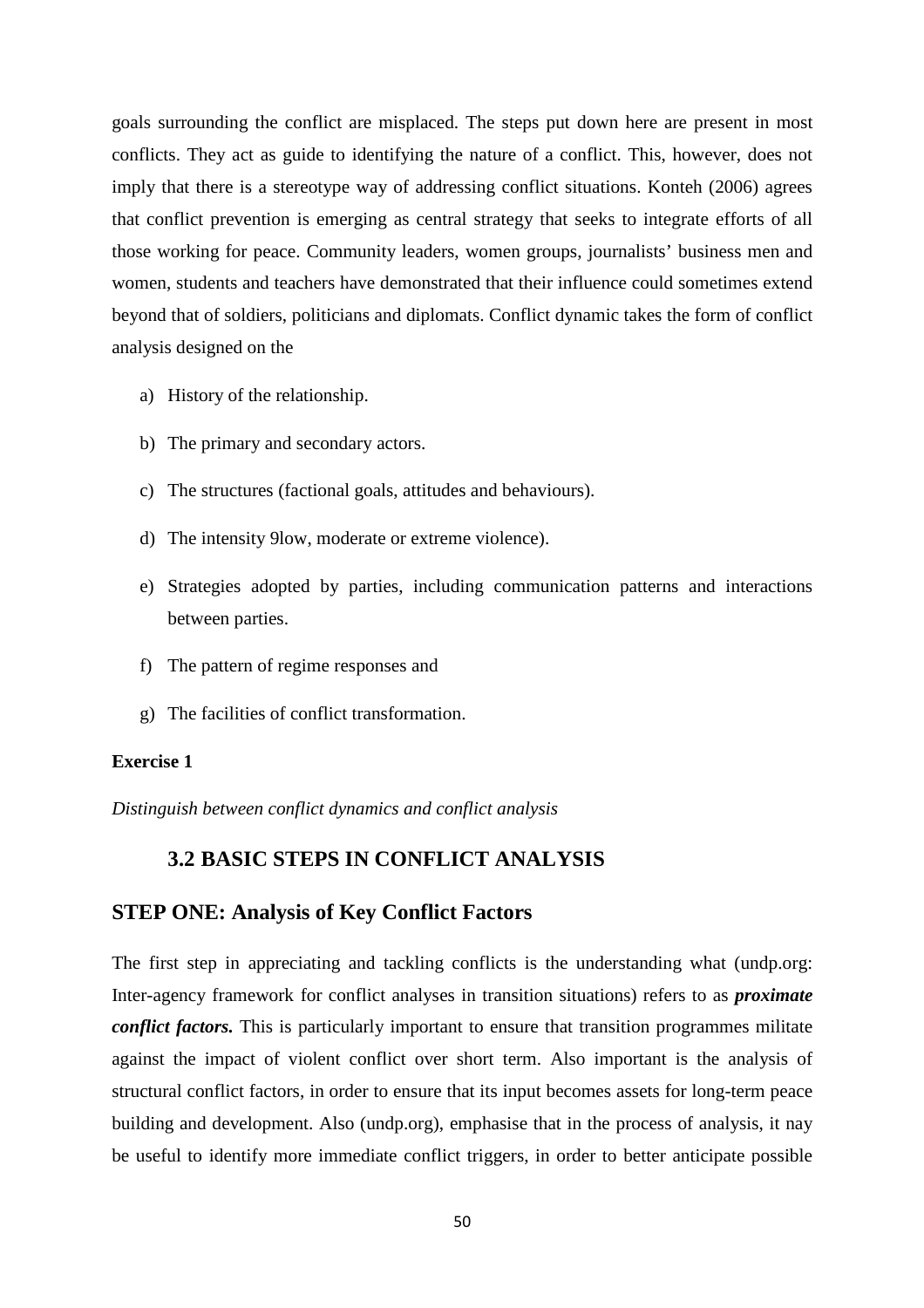goals surrounding the conflict are misplaced. The steps put down here are present in most conflicts. They act as guide to identifying the nature of a conflict. This, however, does not imply that there is a stereotype way of addressing conflict situations. Konteh (2006) agrees that conflict prevention is emerging as central strategy that seeks to integrate efforts of all those working for peace. Community leaders, women groups, journalists' business men and women, students and teachers have demonstrated that their influence could sometimes extend beyond that of soldiers, politicians and diplomats. Conflict dynamic takes the form of conflict analysis designed on the

- a) History of the relationship.
- b) The primary and secondary actors.
- c) The structures (factional goals, attitudes and behaviours).
- d) The intensity 9low, moderate or extreme violence).
- e) Strategies adopted by parties, including communication patterns and interactions between parties.
- f) The pattern of regime responses and
- g) The facilities of conflict transformation.

#### **Exercise 1**

*Distinguish between conflict dynamics and conflict analysis* 

### **3.2 BASIC STEPS IN CONFLICT ANALYSIS**

### **STEP ONE: Analysis of Key Conflict Factors**

The first step in appreciating and tackling conflicts is the understanding what (undp.org: Inter-agency framework for conflict analyses in transition situations) refers to as *proximate conflict factors*. This is particularly important to ensure that transition programmes militate against the impact of violent conflict over short term. Also important is the analysis of structural conflict factors, in order to ensure that its input becomes assets for long-term peace building and development. Also (undp.org), emphasise that in the process of analysis, it nay be useful to identify more immediate conflict triggers, in order to better anticipate possible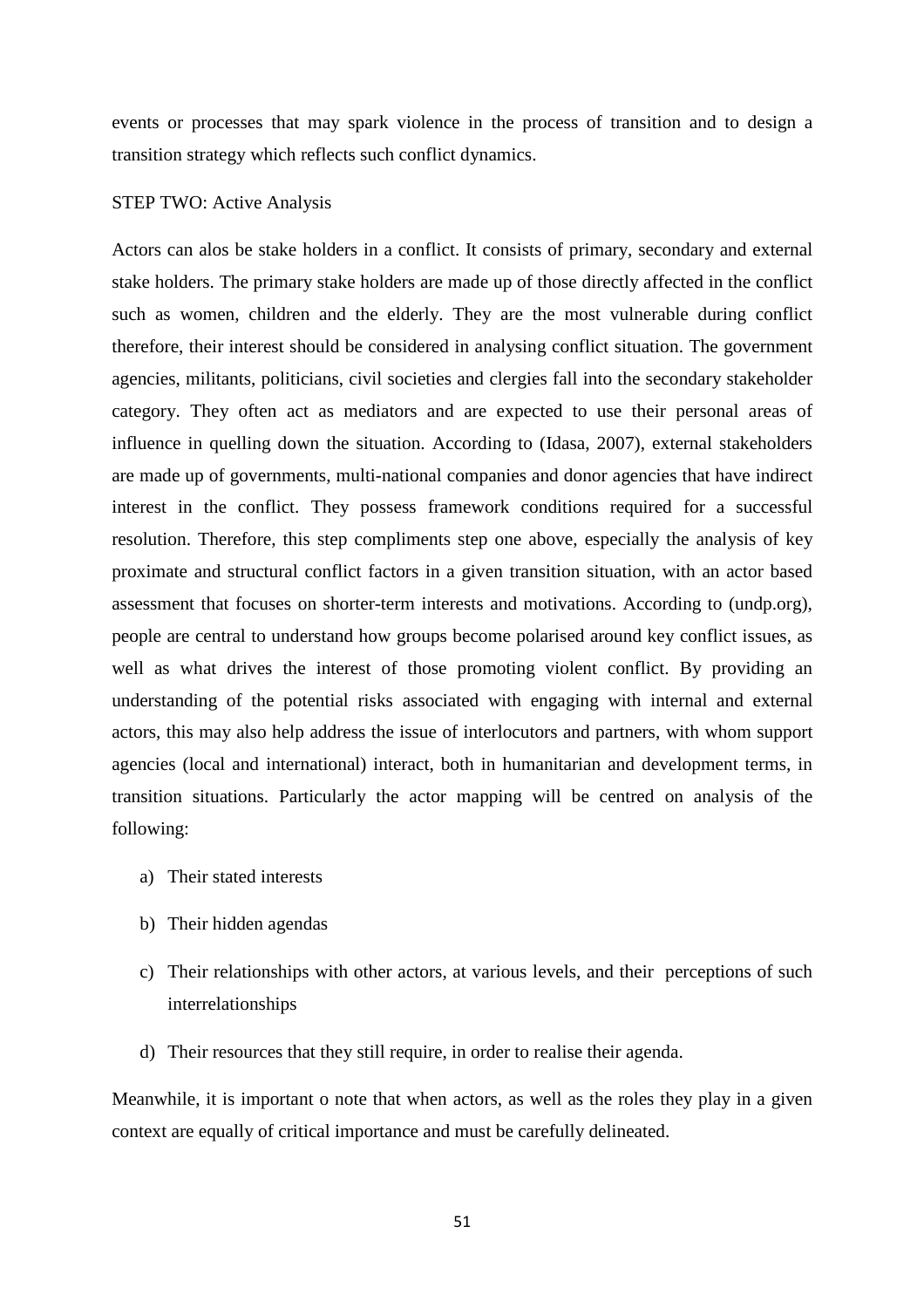events or processes that may spark violence in the process of transition and to design a transition strategy which reflects such conflict dynamics.

#### STEP TWO: Active Analysis

Actors can alos be stake holders in a conflict. It consists of primary, secondary and external stake holders. The primary stake holders are made up of those directly affected in the conflict such as women, children and the elderly. They are the most vulnerable during conflict therefore, their interest should be considered in analysing conflict situation. The government agencies, militants, politicians, civil societies and clergies fall into the secondary stakeholder category. They often act as mediators and are expected to use their personal areas of influence in quelling down the situation. According to (Idasa, 2007), external stakeholders are made up of governments, multi-national companies and donor agencies that have indirect interest in the conflict. They possess framework conditions required for a successful resolution. Therefore, this step compliments step one above, especially the analysis of key proximate and structural conflict factors in a given transition situation, with an actor based assessment that focuses on shorter-term interests and motivations. According to (undp.org), people are central to understand how groups become polarised around key conflict issues, as well as what drives the interest of those promoting violent conflict. By providing an understanding of the potential risks associated with engaging with internal and external actors, this may also help address the issue of interlocutors and partners, with whom support agencies (local and international) interact, both in humanitarian and development terms, in transition situations. Particularly the actor mapping will be centred on analysis of the following:

- a) Their stated interests
- b) Their hidden agendas
- c) Their relationships with other actors, at various levels, and their perceptions of such interrelationships
- d) Their resources that they still require, in order to realise their agenda.

Meanwhile, it is important o note that when actors, as well as the roles they play in a given context are equally of critical importance and must be carefully delineated.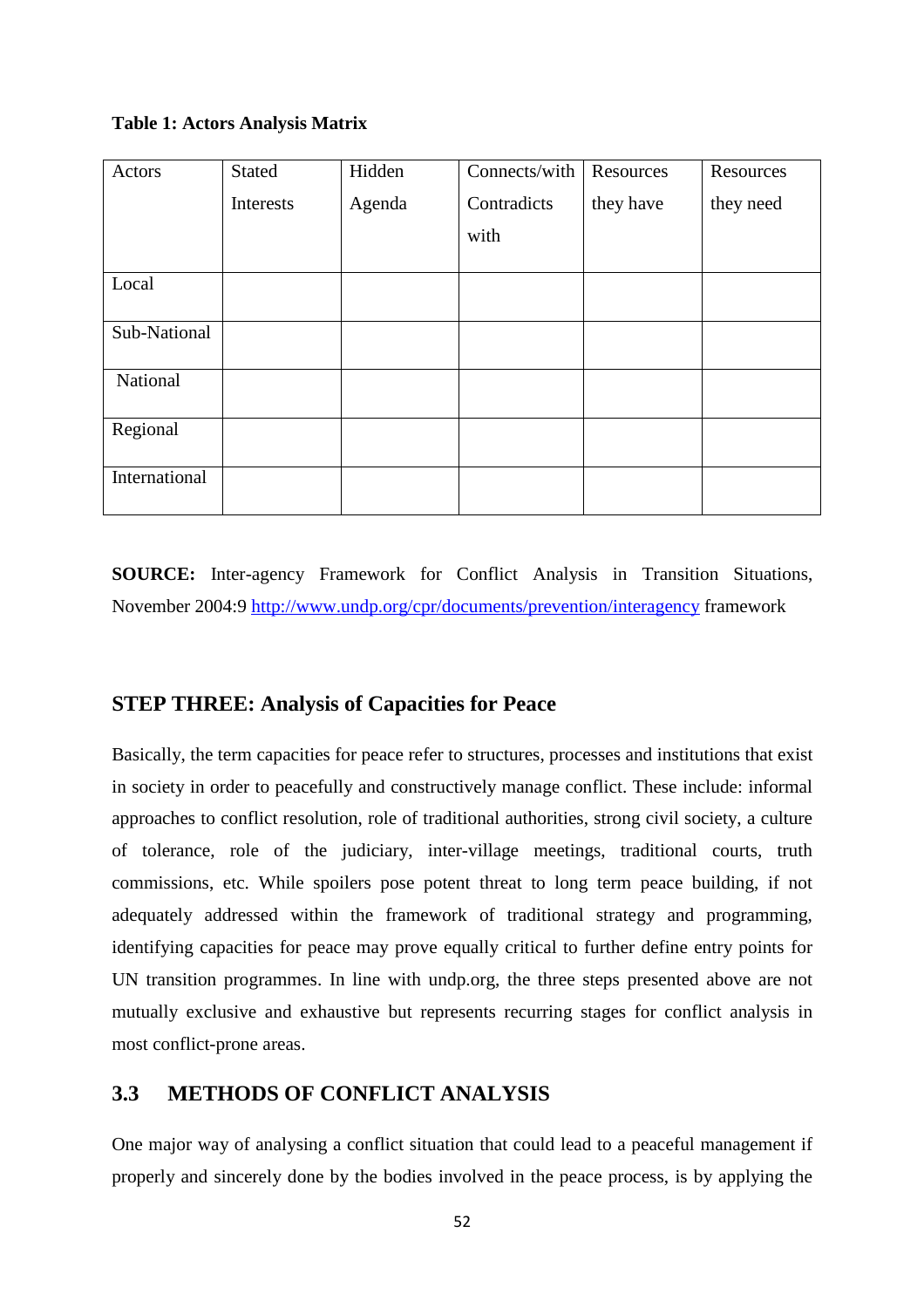#### **Table 1: Actors Analysis Matrix**

| Actors        | Stated    | Hidden | Connects/with | Resources | Resources |
|---------------|-----------|--------|---------------|-----------|-----------|
|               | Interests | Agenda | Contradicts   | they have | they need |
|               |           |        | with          |           |           |
| Local         |           |        |               |           |           |
| Sub-National  |           |        |               |           |           |
| National      |           |        |               |           |           |
| Regional      |           |        |               |           |           |
| International |           |        |               |           |           |

**SOURCE:** Inter-agency Framework for Conflict Analysis in Transition Situations, November 2004:9 http://www.undp.org/cpr/documents/prevention/interagency framework

## **STEP THREE: Analysis of Capacities for Peace**

Basically, the term capacities for peace refer to structures, processes and institutions that exist in society in order to peacefully and constructively manage conflict. These include: informal approaches to conflict resolution, role of traditional authorities, strong civil society, a culture of tolerance, role of the judiciary, inter-village meetings, traditional courts, truth commissions, etc. While spoilers pose potent threat to long term peace building, if not adequately addressed within the framework of traditional strategy and programming, identifying capacities for peace may prove equally critical to further define entry points for UN transition programmes. In line with undp.org, the three steps presented above are not mutually exclusive and exhaustive but represents recurring stages for conflict analysis in most conflict-prone areas.

## **3.3 METHODS OF CONFLICT ANALYSIS**

One major way of analysing a conflict situation that could lead to a peaceful management if properly and sincerely done by the bodies involved in the peace process, is by applying the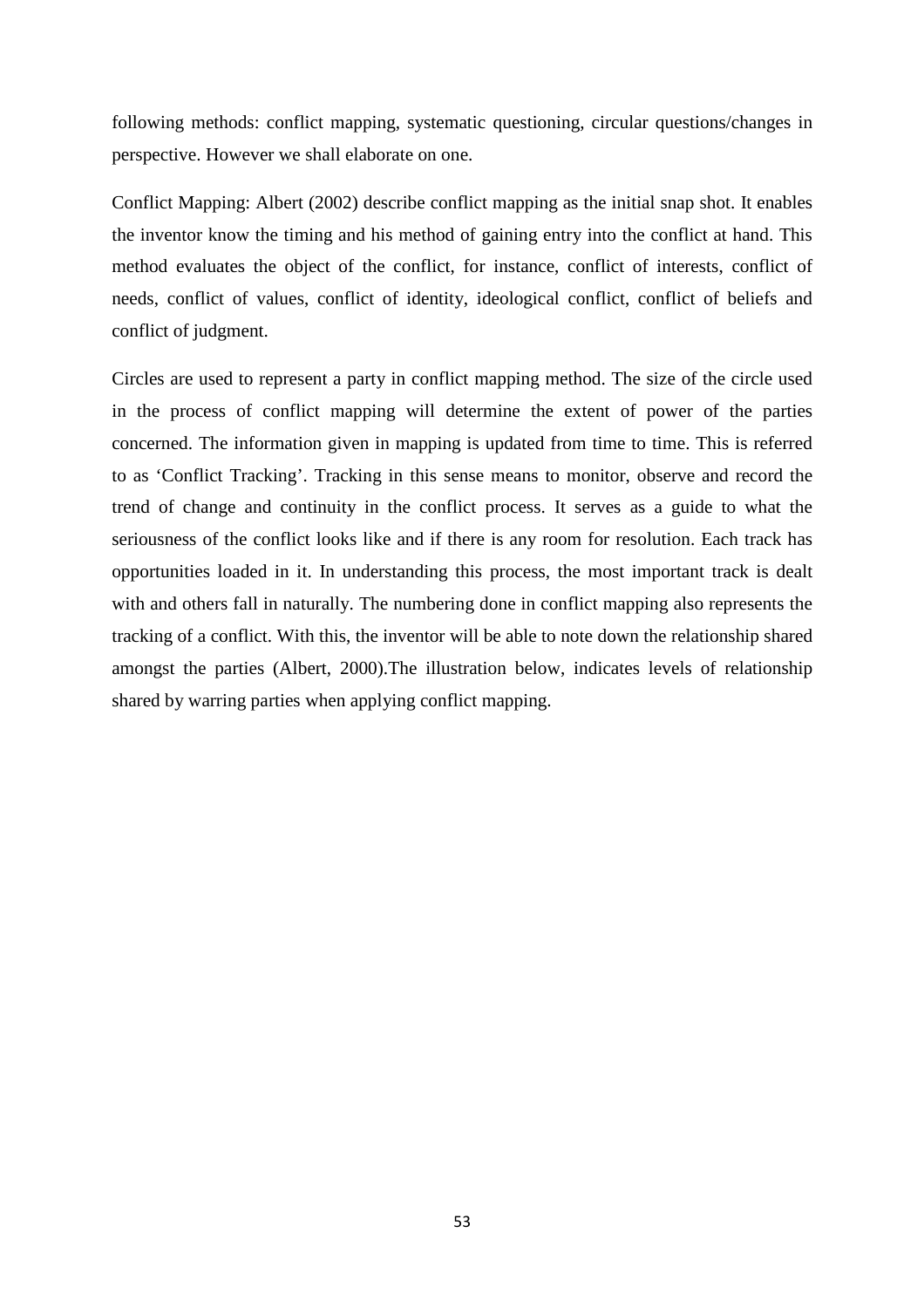following methods: conflict mapping, systematic questioning, circular questions/changes in perspective. However we shall elaborate on one.

Conflict Mapping: Albert (2002) describe conflict mapping as the initial snap shot. It enables the inventor know the timing and his method of gaining entry into the conflict at hand. This method evaluates the object of the conflict, for instance, conflict of interests, conflict of needs, conflict of values, conflict of identity, ideological conflict, conflict of beliefs and conflict of judgment.

Circles are used to represent a party in conflict mapping method. The size of the circle used in the process of conflict mapping will determine the extent of power of the parties concerned. The information given in mapping is updated from time to time. This is referred to as 'Conflict Tracking'. Tracking in this sense means to monitor, observe and record the trend of change and continuity in the conflict process. It serves as a guide to what the seriousness of the conflict looks like and if there is any room for resolution. Each track has opportunities loaded in it. In understanding this process, the most important track is dealt with and others fall in naturally. The numbering done in conflict mapping also represents the tracking of a conflict. With this, the inventor will be able to note down the relationship shared amongst the parties (Albert, 2000).The illustration below, indicates levels of relationship shared by warring parties when applying conflict mapping.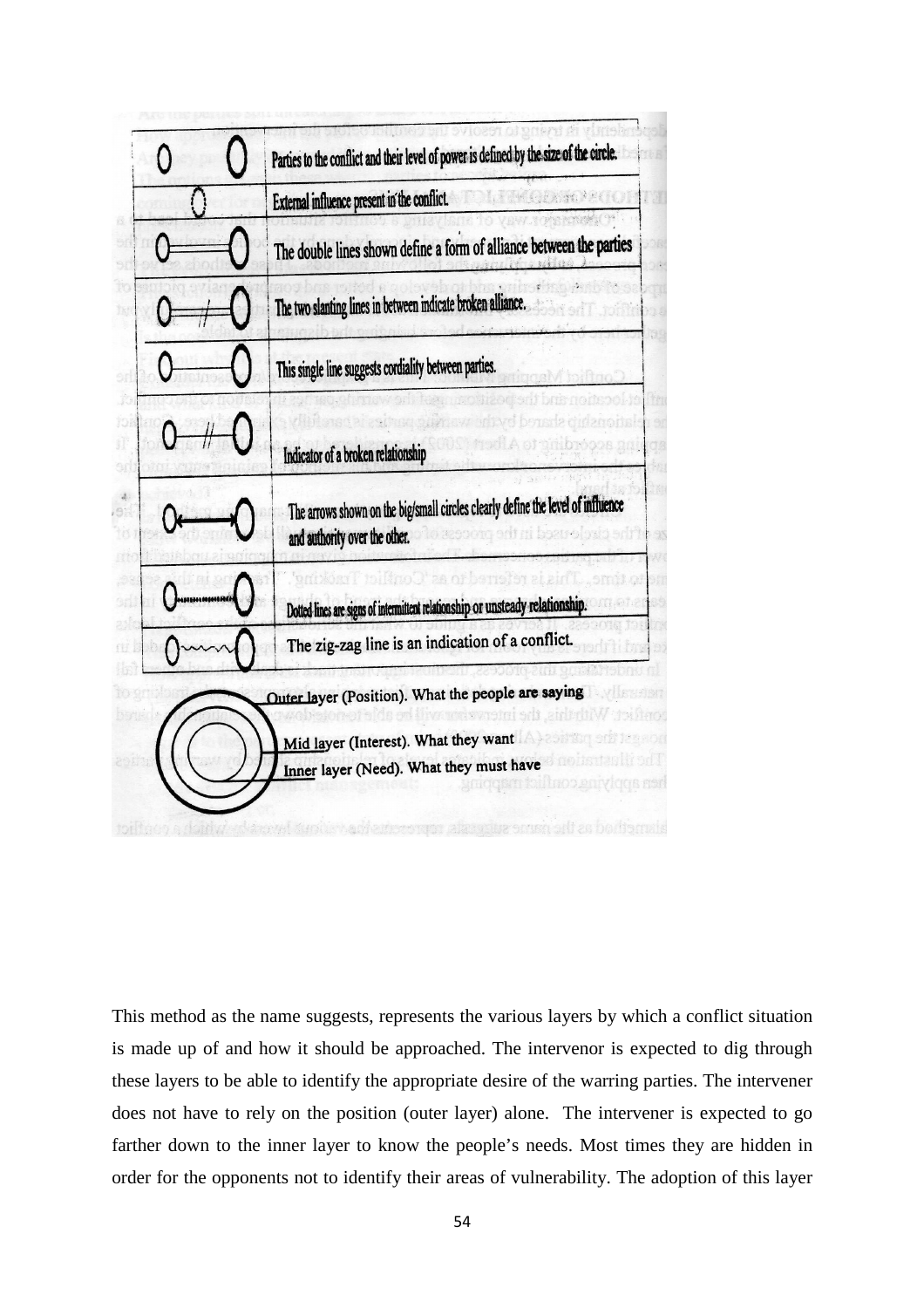

This method as the name suggests, represents the various layers by which a conflict situation is made up of and how it should be approached. The intervenor is expected to dig through these layers to be able to identify the appropriate desire of the warring parties. The intervener does not have to rely on the position (outer layer) alone. The intervener is expected to go farther down to the inner layer to know the people's needs. Most times they are hidden in order for the opponents not to identify their areas of vulnerability. The adoption of this layer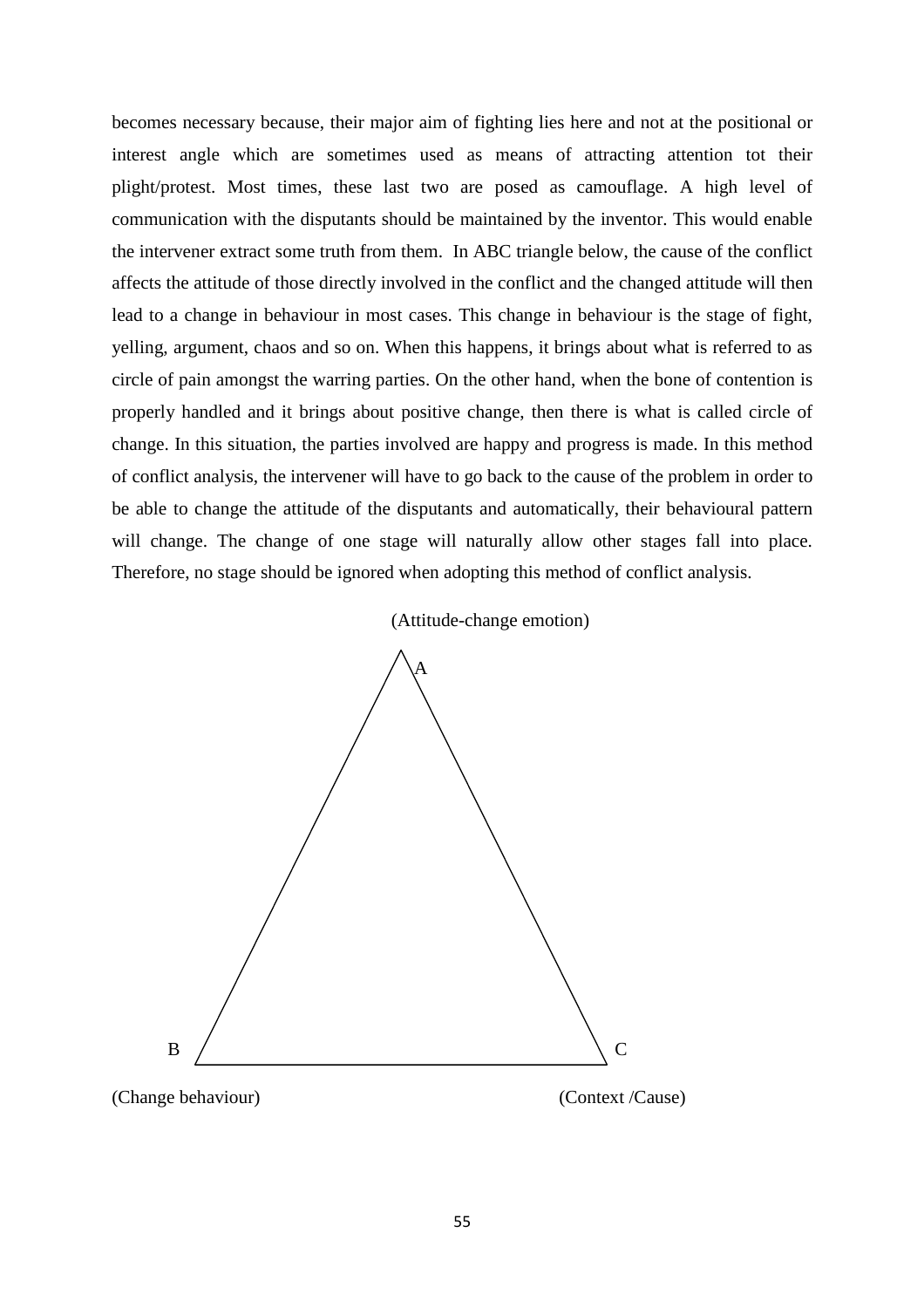becomes necessary because, their major aim of fighting lies here and not at the positional or interest angle which are sometimes used as means of attracting attention tot their plight/protest. Most times, these last two are posed as camouflage. A high level of communication with the disputants should be maintained by the inventor. This would enable the intervener extract some truth from them. In ABC triangle below, the cause of the conflict affects the attitude of those directly involved in the conflict and the changed attitude will then lead to a change in behaviour in most cases. This change in behaviour is the stage of fight, yelling, argument, chaos and so on. When this happens, it brings about what is referred to as circle of pain amongst the warring parties. On the other hand, when the bone of contention is properly handled and it brings about positive change, then there is what is called circle of change. In this situation, the parties involved are happy and progress is made. In this method of conflict analysis, the intervener will have to go back to the cause of the problem in order to be able to change the attitude of the disputants and automatically, their behavioural pattern will change. The change of one stage will naturally allow other stages fall into place. Therefore, no stage should be ignored when adopting this method of conflict analysis.



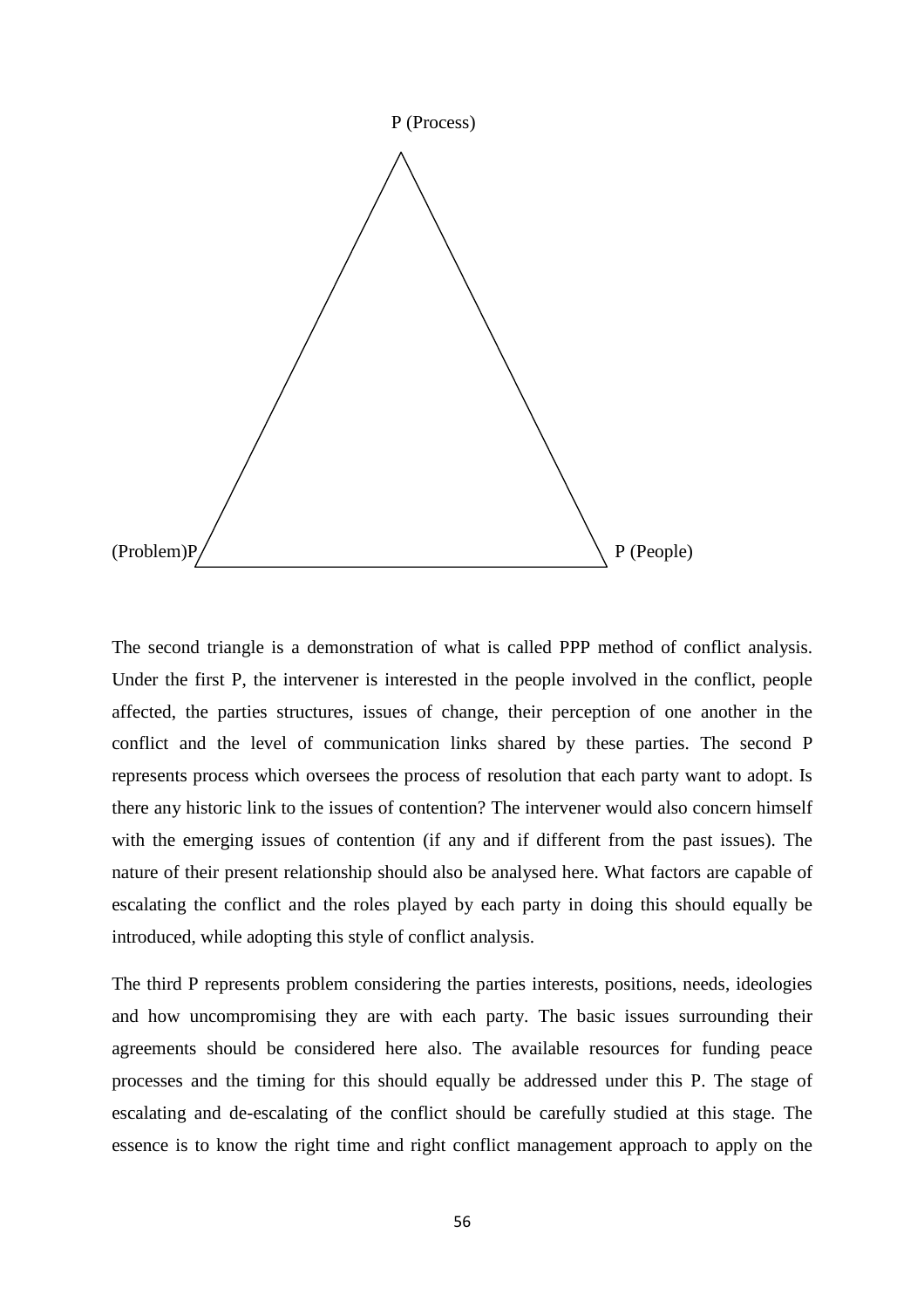

The second triangle is a demonstration of what is called PPP method of conflict analysis. Under the first P, the intervener is interested in the people involved in the conflict, people affected, the parties structures, issues of change, their perception of one another in the conflict and the level of communication links shared by these parties. The second P represents process which oversees the process of resolution that each party want to adopt. Is there any historic link to the issues of contention? The intervener would also concern himself with the emerging issues of contention (if any and if different from the past issues). The nature of their present relationship should also be analysed here. What factors are capable of escalating the conflict and the roles played by each party in doing this should equally be introduced, while adopting this style of conflict analysis.

The third P represents problem considering the parties interests, positions, needs, ideologies and how uncompromising they are with each party. The basic issues surrounding their agreements should be considered here also. The available resources for funding peace processes and the timing for this should equally be addressed under this P. The stage of escalating and de-escalating of the conflict should be carefully studied at this stage. The essence is to know the right time and right conflict management approach to apply on the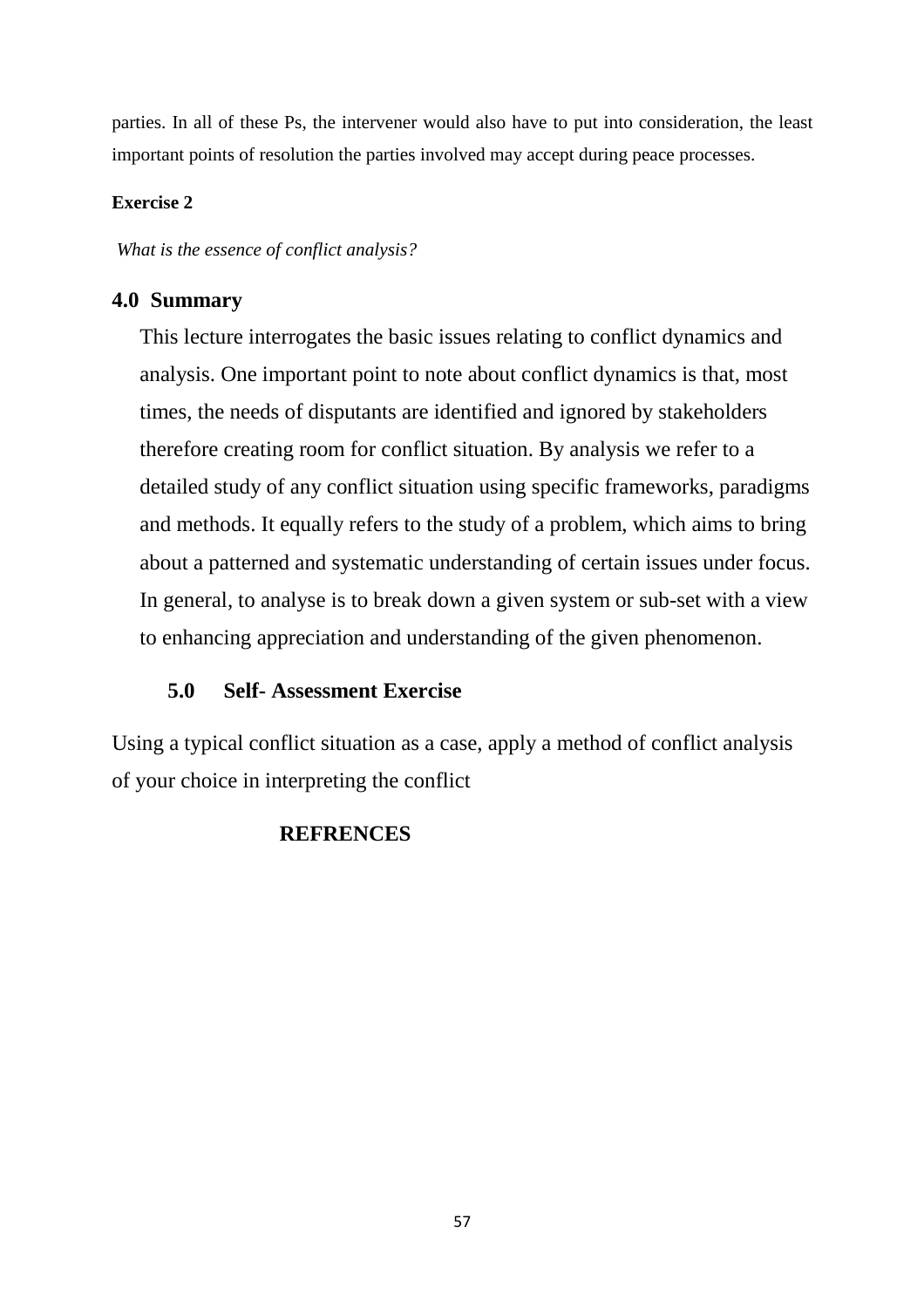parties. In all of these Ps, the intervener would also have to put into consideration, the least important points of resolution the parties involved may accept during peace processes.

## **Exercise 2**

 *What is the essence of conflict analysis?* 

## **4.0 Summary**

This lecture interrogates the basic issues relating to conflict dynamics and analysis. One important point to note about conflict dynamics is that, most times, the needs of disputants are identified and ignored by stakeholders therefore creating room for conflict situation. By analysis we refer to a detailed study of any conflict situation using specific frameworks, paradigms and methods. It equally refers to the study of a problem, which aims to bring about a patterned and systematic understanding of certain issues under focus. In general, to analyse is to break down a given system or sub-set with a view to enhancing appreciation and understanding of the given phenomenon.

## **5.0 Self- Assessment Exercise**

Using a typical conflict situation as a case, apply a method of conflict analysis of your choice in interpreting the conflict

## **REFRENCES**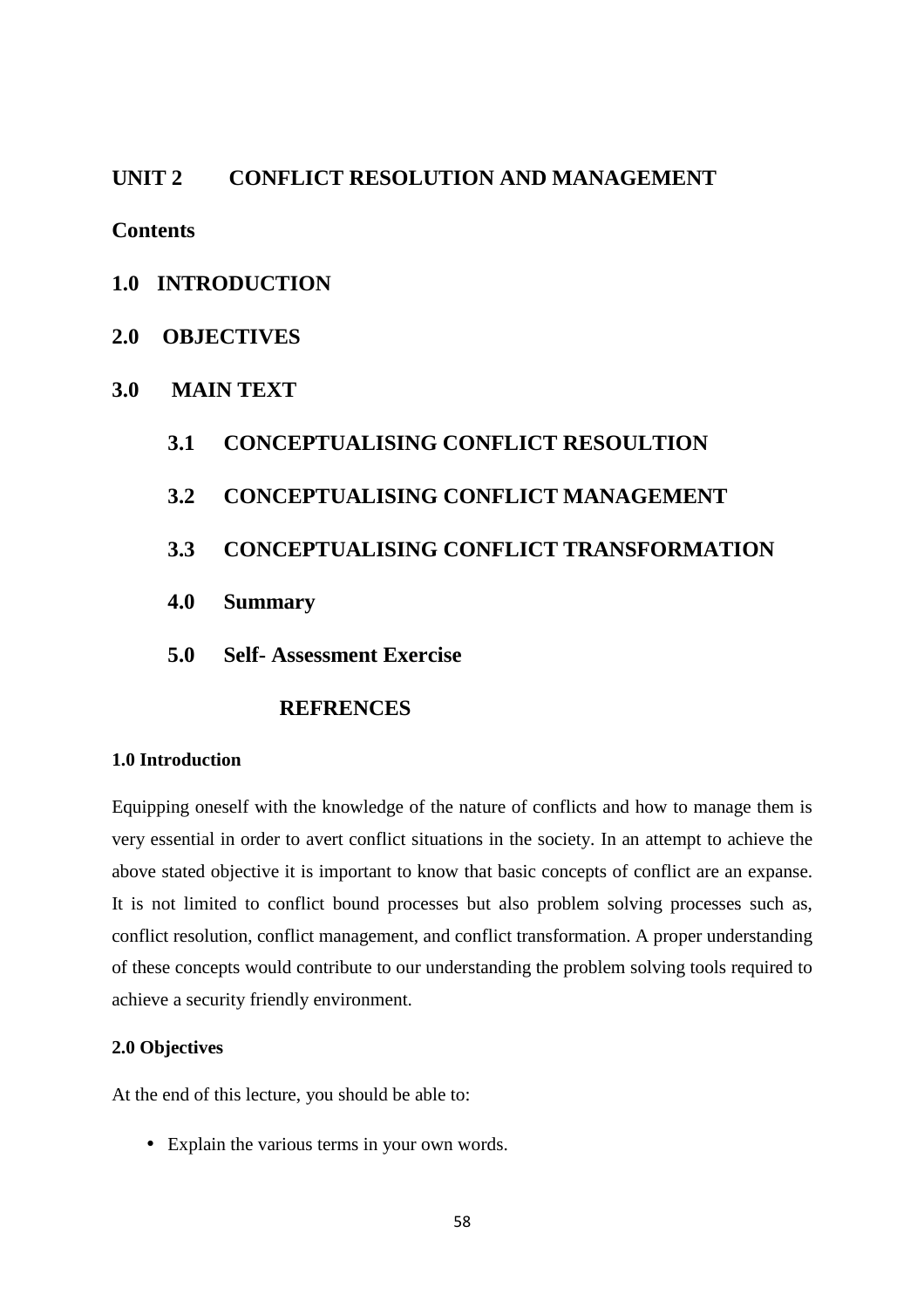## **UNIT 2 CONFLICT RESOLUTION AND MANAGEMENT**

**Contents** 

## **1.0 INTRODUCTION**

- **2.0 OBJECTIVES**
- **3.0 MAIN TEXT**

## **3.1 CONCEPTUALISING CONFLICT RESOULTION**

**3.2 CONCEPTUALISING CONFLICT MANAGEMENT** 

## **3.3 CONCEPTUALISING CONFLICT TRANSFORMATION**

- **4.0 Summary**
- **5.0 Self- Assessment Exercise**

## **REFRENCES**

#### **1.0 Introduction**

Equipping oneself with the knowledge of the nature of conflicts and how to manage them is very essential in order to avert conflict situations in the society. In an attempt to achieve the above stated objective it is important to know that basic concepts of conflict are an expanse. It is not limited to conflict bound processes but also problem solving processes such as, conflict resolution, conflict management, and conflict transformation. A proper understanding of these concepts would contribute to our understanding the problem solving tools required to achieve a security friendly environment.

### **2.0 Objectives**

At the end of this lecture, you should be able to:

• Explain the various terms in your own words.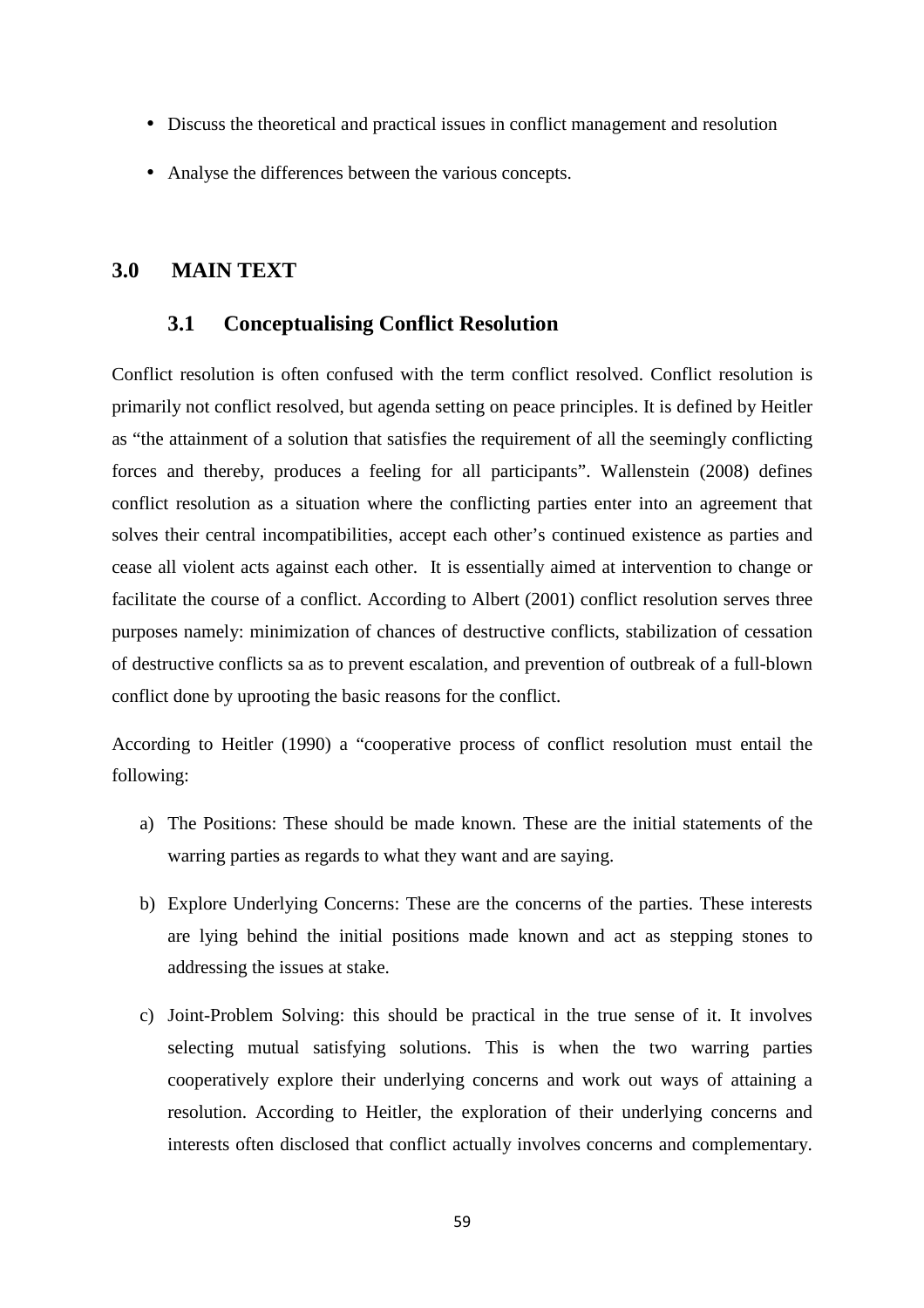- Discuss the theoretical and practical issues in conflict management and resolution
- Analyse the differences between the various concepts.

## **3.0 MAIN TEXT**

### **3.1 Conceptualising Conflict Resolution**

Conflict resolution is often confused with the term conflict resolved. Conflict resolution is primarily not conflict resolved, but agenda setting on peace principles. It is defined by Heitler as "the attainment of a solution that satisfies the requirement of all the seemingly conflicting forces and thereby, produces a feeling for all participants". Wallenstein (2008) defines conflict resolution as a situation where the conflicting parties enter into an agreement that solves their central incompatibilities, accept each other's continued existence as parties and cease all violent acts against each other. It is essentially aimed at intervention to change or facilitate the course of a conflict. According to Albert (2001) conflict resolution serves three purposes namely: minimization of chances of destructive conflicts, stabilization of cessation of destructive conflicts sa as to prevent escalation, and prevention of outbreak of a full-blown conflict done by uprooting the basic reasons for the conflict.

According to Heitler (1990) a "cooperative process of conflict resolution must entail the following:

- a) The Positions: These should be made known. These are the initial statements of the warring parties as regards to what they want and are saying.
- b) Explore Underlying Concerns: These are the concerns of the parties. These interests are lying behind the initial positions made known and act as stepping stones to addressing the issues at stake.
- c) Joint-Problem Solving: this should be practical in the true sense of it. It involves selecting mutual satisfying solutions. This is when the two warring parties cooperatively explore their underlying concerns and work out ways of attaining a resolution. According to Heitler, the exploration of their underlying concerns and interests often disclosed that conflict actually involves concerns and complementary.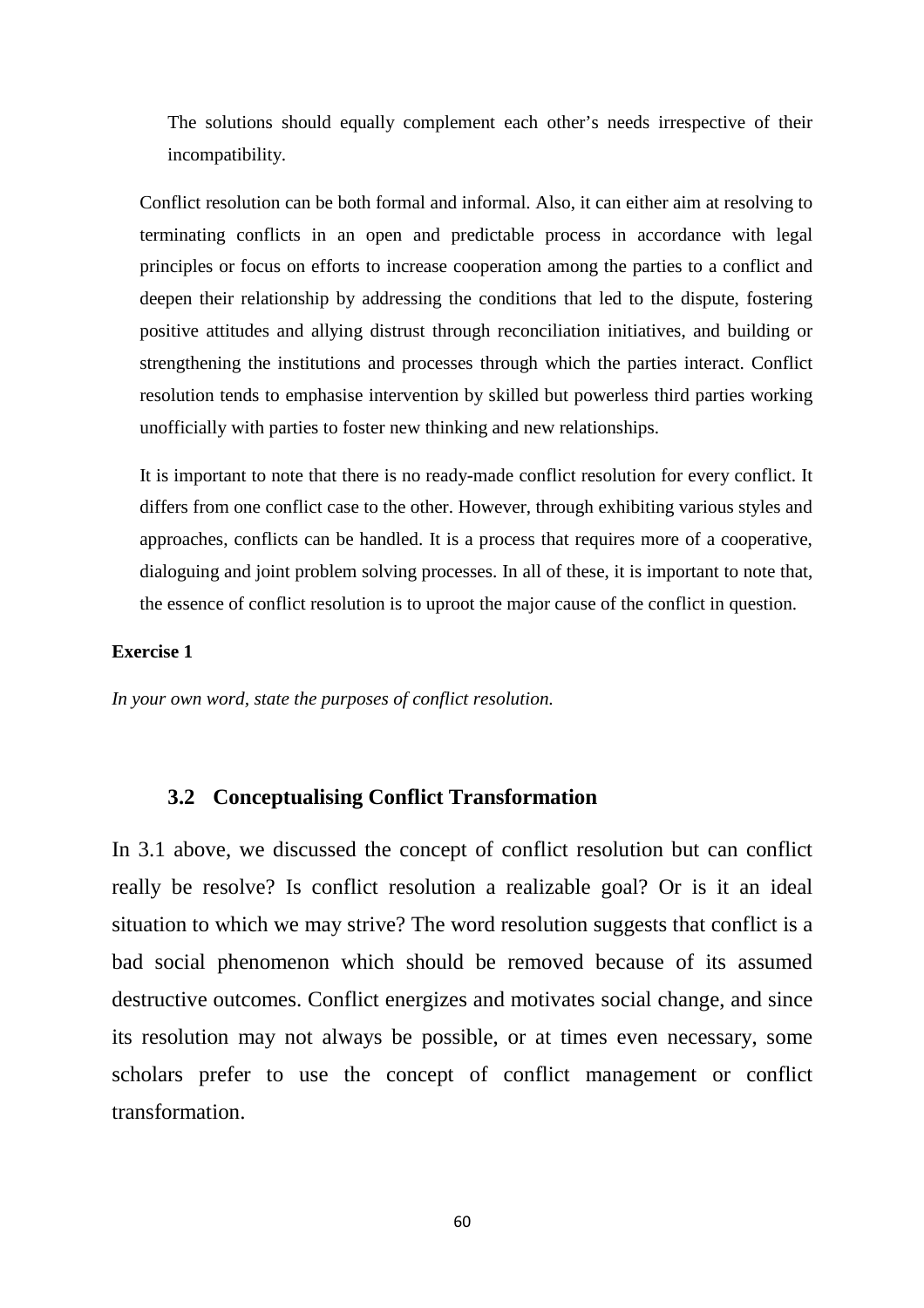The solutions should equally complement each other's needs irrespective of their incompatibility.

Conflict resolution can be both formal and informal. Also, it can either aim at resolving to terminating conflicts in an open and predictable process in accordance with legal principles or focus on efforts to increase cooperation among the parties to a conflict and deepen their relationship by addressing the conditions that led to the dispute, fostering positive attitudes and allying distrust through reconciliation initiatives, and building or strengthening the institutions and processes through which the parties interact. Conflict resolution tends to emphasise intervention by skilled but powerless third parties working unofficially with parties to foster new thinking and new relationships.

It is important to note that there is no ready-made conflict resolution for every conflict. It differs from one conflict case to the other. However, through exhibiting various styles and approaches, conflicts can be handled. It is a process that requires more of a cooperative, dialoguing and joint problem solving processes. In all of these, it is important to note that, the essence of conflict resolution is to uproot the major cause of the conflict in question.

#### **Exercise 1**

*In your own word, state the purposes of conflict resolution.* 

### **3.2 Conceptualising Conflict Transformation**

In 3.1 above, we discussed the concept of conflict resolution but can conflict really be resolve? Is conflict resolution a realizable goal? Or is it an ideal situation to which we may strive? The word resolution suggests that conflict is a bad social phenomenon which should be removed because of its assumed destructive outcomes. Conflict energizes and motivates social change, and since its resolution may not always be possible, or at times even necessary, some scholars prefer to use the concept of conflict management or conflict transformation.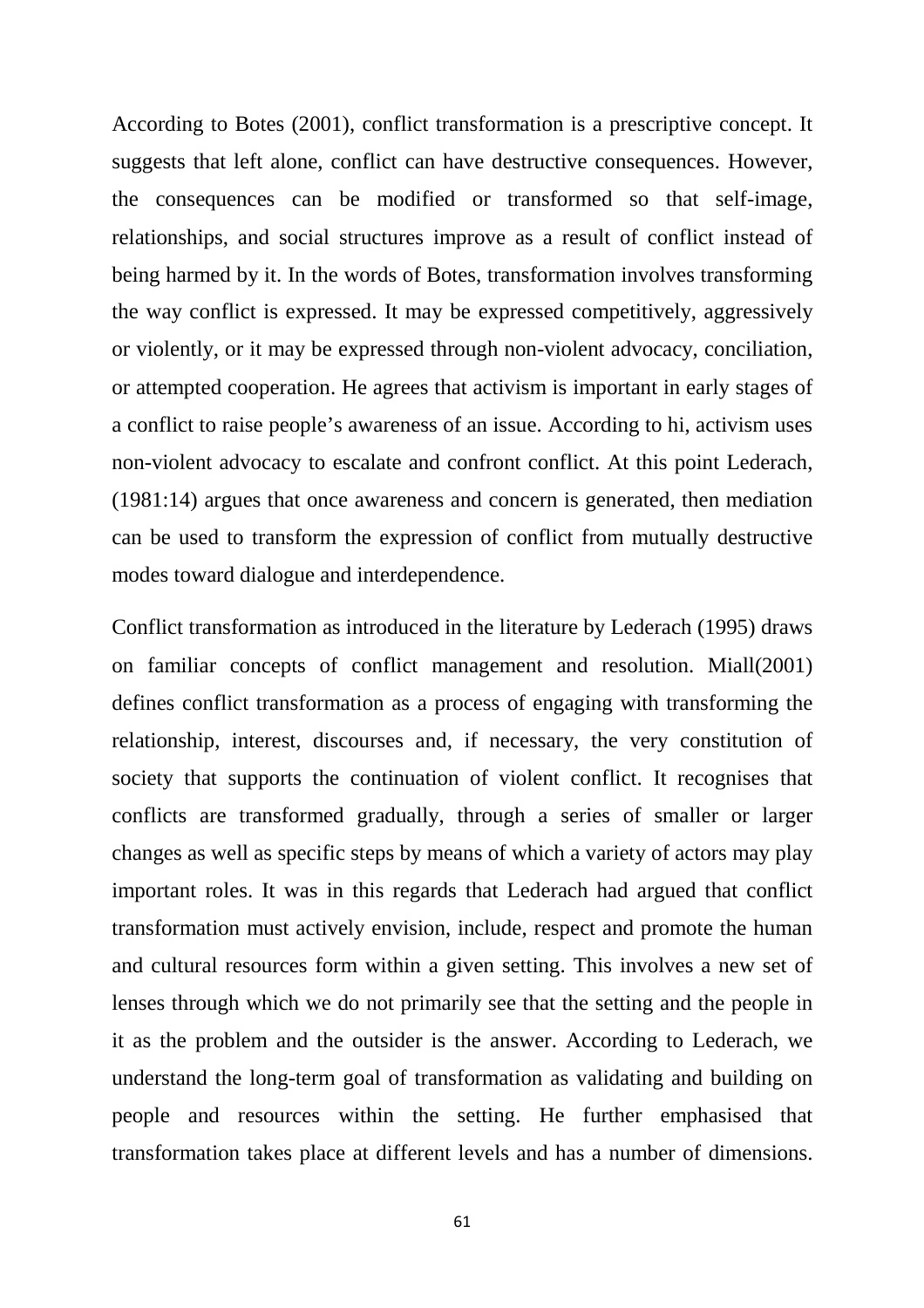According to Botes (2001), conflict transformation is a prescriptive concept. It suggests that left alone, conflict can have destructive consequences. However, the consequences can be modified or transformed so that self-image, relationships, and social structures improve as a result of conflict instead of being harmed by it. In the words of Botes, transformation involves transforming the way conflict is expressed. It may be expressed competitively, aggressively or violently, or it may be expressed through non-violent advocacy, conciliation, or attempted cooperation. He agrees that activism is important in early stages of a conflict to raise people's awareness of an issue. According to hi, activism uses non-violent advocacy to escalate and confront conflict. At this point Lederach, (1981:14) argues that once awareness and concern is generated, then mediation can be used to transform the expression of conflict from mutually destructive modes toward dialogue and interdependence.

Conflict transformation as introduced in the literature by Lederach (1995) draws on familiar concepts of conflict management and resolution. Miall(2001) defines conflict transformation as a process of engaging with transforming the relationship, interest, discourses and, if necessary, the very constitution of society that supports the continuation of violent conflict. It recognises that conflicts are transformed gradually, through a series of smaller or larger changes as well as specific steps by means of which a variety of actors may play important roles. It was in this regards that Lederach had argued that conflict transformation must actively envision, include, respect and promote the human and cultural resources form within a given setting. This involves a new set of lenses through which we do not primarily see that the setting and the people in it as the problem and the outsider is the answer. According to Lederach, we understand the long-term goal of transformation as validating and building on people and resources within the setting. He further emphasised that transformation takes place at different levels and has a number of dimensions.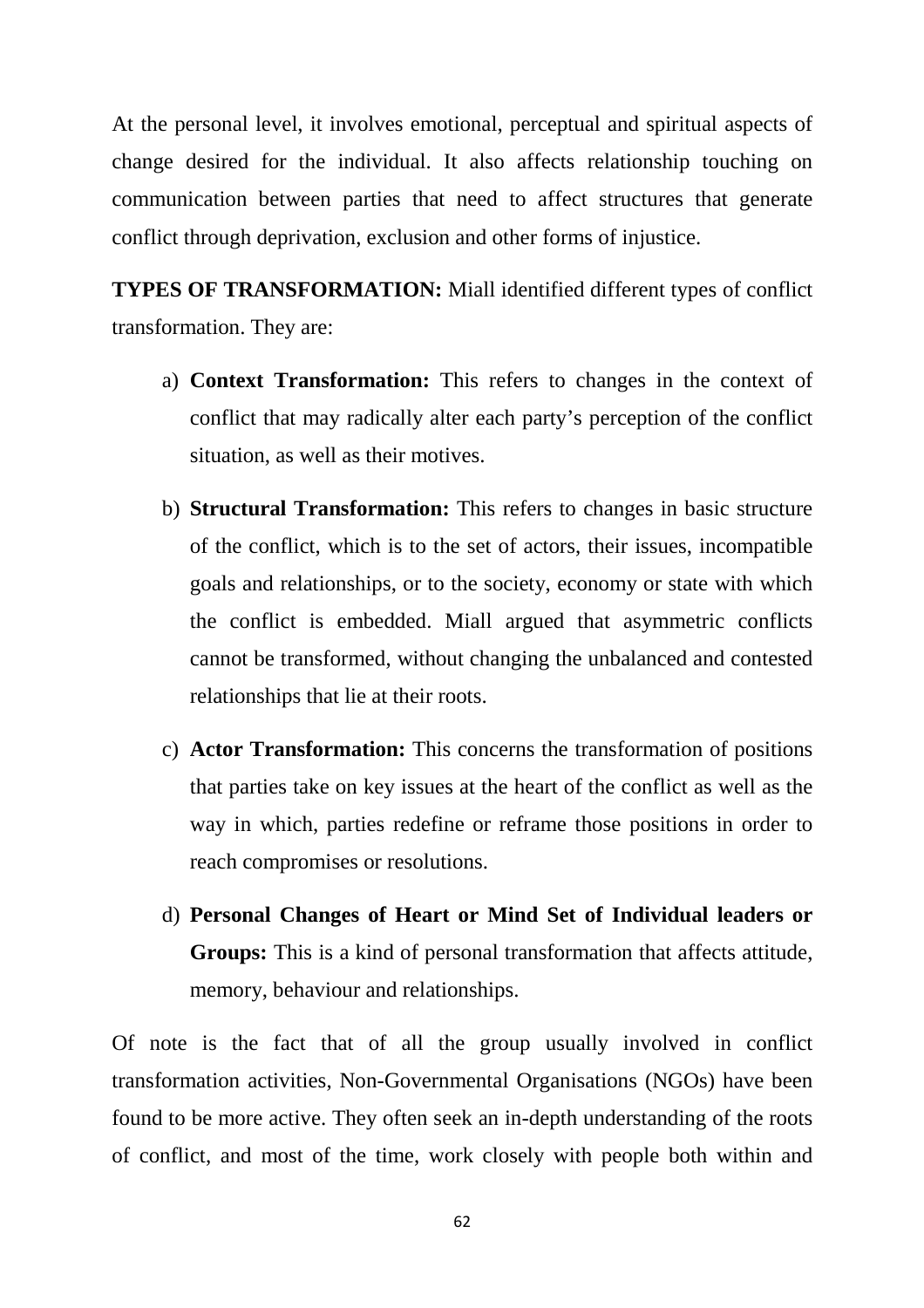At the personal level, it involves emotional, perceptual and spiritual aspects of change desired for the individual. It also affects relationship touching on communication between parties that need to affect structures that generate conflict through deprivation, exclusion and other forms of injustice.

**TYPES OF TRANSFORMATION:** Miall identified different types of conflict transformation. They are:

- a) **Context Transformation:** This refers to changes in the context of conflict that may radically alter each party's perception of the conflict situation, as well as their motives.
- b) **Structural Transformation:** This refers to changes in basic structure of the conflict, which is to the set of actors, their issues, incompatible goals and relationships, or to the society, economy or state with which the conflict is embedded. Miall argued that asymmetric conflicts cannot be transformed, without changing the unbalanced and contested relationships that lie at their roots.
- c) **Actor Transformation:** This concerns the transformation of positions that parties take on key issues at the heart of the conflict as well as the way in which, parties redefine or reframe those positions in order to reach compromises or resolutions.
- d) **Personal Changes of Heart or Mind Set of Individual leaders or Groups:** This is a kind of personal transformation that affects attitude, memory, behaviour and relationships.

Of note is the fact that of all the group usually involved in conflict transformation activities, Non-Governmental Organisations (NGOs) have been found to be more active. They often seek an in-depth understanding of the roots of conflict, and most of the time, work closely with people both within and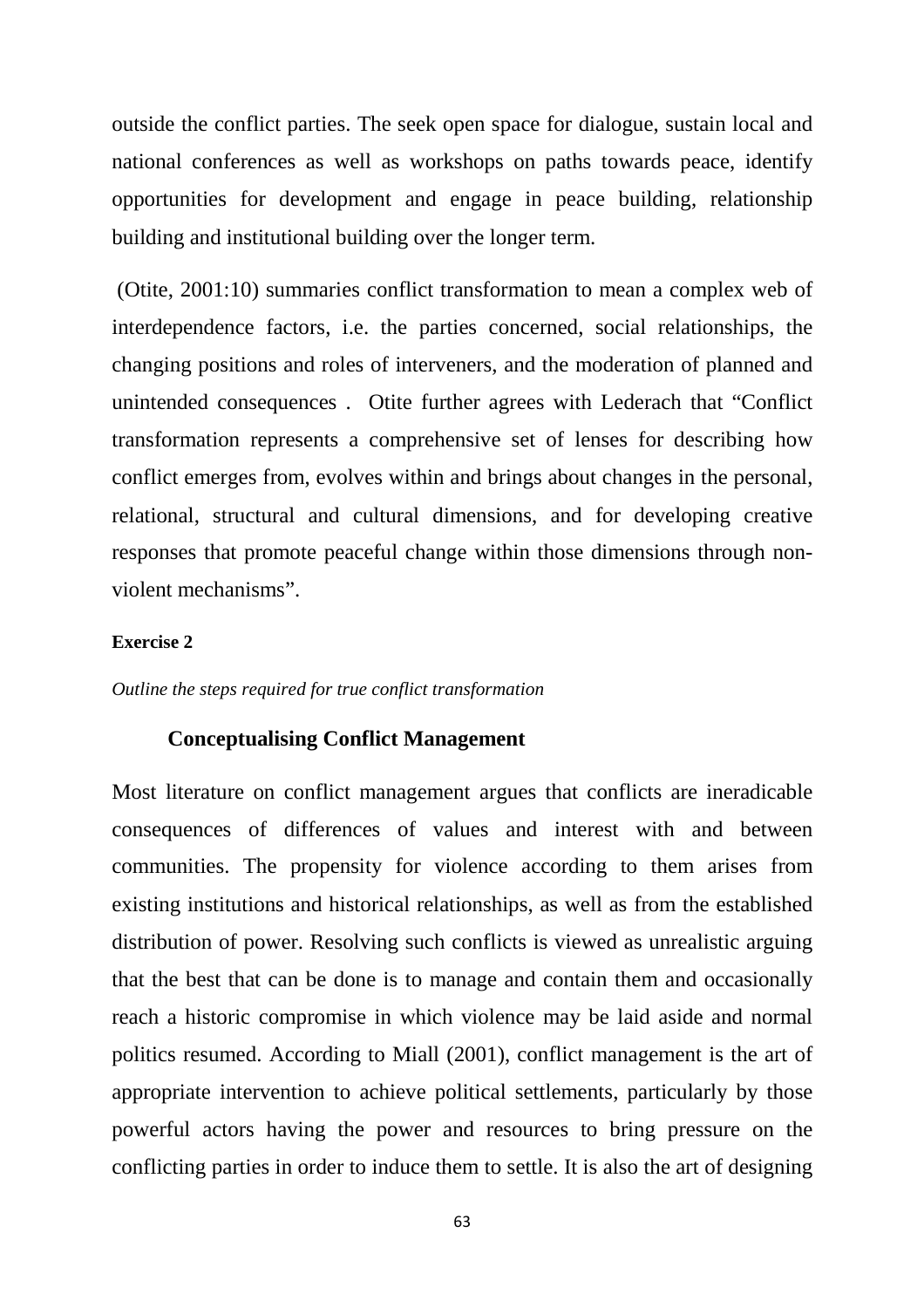outside the conflict parties. The seek open space for dialogue, sustain local and national conferences as well as workshops on paths towards peace, identify opportunities for development and engage in peace building, relationship building and institutional building over the longer term.

 (Otite, 2001:10) summaries conflict transformation to mean a complex web of interdependence factors, i.e. the parties concerned, social relationships, the changing positions and roles of interveners, and the moderation of planned and unintended consequences . Otite further agrees with Lederach that "Conflict transformation represents a comprehensive set of lenses for describing how conflict emerges from, evolves within and brings about changes in the personal, relational, structural and cultural dimensions, and for developing creative responses that promote peaceful change within those dimensions through nonviolent mechanisms".

#### **Exercise 2**

*Outline the steps required for true conflict transformation* 

### **Conceptualising Conflict Management**

Most literature on conflict management argues that conflicts are ineradicable consequences of differences of values and interest with and between communities. The propensity for violence according to them arises from existing institutions and historical relationships, as well as from the established distribution of power. Resolving such conflicts is viewed as unrealistic arguing that the best that can be done is to manage and contain them and occasionally reach a historic compromise in which violence may be laid aside and normal politics resumed. According to Miall (2001), conflict management is the art of appropriate intervention to achieve political settlements, particularly by those powerful actors having the power and resources to bring pressure on the conflicting parties in order to induce them to settle. It is also the art of designing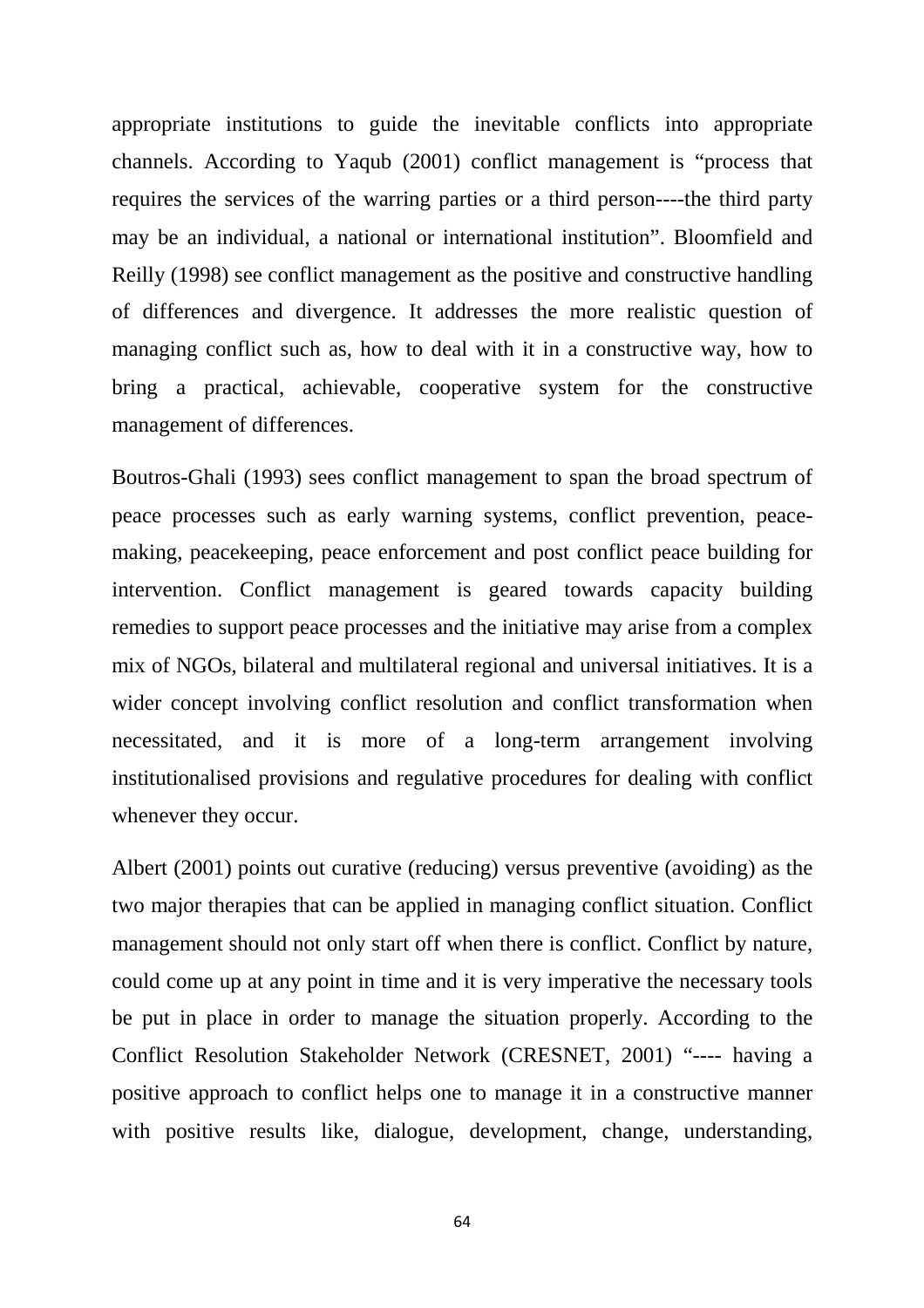appropriate institutions to guide the inevitable conflicts into appropriate channels. According to Yaqub (2001) conflict management is "process that requires the services of the warring parties or a third person----the third party may be an individual, a national or international institution". Bloomfield and Reilly (1998) see conflict management as the positive and constructive handling of differences and divergence. It addresses the more realistic question of managing conflict such as, how to deal with it in a constructive way, how to bring a practical, achievable, cooperative system for the constructive management of differences.

Boutros-Ghali (1993) sees conflict management to span the broad spectrum of peace processes such as early warning systems, conflict prevention, peacemaking, peacekeeping, peace enforcement and post conflict peace building for intervention. Conflict management is geared towards capacity building remedies to support peace processes and the initiative may arise from a complex mix of NGOs, bilateral and multilateral regional and universal initiatives. It is a wider concept involving conflict resolution and conflict transformation when necessitated, and it is more of a long-term arrangement involving institutionalised provisions and regulative procedures for dealing with conflict whenever they occur.

Albert (2001) points out curative (reducing) versus preventive (avoiding) as the two major therapies that can be applied in managing conflict situation. Conflict management should not only start off when there is conflict. Conflict by nature, could come up at any point in time and it is very imperative the necessary tools be put in place in order to manage the situation properly. According to the Conflict Resolution Stakeholder Network (CRESNET, 2001) "---- having a positive approach to conflict helps one to manage it in a constructive manner with positive results like, dialogue, development, change, understanding,

64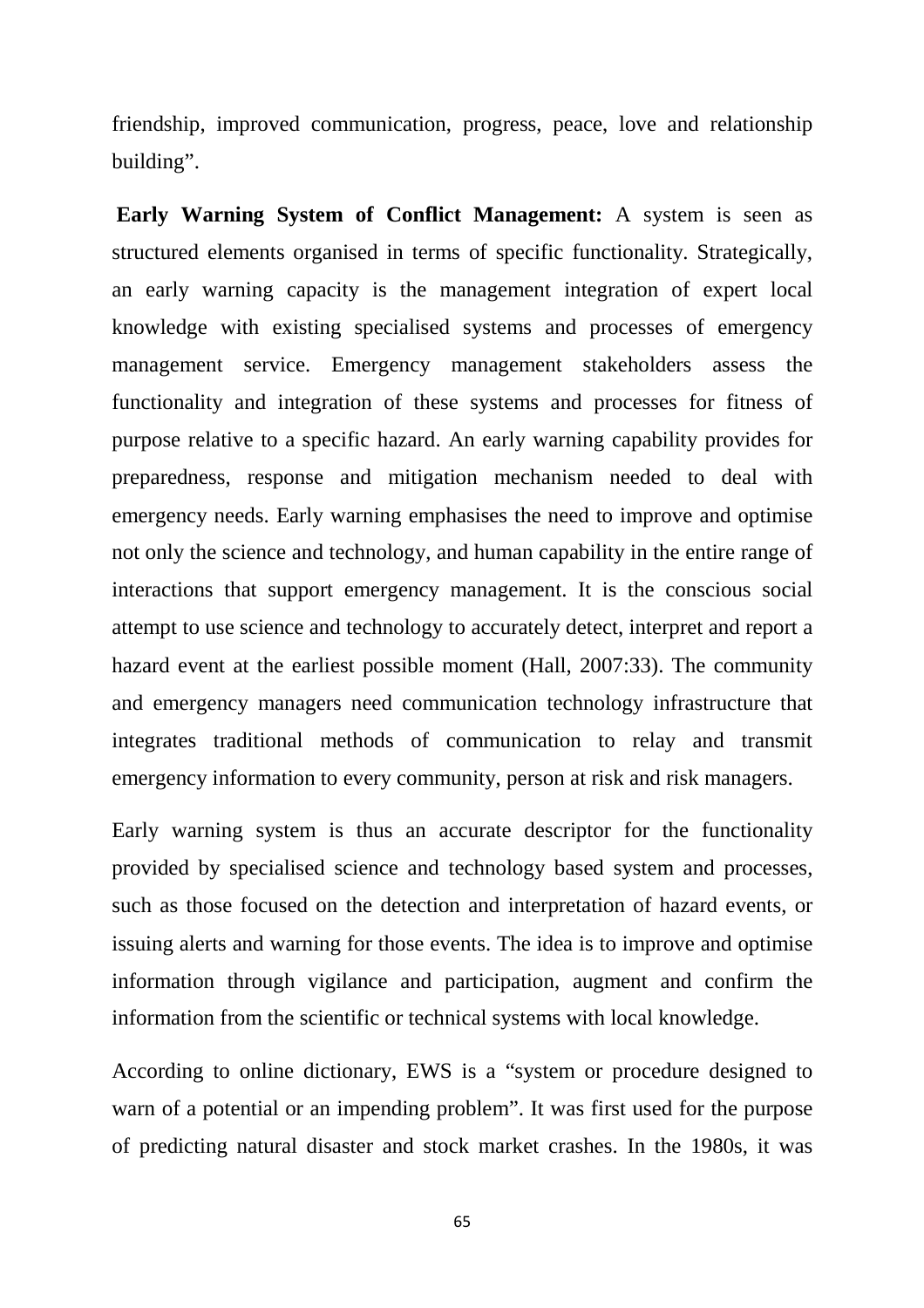friendship, improved communication, progress, peace, love and relationship building".

**Early Warning System of Conflict Management:** A system is seen as structured elements organised in terms of specific functionality. Strategically, an early warning capacity is the management integration of expert local knowledge with existing specialised systems and processes of emergency management service. Emergency management stakeholders assess the functionality and integration of these systems and processes for fitness of purpose relative to a specific hazard. An early warning capability provides for preparedness, response and mitigation mechanism needed to deal with emergency needs. Early warning emphasises the need to improve and optimise not only the science and technology, and human capability in the entire range of interactions that support emergency management. It is the conscious social attempt to use science and technology to accurately detect, interpret and report a hazard event at the earliest possible moment (Hall, 2007:33). The community and emergency managers need communication technology infrastructure that integrates traditional methods of communication to relay and transmit emergency information to every community, person at risk and risk managers.

Early warning system is thus an accurate descriptor for the functionality provided by specialised science and technology based system and processes, such as those focused on the detection and interpretation of hazard events, or issuing alerts and warning for those events. The idea is to improve and optimise information through vigilance and participation, augment and confirm the information from the scientific or technical systems with local knowledge.

According to online dictionary, EWS is a "system or procedure designed to warn of a potential or an impending problem". It was first used for the purpose of predicting natural disaster and stock market crashes. In the 1980s, it was

65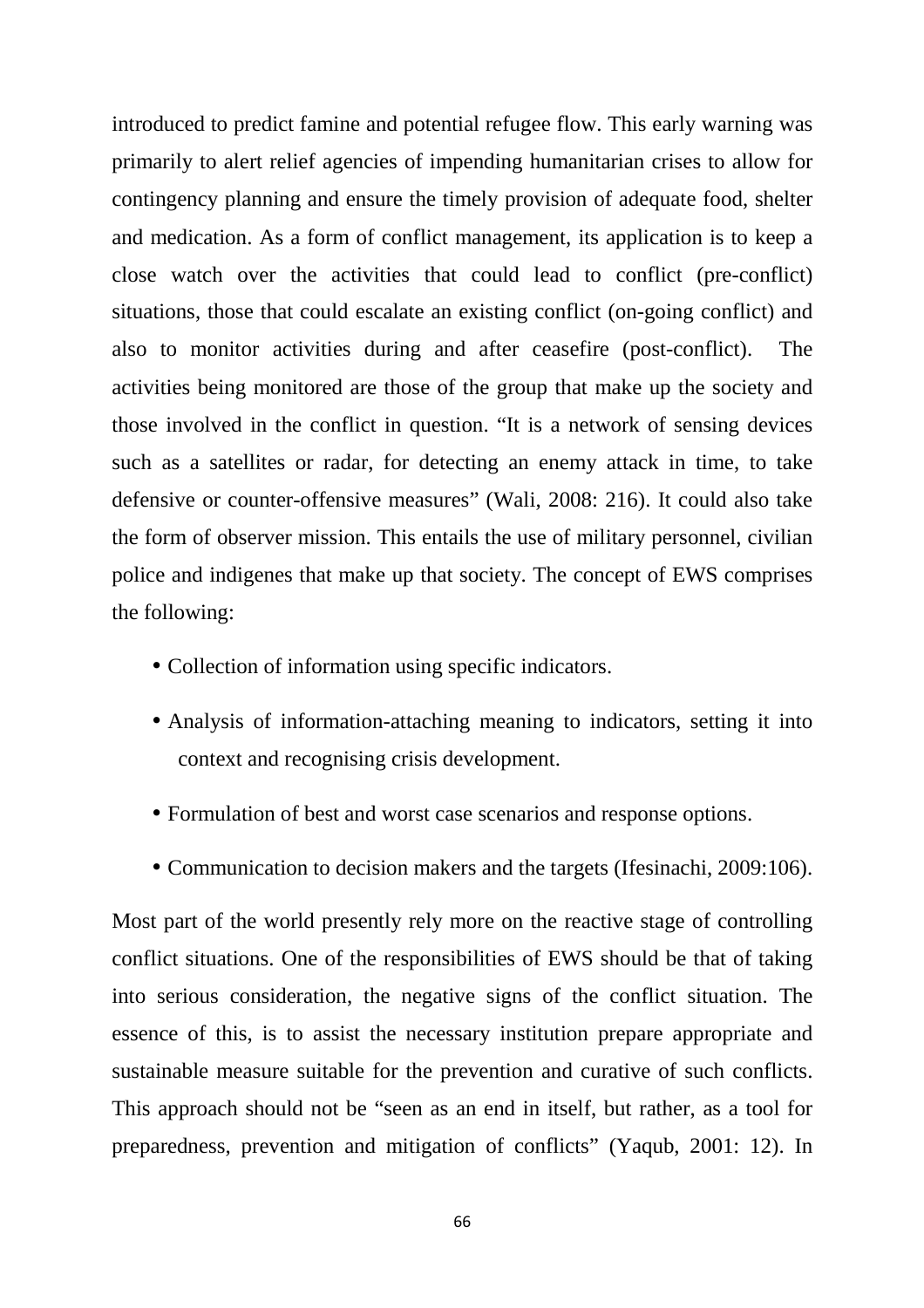introduced to predict famine and potential refugee flow. This early warning was primarily to alert relief agencies of impending humanitarian crises to allow for contingency planning and ensure the timely provision of adequate food, shelter and medication. As a form of conflict management, its application is to keep a close watch over the activities that could lead to conflict (pre-conflict) situations, those that could escalate an existing conflict (on-going conflict) and also to monitor activities during and after ceasefire (post-conflict). The activities being monitored are those of the group that make up the society and those involved in the conflict in question. "It is a network of sensing devices such as a satellites or radar, for detecting an enemy attack in time, to take defensive or counter-offensive measures" (Wali, 2008: 216). It could also take the form of observer mission. This entails the use of military personnel, civilian police and indigenes that make up that society. The concept of EWS comprises the following:

- Collection of information using specific indicators.
- Analysis of information-attaching meaning to indicators, setting it into context and recognising crisis development.
- Formulation of best and worst case scenarios and response options.
- Communication to decision makers and the targets (Ifesinachi, 2009:106).

Most part of the world presently rely more on the reactive stage of controlling conflict situations. One of the responsibilities of EWS should be that of taking into serious consideration, the negative signs of the conflict situation. The essence of this, is to assist the necessary institution prepare appropriate and sustainable measure suitable for the prevention and curative of such conflicts. This approach should not be "seen as an end in itself, but rather, as a tool for preparedness, prevention and mitigation of conflicts" (Yaqub, 2001: 12). In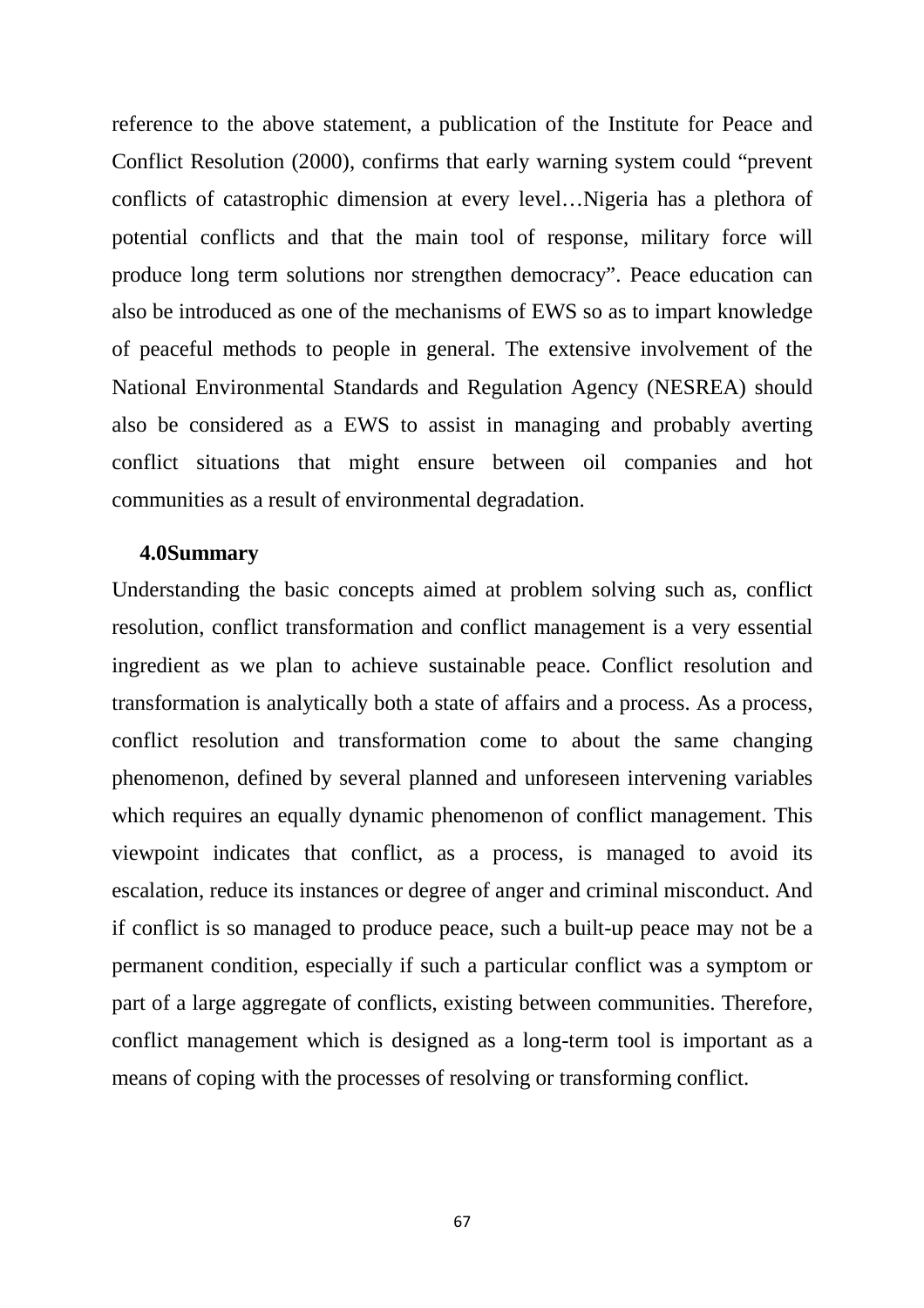reference to the above statement, a publication of the Institute for Peace and Conflict Resolution (2000), confirms that early warning system could "prevent conflicts of catastrophic dimension at every level…Nigeria has a plethora of potential conflicts and that the main tool of response, military force will produce long term solutions nor strengthen democracy". Peace education can also be introduced as one of the mechanisms of EWS so as to impart knowledge of peaceful methods to people in general. The extensive involvement of the National Environmental Standards and Regulation Agency (NESREA) should also be considered as a EWS to assist in managing and probably averting conflict situations that might ensure between oil companies and hot communities as a result of environmental degradation.

### **4.0Summary**

Understanding the basic concepts aimed at problem solving such as, conflict resolution, conflict transformation and conflict management is a very essential ingredient as we plan to achieve sustainable peace. Conflict resolution and transformation is analytically both a state of affairs and a process. As a process, conflict resolution and transformation come to about the same changing phenomenon, defined by several planned and unforeseen intervening variables which requires an equally dynamic phenomenon of conflict management. This viewpoint indicates that conflict, as a process, is managed to avoid its escalation, reduce its instances or degree of anger and criminal misconduct. And if conflict is so managed to produce peace, such a built-up peace may not be a permanent condition, especially if such a particular conflict was a symptom or part of a large aggregate of conflicts, existing between communities. Therefore, conflict management which is designed as a long-term tool is important as a means of coping with the processes of resolving or transforming conflict.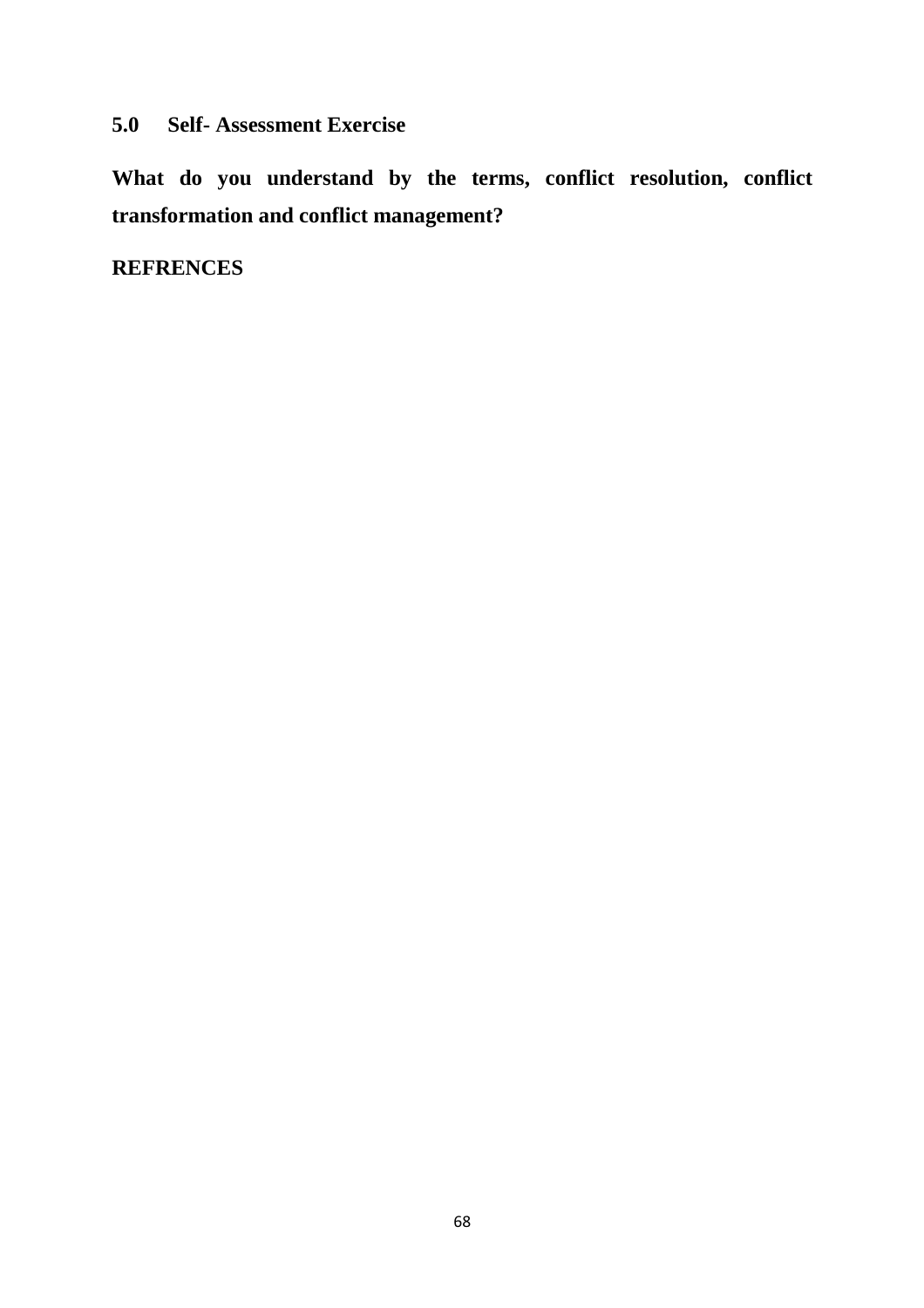## **5.0 Self- Assessment Exercise**

**What do you understand by the terms, conflict resolution, conflict transformation and conflict management?** 

## **REFRENCES**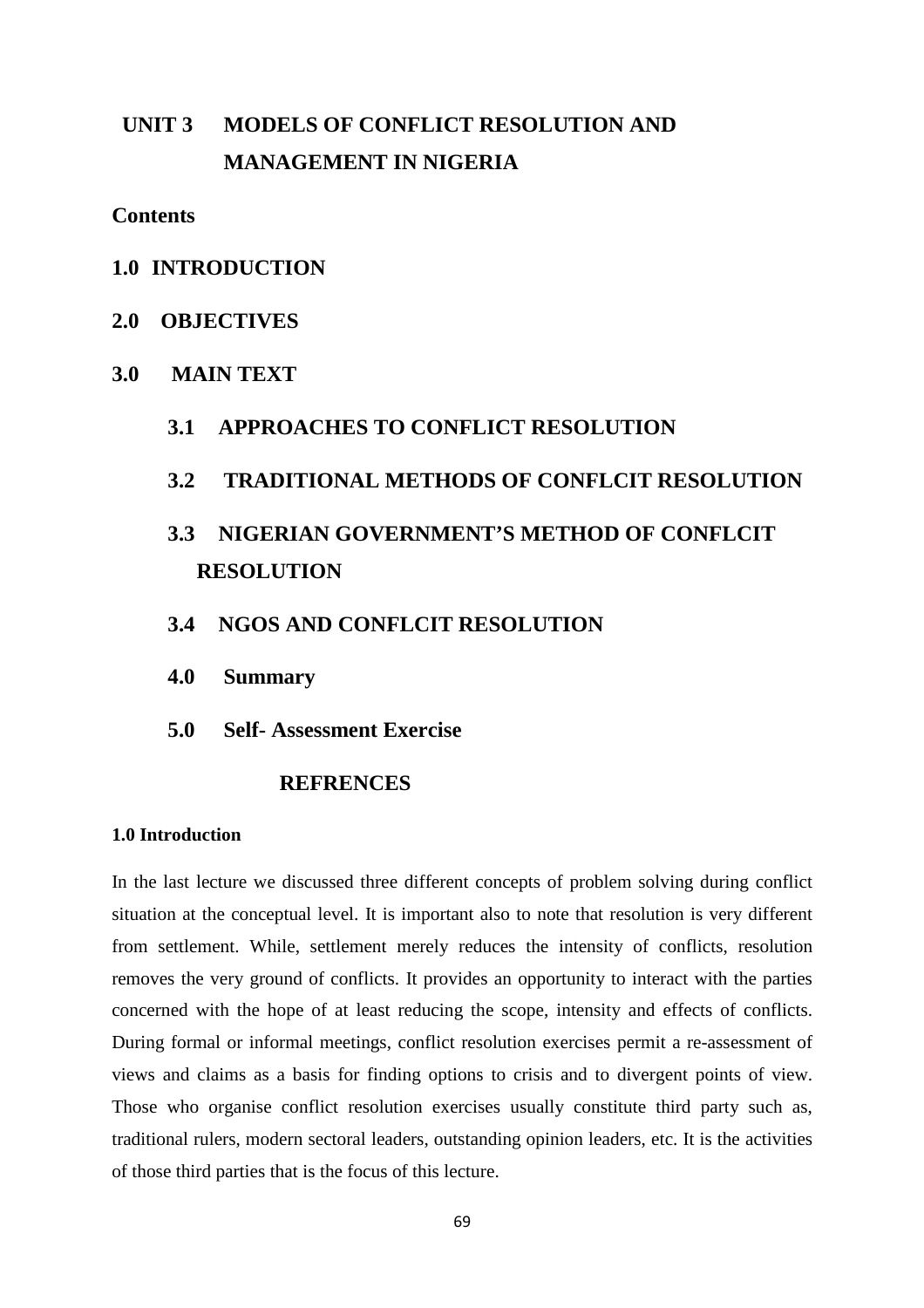# **UNIT 3 MODELS OF CONFLICT RESOLUTION AND MANAGEMENT IN NIGERIA**

**Contents** 

- **1.0 INTRODUCTION**
- **2.0 OBJECTIVES**
- **3.0 MAIN TEXT** 
	- **3.1 APPROACHES TO CONFLICT RESOLUTION**
	- **3.2 TRADITIONAL METHODS OF CONFLCIT RESOLUTION**

# **3.3 NIGERIAN GOVERNMENT'S METHOD OF CONFLCIT RESOLUTION**

- **3.4 NGOS AND CONFLCIT RESOLUTION**
- **4.0 Summary**
- **5.0 Self- Assessment Exercise**

### **REFRENCES**

#### **1.0 Introduction**

In the last lecture we discussed three different concepts of problem solving during conflict situation at the conceptual level. It is important also to note that resolution is very different from settlement. While, settlement merely reduces the intensity of conflicts, resolution removes the very ground of conflicts. It provides an opportunity to interact with the parties concerned with the hope of at least reducing the scope, intensity and effects of conflicts. During formal or informal meetings, conflict resolution exercises permit a re-assessment of views and claims as a basis for finding options to crisis and to divergent points of view. Those who organise conflict resolution exercises usually constitute third party such as, traditional rulers, modern sectoral leaders, outstanding opinion leaders, etc. It is the activities of those third parties that is the focus of this lecture.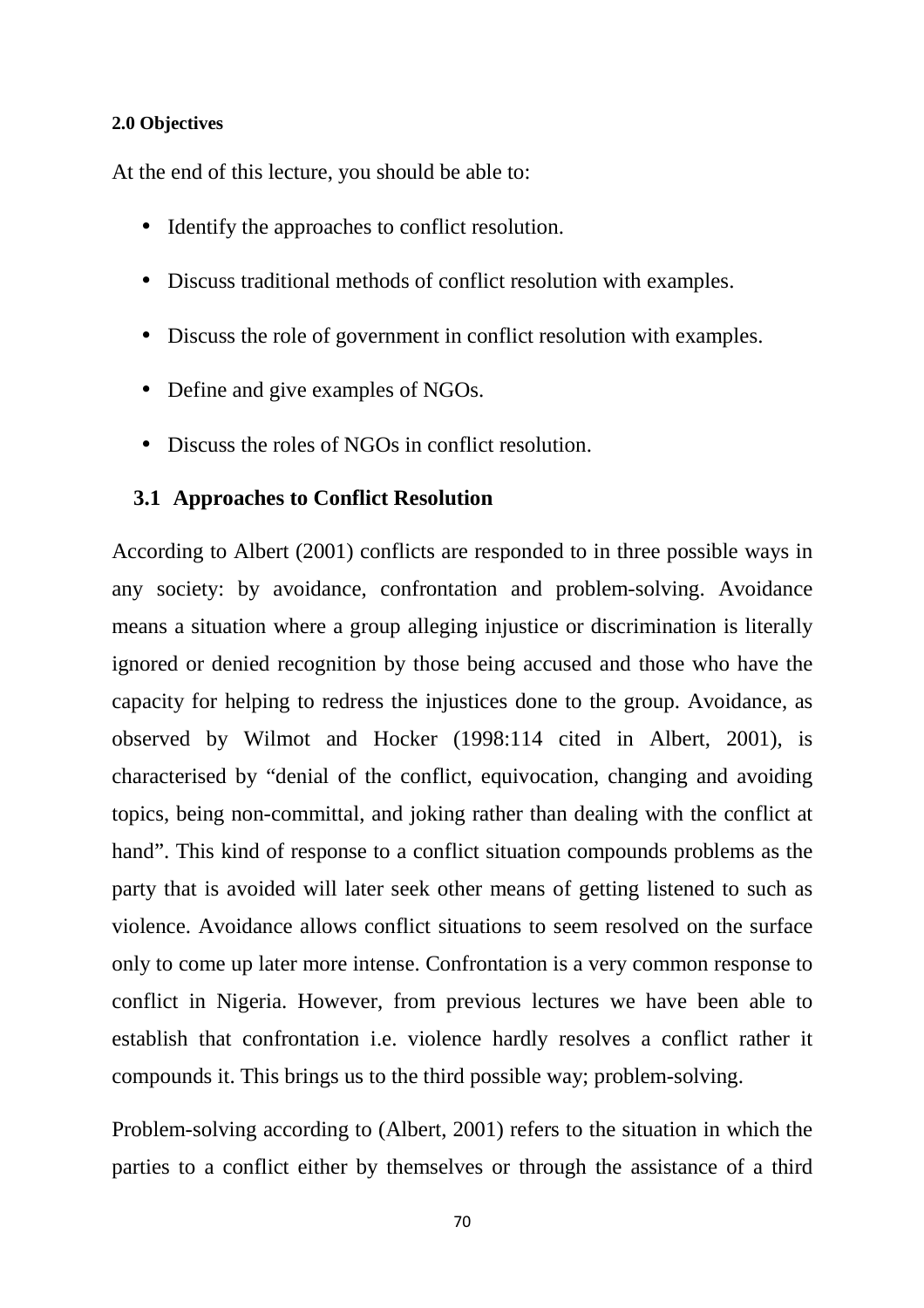### **2.0 Objectives**

At the end of this lecture, you should be able to:

- Identify the approaches to conflict resolution.
- Discuss traditional methods of conflict resolution with examples.
- Discuss the role of government in conflict resolution with examples.
- Define and give examples of NGOs.
- Discuss the roles of NGOs in conflict resolution.

### **3.1 Approaches to Conflict Resolution**

According to Albert (2001) conflicts are responded to in three possible ways in any society: by avoidance, confrontation and problem-solving. Avoidance means a situation where a group alleging injustice or discrimination is literally ignored or denied recognition by those being accused and those who have the capacity for helping to redress the injustices done to the group. Avoidance, as observed by Wilmot and Hocker (1998:114 cited in Albert, 2001), is characterised by "denial of the conflict, equivocation, changing and avoiding topics, being non-committal, and joking rather than dealing with the conflict at hand". This kind of response to a conflict situation compounds problems as the party that is avoided will later seek other means of getting listened to such as violence. Avoidance allows conflict situations to seem resolved on the surface only to come up later more intense. Confrontation is a very common response to conflict in Nigeria. However, from previous lectures we have been able to establish that confrontation i.e. violence hardly resolves a conflict rather it compounds it. This brings us to the third possible way; problem-solving.

Problem-solving according to (Albert, 2001) refers to the situation in which the parties to a conflict either by themselves or through the assistance of a third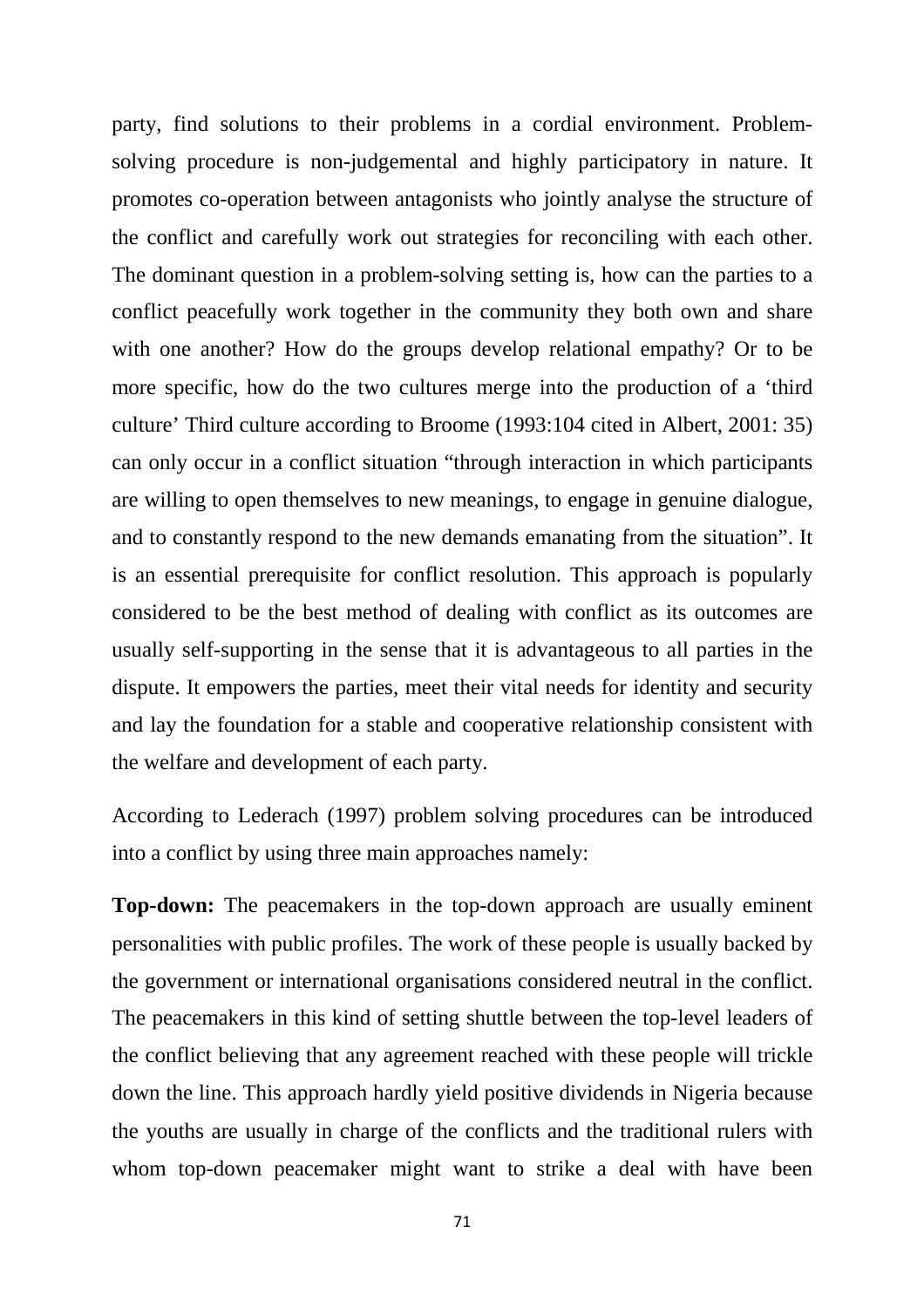party, find solutions to their problems in a cordial environment. Problemsolving procedure is non-judgemental and highly participatory in nature. It promotes co-operation between antagonists who jointly analyse the structure of the conflict and carefully work out strategies for reconciling with each other. The dominant question in a problem-solving setting is, how can the parties to a conflict peacefully work together in the community they both own and share with one another? How do the groups develop relational empathy? Or to be more specific, how do the two cultures merge into the production of a 'third culture' Third culture according to Broome (1993:104 cited in Albert, 2001: 35) can only occur in a conflict situation "through interaction in which participants are willing to open themselves to new meanings, to engage in genuine dialogue, and to constantly respond to the new demands emanating from the situation". It is an essential prerequisite for conflict resolution. This approach is popularly considered to be the best method of dealing with conflict as its outcomes are usually self-supporting in the sense that it is advantageous to all parties in the dispute. It empowers the parties, meet their vital needs for identity and security and lay the foundation for a stable and cooperative relationship consistent with the welfare and development of each party.

According to Lederach (1997) problem solving procedures can be introduced into a conflict by using three main approaches namely:

**Top-down:** The peacemakers in the top-down approach are usually eminent personalities with public profiles. The work of these people is usually backed by the government or international organisations considered neutral in the conflict. The peacemakers in this kind of setting shuttle between the top-level leaders of the conflict believing that any agreement reached with these people will trickle down the line. This approach hardly yield positive dividends in Nigeria because the youths are usually in charge of the conflicts and the traditional rulers with whom top-down peacemaker might want to strike a deal with have been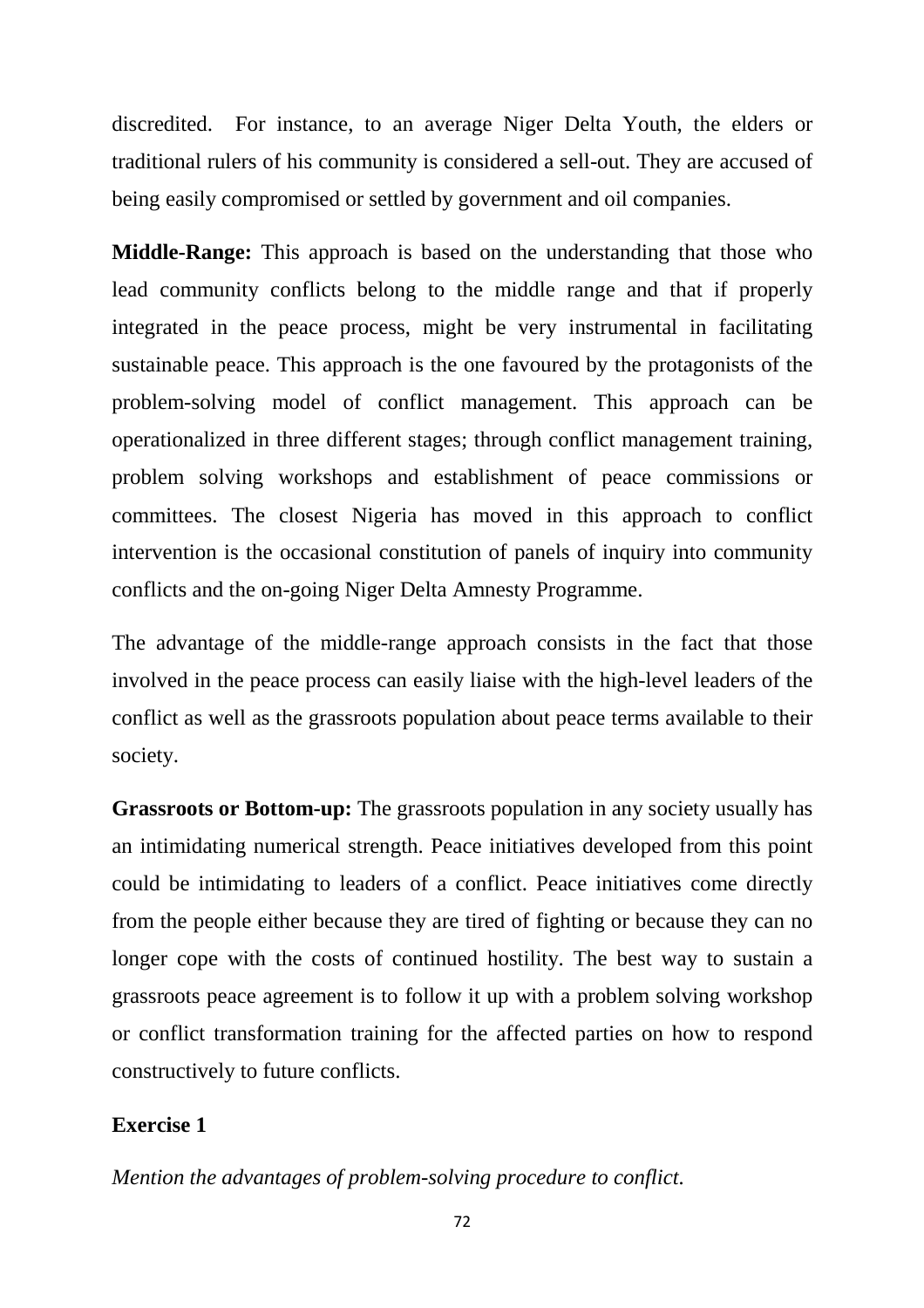discredited. For instance, to an average Niger Delta Youth, the elders or traditional rulers of his community is considered a sell-out. They are accused of being easily compromised or settled by government and oil companies.

**Middle-Range:** This approach is based on the understanding that those who lead community conflicts belong to the middle range and that if properly integrated in the peace process, might be very instrumental in facilitating sustainable peace. This approach is the one favoured by the protagonists of the problem-solving model of conflict management. This approach can be operationalized in three different stages; through conflict management training, problem solving workshops and establishment of peace commissions or committees. The closest Nigeria has moved in this approach to conflict intervention is the occasional constitution of panels of inquiry into community conflicts and the on-going Niger Delta Amnesty Programme.

The advantage of the middle-range approach consists in the fact that those involved in the peace process can easily liaise with the high-level leaders of the conflict as well as the grassroots population about peace terms available to their society.

**Grassroots or Bottom-up:** The grassroots population in any society usually has an intimidating numerical strength. Peace initiatives developed from this point could be intimidating to leaders of a conflict. Peace initiatives come directly from the people either because they are tired of fighting or because they can no longer cope with the costs of continued hostility. The best way to sustain a grassroots peace agreement is to follow it up with a problem solving workshop or conflict transformation training for the affected parties on how to respond constructively to future conflicts.

## **Exercise 1**

*Mention the advantages of problem-solving procedure to conflict.*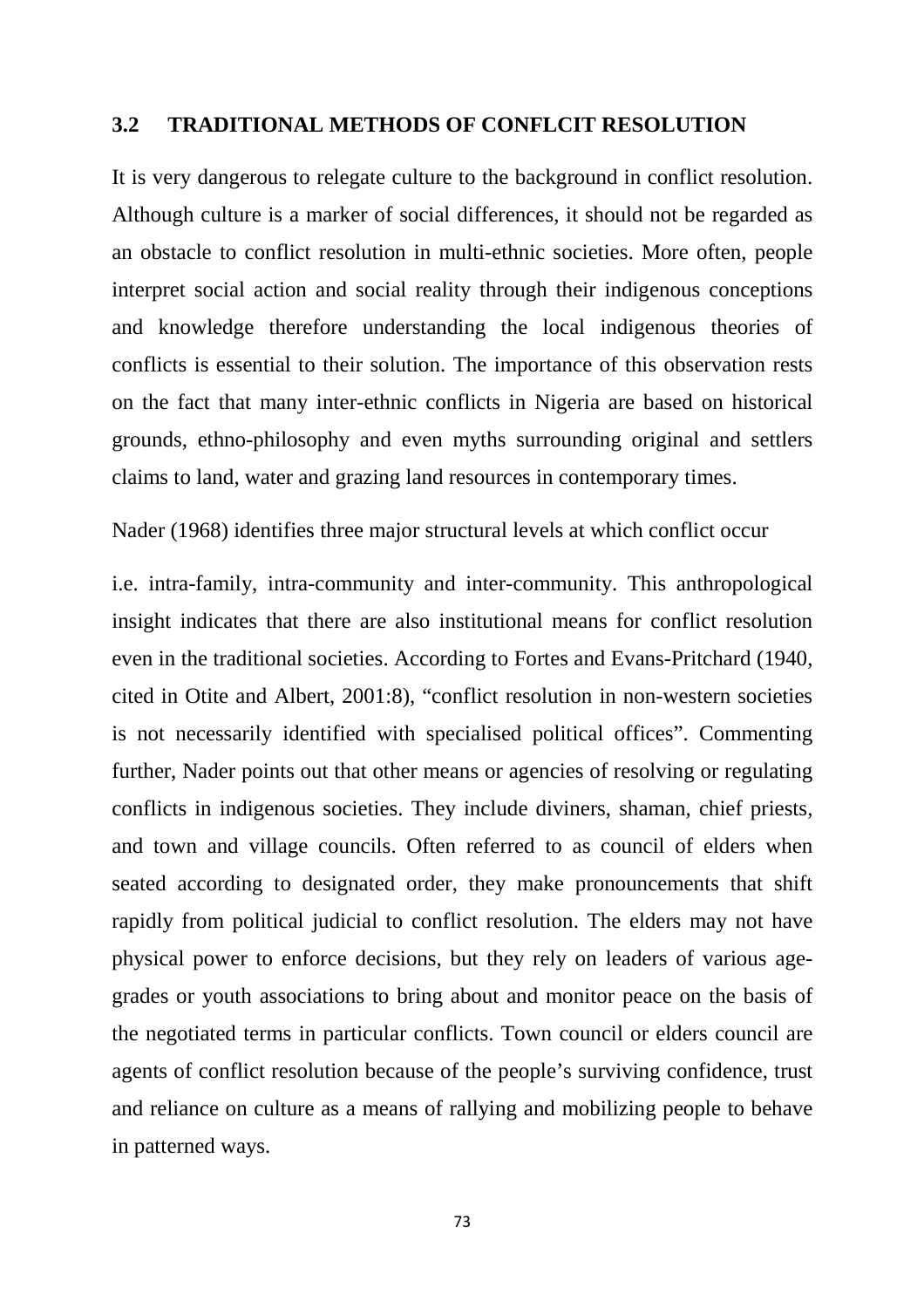## **3.2 TRADITIONAL METHODS OF CONFLCIT RESOLUTION**

It is very dangerous to relegate culture to the background in conflict resolution. Although culture is a marker of social differences, it should not be regarded as an obstacle to conflict resolution in multi-ethnic societies. More often, people interpret social action and social reality through their indigenous conceptions and knowledge therefore understanding the local indigenous theories of conflicts is essential to their solution. The importance of this observation rests on the fact that many inter-ethnic conflicts in Nigeria are based on historical grounds, ethno-philosophy and even myths surrounding original and settlers claims to land, water and grazing land resources in contemporary times.

Nader (1968) identifies three major structural levels at which conflict occur

i.e. intra-family, intra-community and inter-community. This anthropological insight indicates that there are also institutional means for conflict resolution even in the traditional societies. According to Fortes and Evans-Pritchard (1940, cited in Otite and Albert, 2001:8), "conflict resolution in non-western societies is not necessarily identified with specialised political offices". Commenting further, Nader points out that other means or agencies of resolving or regulating conflicts in indigenous societies. They include diviners, shaman, chief priests, and town and village councils. Often referred to as council of elders when seated according to designated order, they make pronouncements that shift rapidly from political judicial to conflict resolution. The elders may not have physical power to enforce decisions, but they rely on leaders of various agegrades or youth associations to bring about and monitor peace on the basis of the negotiated terms in particular conflicts. Town council or elders council are agents of conflict resolution because of the people's surviving confidence, trust and reliance on culture as a means of rallying and mobilizing people to behave in patterned ways.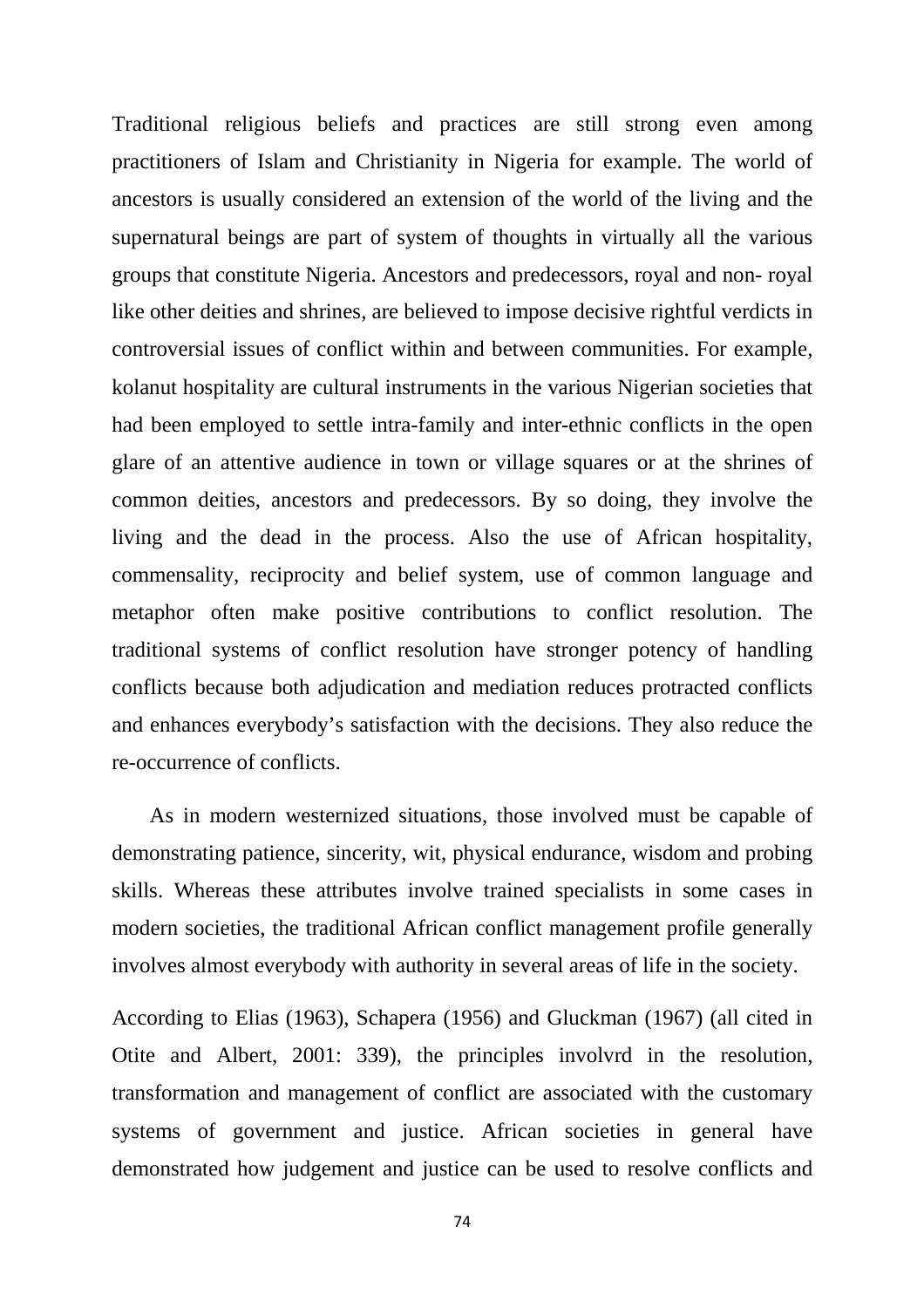Traditional religious beliefs and practices are still strong even among practitioners of Islam and Christianity in Nigeria for example. The world of ancestors is usually considered an extension of the world of the living and the supernatural beings are part of system of thoughts in virtually all the various groups that constitute Nigeria. Ancestors and predecessors, royal and non- royal like other deities and shrines, are believed to impose decisive rightful verdicts in controversial issues of conflict within and between communities. For example, kolanut hospitality are cultural instruments in the various Nigerian societies that had been employed to settle intra-family and inter-ethnic conflicts in the open glare of an attentive audience in town or village squares or at the shrines of common deities, ancestors and predecessors. By so doing, they involve the living and the dead in the process. Also the use of African hospitality, commensality, reciprocity and belief system, use of common language and metaphor often make positive contributions to conflict resolution. The traditional systems of conflict resolution have stronger potency of handling conflicts because both adjudication and mediation reduces protracted conflicts and enhances everybody's satisfaction with the decisions. They also reduce the re-occurrence of conflicts.

 As in modern westernized situations, those involved must be capable of demonstrating patience, sincerity, wit, physical endurance, wisdom and probing skills. Whereas these attributes involve trained specialists in some cases in modern societies, the traditional African conflict management profile generally involves almost everybody with authority in several areas of life in the society.

According to Elias (1963), Schapera (1956) and Gluckman (1967) (all cited in Otite and Albert, 2001: 339), the principles involvrd in the resolution, transformation and management of conflict are associated with the customary systems of government and justice. African societies in general have demonstrated how judgement and justice can be used to resolve conflicts and

74